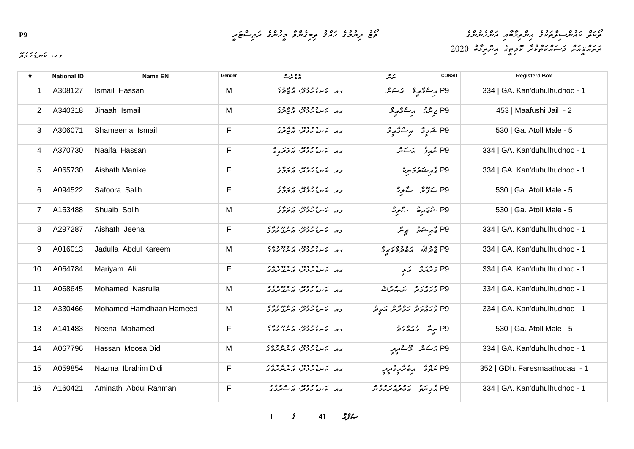**P9** *p8mHwEoKm8 sCw7q5p> n=w7sCo9oB qYw<m5 sCq>q7o@ qHv=*

*sCw7q7s5w7m< o<n9nOoAw7o< sCq;mAwBoEw7q<m; wBm;vB 2020*<br>*په پوهر وسوډيرونو لومو د موجو د مرمونه* 2020

| #              | <b>National ID</b> | <b>Name EN</b>          | Gender | ړ؛ پرُ ک                                                                                                                                                                                                                         | سرير                                                        | <b>CONSIT</b> | <b>Registerd Box</b>          |
|----------------|--------------------|-------------------------|--------|----------------------------------------------------------------------------------------------------------------------------------------------------------------------------------------------------------------------------------|-------------------------------------------------------------|---------------|-------------------------------|
|                | A308127            | Ismail Hassan           | М      | د پر ۱۵۶۶۶ ورود در در ۱۵۶۵<br>د کار اول کردن کرد                                                                                                                                                                                 | P9  مرےوً <i>میں بار کے بار</i>                             |               | 334   GA. Kan'duhulhudhoo - 1 |
| $\overline{2}$ | A340318            | Jinaah Ismail           | М      | و د ۱۰ د ۱۶۶۶ و د د د د<br>د د است د د د ترا                                                                                                                                                                                     | P9  ي <sub>م</sub> سَّرْزُ مِرْ سُمَّةً <sub>م</sub> ُبِعْر |               | 453   Maafushi Jail - 2       |
| 3              | A306071            | Shameema Ismail         | F      | و در سر کار دورد.<br>د در سر کمار کوهر اور پر توری                                                                                                                                                                               | P9 غوچۇ ب <sub>و</sub> شۇپ <sub>ۇ</sub> ي                   |               | 530   Ga. Atoll Male - 5      |
| 4              | A370730            | Naaifa Hassan           | F      | ى پەر سەس بەردە كەن ئەس ئە                                                                                                                                                                                                       | P9 سَمبرتَ بَرَسَتَ شَر                                     |               | 334   GA. Kan'duhulhudhoo - 1 |
| 5              | A065730            | Aishath Manike          | F      | د در کامن دووو درده د                                                                                                                                                                                                            | P9 مەم ئەمۇم ئىبرىدىكى بىر                                  |               | 334   GA. Kan'duhulhudhoo - 1 |
| 6              | A094522            | Safoora Salih           | F      | גם מיטור בכפר הקבל<br>בם מיטור העלי הפכל                                                                                                                                                                                         | P9 بەز ئەتە بەئە بەر 2                                      |               | 530   Ga. Atoll Male - 5      |
| $\overline{7}$ | A153488            | Shuaib Solih            | M      | גם מיטור בכפר הקבל<br>בם מיטור העלי הפכל                                                                                                                                                                                         | P9 شق <i>مق</i> ه شه مستمور                                 |               | 530   Ga. Atoll Male - 5      |
| 8              | A297287            | Aishath Jeena           | F      | גני מייפר בכבר הסכבר ביט<br>גני מייפר היביקי ביטוב ובכב                                                                                                                                                                          | P9 مەم شەقر ب <sub>و</sub> مگر                              |               | 334   GA. Kan'duhulhudhoo - 1 |
| 9              | A016013            | Jadulla Abdul Kareem    | M      | גם מייש בככבי מסכבים ב<br>גם מייש בעיט המייש בכב                                                                                                                                                                                 | P9 قَوْمَرَاللَّهُ مَصْغَرْمَ مَرْحَرَ                      |               | 334   GA. Kan'duhulhudhoo - 1 |
| 10             | A064784            | Mariyam Ali             | F      | بر در کامل در دور در برابرد برابرد که برابرد که استفاده برابرد که برابرد که برابرد که برابرد که برابرد که براب<br>برابرد برابرد که برابرد که برابرد که برابرد که برابرد که برابرد که برابرد که برابرد که برابرد که برابرد که برا | P9  <i>ى ئەبرىھەمچ</i>                                      |               | 334   GA. Kan'duhulhudhoo - 1 |
| 11             | A068645            | Mohamed Nasrulla        | M      | זה התכנידה הסמכני<br>זה התכתבתו היישיב                                                                                                                                                                                           | P9  <i>وبزووفر متربو</i> مرالله                             |               | 334   GA. Kan'duhulhudhoo - 1 |
| 12             | A330466            | Mohamed Hamdhaan Hameed | М      | גני מייפר בכבר הסכבר ביט<br>גני מייפר היביקי ביטוב ובכב                                                                                                                                                                          | P9 درورو رووره ټوټر                                         |               | 334   GA. Kan'duhulhudhoo - 1 |
| 13             | A141483            | Neena Mohamed           | F      | גני מייפר בכבר הסכבר ביט<br>גני מייפר היביקי ביטוב ובכב                                                                                                                                                                          | P9 سرپنگ ت <i>و پژون</i> و تر                               |               | 530   Ga. Atoll Male - 5      |
| 14             | A067796            | Hassan Moosa Didi       | M      |                                                                                                                                                                                                                                  | P9  ټرسند ژختمونږ                                           |               | 334   GA. Kan'duhulhudhoo - 1 |
| 15             | A059854            | Nazma Ibrahim Didi      | F      | بر در سر در دور در بره در در در در بر                                                                                                                                                                                            | P9 يَتَمَعُونَ - مِرْهُ يُرْبِرْ وَمِبْدِ                   |               | 352   GDh. Faresmaathodaa - 1 |
| 16             | A160421            | Aminath Abdul Rahman    | F      | ى دىستى دەھەر ئەسىرە دە                                                                                                                                                                                                          | P9 مُجِسَع مُصْرَم مُدَمَّر مِنْ                            |               | 334   GA. Kan'duhulhudhoo - 1 |

*r@q:q5qF7m; .<C*

*1 s* 41 *i*<sub>s</sub>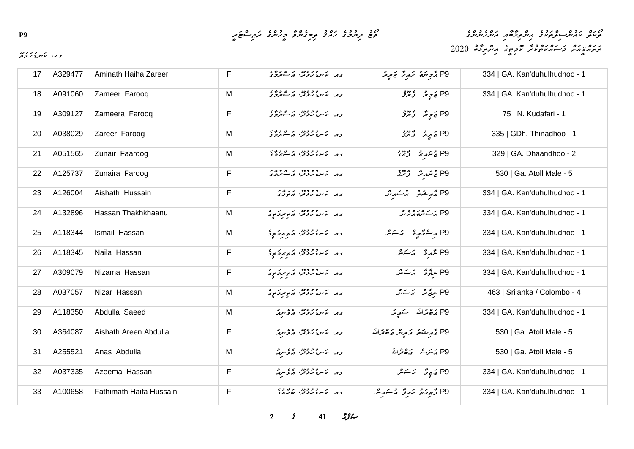*sCw7q7s5w7m< o<n9nOoAw7o< sCq;mAwBoEw7q<m; wBm;vB* م من المرة المرة المرة المرجع المرجع في المركبة 2020<br>مجم*د المريض المربوط المربع المرجع في المراجع المركبة* 

| 17 | A329477 | Aminath Haiha Zareer    | F | ی دادن کامل در دوره در در در دادند و در این کردند و در این کردند و در این کامل در این کامل کردند که در این کام<br>مردم این کامل کردند و در این کامل کردند و در این کردند و در این کامل کردند و در این کامل کردند که در این کامل | P9 مَّ مِ سَمَّةَ - سَمِيَّةَ - سَمَّ سِمَّةَ - سَمَّةٍ مِنْ | 334   GA. Kan'duhulhudhoo - 1 |
|----|---------|-------------------------|---|---------------------------------------------------------------------------------------------------------------------------------------------------------------------------------------------------------------------------------|--------------------------------------------------------------|-------------------------------|
| 18 | A091060 | Zameer Farooq           | M | ى دىستى دەھەر كەسىرى دە                                                                                                                                                                                                         | P9 يَحرِ جمه تَحرَّجُونَّةَ الْمُحَمَّدَةُ                   | 334   GA. Kan'duhulhudhoo - 1 |
| 19 | A309127 | Zameera Farooq          | F | ى دىستى دەھەر كەسىرى دە                                                                                                                                                                                                         | P9 يَحرِ بَرٌ وَتَرَدَّدُ                                    | 75   N. Kudafari - 1          |
| 20 | A038029 | Zareer Faroog           | M | د پر کامل دودو در دوده در د                                                                                                                                                                                                     | P9 كى موماش كۇمختۇ                                           | 335   GDh. Thinadhoo - 1      |
| 21 | A051565 | Zunair Faaroog          | M | ى دار كەس بەر دەر بەر ئەس دەر                                                                                                                                                                                                   | P9 تج سَمبر بحر ومحتمدة                                      | 329   GA. Dhaandhoo - 2       |
| 22 | A125737 | Zunaira Faroog          | F | ى دار كەس رودور كەس بەر ئەس دەر                                                                                                                                                                                                 | P9 ىج <i>سَمدِ بَنَّہ بِی وَجَرَة</i>                        | 530   Ga. Atoll Male - 5      |
| 23 | A126004 | Aishath Hussain         | F | גור מייע בכבר הגבע<br>גור מייע הבבל והפכב                                                                                                                                                                                       | P9 مەم ئىسكىم بىر شىر بىر                                    | 334   GA. Kan'duhulhudhoo - 1 |
| 24 | A132896 | Hassan Thakhkhaanu      | M | ورساس وووده كالمركز ولا                                                                                                                                                                                                         | P9 ئەستەھ ئەھرىسى                                            | 334   GA. Kan'duhulhudhoo - 1 |
| 25 | A118344 | Ismail Hassan           | M | ورساس وووده كالمركب                                                                                                                                                                                                             | P9 مەش <i>ۇم بۇ بەسكىل</i>                                   | 334   GA. Kan'duhulhudhoo - 1 |
| 26 | A118345 | Naila Hassan            | F | وړ٠ کاس د د دد کم مرکبول                                                                                                                                                                                                        | P9 يَتَمِيعٌ - يَرَ يَتَمَثَّل                               | 334   GA. Kan'duhulhudhoo - 1 |
| 27 | A309079 | Nizama Hassan           | F | ورسكس وودد كمتومرة ولي                                                                                                                                                                                                          | P9 سِهْرَ – بَرَ سَرْسْر                                     | 334   GA. Kan'duhulhudhoo - 1 |
| 28 | A037057 | Nizar Hassan            | M | ورساس وووده كالمومرة ولي                                                                                                                                                                                                        | P9 سرچ تر - ټر <i>ش</i> هر                                   | 463   Srilanka / Colombo - 4  |
| 29 | A118350 | Abdulla Saeed           | M | ות יו אייעל העלי הפיינה                                                                                                                                                                                                         | P9 يَرْصْعَرْاللَّهُ كَمَ يُرْمَّرُ                          | 334   GA. Kan'duhulhudhoo - 1 |
| 30 | A364087 | Aishath Areen Abdulla   | F | צו מייעל הכרכבי ובליינה                                                                                                                                                                                                         | P9 مَّ مِسْمَعْ مَعرِ مَدْ مَدَّةَ اللَّهُ                   | 530   Ga. Atoll Male - 5      |
| 31 | A255521 | Anas Abdulla            | M | بملاء المستوفر والمتعالج بالملج بالملاء                                                                                                                                                                                         | P9 كەنترىشە كەھەتراللە                                       | 530   Ga. Atoll Male - 5      |
| 32 | A037335 | Azeema Hassan           | F | بملاء المستوفر والمتعالج بالملج بالملاء                                                                                                                                                                                         | P9 كەيپۇ كەشكىر                                              | 334   GA. Kan'duhulhudhoo - 1 |
| 33 | A100658 | Fathimath Haifa Hussain | F |                                                                                                                                                                                                                                 | P9 زَّەپِرَةْ رَرِزٌ بْرَ سَرِيْر                            | 334   GA. Kan'duhulhudhoo - 1 |

*r@q:q5qF7m; .<C*

*2 sC 41 nNw?mS*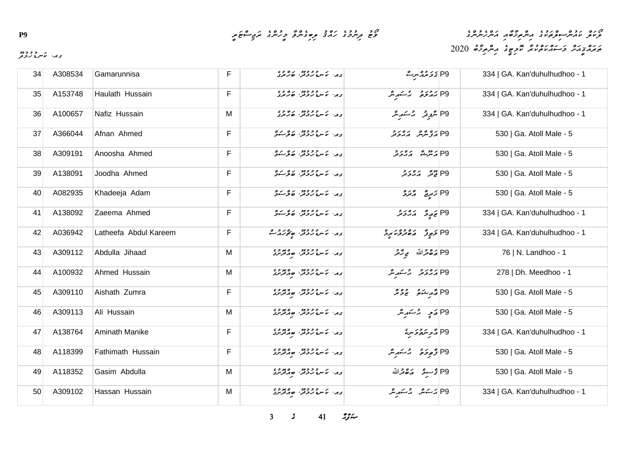*sCw7q7s5w7m< o<n9nOoAw7o< sCq;mAwBoEw7q<m; wBm;vB* م من المسجد المسجد المسجد المسجد المسجد العام 2020<br>مسجد المسجد المسجد المسجد المسجد المسجد المسجد المسجد المسجد ال

| 34 | A308534 | Gamarunnisa           | F            | د در دورو در ده.<br>د در کاس روتر، ه ریوی                                                                                                                                                                                       | P9 تۇكر <i>مەتىرى</i> گە                    | 334   GA. Kan'duhulhudhoo - 1 |
|----|---------|-----------------------|--------------|---------------------------------------------------------------------------------------------------------------------------------------------------------------------------------------------------------------------------------|---------------------------------------------|-------------------------------|
| 35 | A153748 | Haulath Hussain       | F            | د در دور دره در در<br>در کامل روفران صربور                                                                                                                                                                                      | P9 <i>بَهْدُوْمُ بِرْسَهُدِ</i> يْر         | 334   GA. Kan'duhulhudhoo - 1 |
| 36 | A100657 | Nafiz Hussain         | M            | د در سر دورد در ده<br>در سرس روتر ن                                                                                                                                                                                             | P9  س <i>ُّعِيةْ بِرُسَمب</i> سُ            | 334   GA. Kan'duhulhudhoo - 1 |
| 37 | A366044 | Afnan Ahmed           | F            | ى دىن ئەس دەپەت ئەھ ب                                                                                                                                                                                                           | P9 كەر ئەرگەر بەر دىر                       | 530   Ga. Atoll Male - 5      |
| 38 | A309191 | Anoosha Ahmed         | F            | ى رىپىدى بەرەپ كە                                                                                                                                                                                                               | P9 كەنترىش كەن ئەرەر                        | 530   Ga. Atoll Male - 5      |
| 39 | A138091 | Joodha Ahmed          | $\mathsf{F}$ | ى دىستەرەپەر ئەھەر ئەھ                                                                                                                                                                                                          | P9 قَعْ مَدْرَمْر                           | 530   Ga. Atoll Male - 5      |
| 40 | A082935 | Khadeeja Adam         | F            | ى دىن ئەس دەپرە ئەھ بەرە                                                                                                                                                                                                        | P9 كَمْرِيجٌ - مُرْمَرُوْ-                  | 530   Ga. Atoll Male - 5      |
| 41 | A138092 | Zaeema Ahmed          | F            | ى دىستىدە بەر ئەھەر بەر                                                                                                                                                                                                         | P9 يَهِ وَ " پَرْدَ تَرْ                    | 334   GA. Kan'duhulhudhoo - 1 |
| 42 | A036942 | Latheefa Abdul Kareem | F            | בתי תייע בככל פיציגת                                                                                                                                                                                                            | P9 ك <i>ۆپ<sub>ۇ</sub>گە مەھەر كەندى</i> گە | 334   GA. Kan'duhulhudhoo - 1 |
| 43 | A309112 | Abdulla Jihaad        | M            | و د ۱۰ که موجود و ده دون<br>د د که کمی موفق استاد در                                                                                                                                                                            | P9 كەھەراللە   يەرگىر                       | 76   N. Landhoo - 1           |
| 44 | A100932 | Ahmed Hussain         | M            | و در ۱۰ که سره رو در ۲۵ در در در در این مورد در این مورد در این مورد در این مورد در این کار در این کار در این<br>در این کار مورد کار در این کار در این کار در این کار در این کار در این کار در این کار در این کار در این کار در | P9 كەيرى قىلى ئەسكەر بىر                    | 278   Dh. Meedhoo - 1         |
| 45 | A309110 | Aishath Zumra         | F            | و د ۱۰ که سره روح د ۱۵ مور و د<br>د د ۱۰ که سره سروند که د توسرو                                                                                                                                                                | P9 مەم ھەم مىھ بىر                          | 530   Ga. Atoll Male - 5      |
| 46 | A309113 | Ali Hussain           | M            | و در سر در دود.<br>د در سر سر در در سر در در در                                                                                                                                                                                 | P9 <i>ھَ۔ ج</i> شمير مگر                    | 530   Ga. Atoll Male - 5      |
| 47 | A138764 | Aminath Manike        | $\mathsf{F}$ | و د ۱۰ که سره روح د ۱۵ مور و د<br>د د ۱۰ که سره سروند که د توسرو                                                                                                                                                                | P9 مُ <i>ج</i> سَمْ وَسِرْءَ                | 334   GA. Kan'duhulhudhoo - 1 |
| 48 | A118399 | Fathimath Hussain     | $\mathsf{F}$ | د در که سره رود.<br>در که سره روش جه توسرو                                                                                                                                                                                      | P9 <i>وَّجِوَدَةُ بِرْسَهِي</i> دُ          | 530   Ga. Atoll Male - 5      |
| 49 | A118352 | Gasim Abdulla         | M            | وړ که د دوه ده ده ده.<br>وړ که سوندن ه دندن                                                                                                                                                                                     | P9 قُرْسِوڤ 195 مَلَّاللَّه                 | 530   Ga. Atoll Male - 5      |
| 50 | A309102 | Hassan Hussain        | M            | و د ۱۰ که سره روح د ۱۵ مور و د<br>د د ۱۰ که سره سروند که د توسرو                                                                                                                                                                | P9   پرستہ پر پر شہر مگر                    | 334   GA. Kan'duhulhudhoo - 1 |

**3** *3* **<b>41** *zji*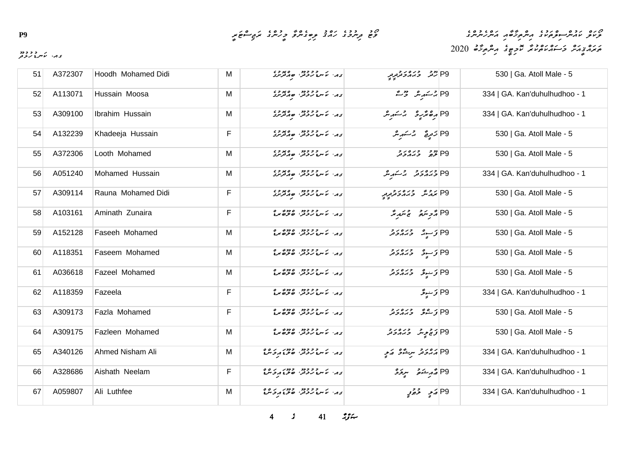*sCw7q7s5w7m< o<n9nOoAw7o< sCq;mAwBoEw7q<m; wBm;vB* م من المرة المرة المرة المرجع المرجع في المركبة 2020<br>مجم*د المريض المربوط المربع المرجع في المراجع المركبة* 

| 51 | A372307 | Hoodh Mohamed Didi     | M           | و د که کلورود هر دره د                                                                                                                                                                                                          | P9  جهر - م <i>جهد ک</i> وتوپور        | 530   Ga. Atoll Male - 5      |
|----|---------|------------------------|-------------|---------------------------------------------------------------------------------------------------------------------------------------------------------------------------------------------------------------------------------|----------------------------------------|-------------------------------|
| 52 | A113071 | Hussain Moosa          | M           | و د ۱۰ کمبر و و و ده<br>د د کمبر د کردگر ۱۵ کمبر در د                                                                                                                                                                           | P9 برُسَهرِ عَرْ حَقَّ مِسَّرِ         | 334   GA. Kan'duhulhudhoo - 1 |
| 53 | A309100 | Ibrahim Hussain        | M           | و د ۱۰ کمبر و و و ده<br>د د کمبر د کردگر ۱۵ کمبر در د                                                                                                                                                                           | P9 مەھەردى بىر ئەسەمباش                | 334   GA. Kan'duhulhudhoo - 1 |
| 54 | A132239 | Khadeeja Hussain       | F           | د پر ۱۶۶۶ - ۲۶۵۵<br>  د پر کامل کرونژ المحاویل در                                                                                                                                                                               | P9 كەنبەنج - جاسكەرىكى-                | 530   Ga. Atoll Male - 5      |
| 55 | A372306 | Looth Mohamed          | M           | و در که سره دره در دره دره در دره در استاده در باشد در در استاده در استاده در استاده در استاده در استاده در اس<br>در استاده کرد که در استاده در استاده در استاده در استاده در استاده در استاده در استاده در استاده در استاده در | P9 توج وبرە دىر                        | 530   Ga. Atoll Male - 5      |
| 56 | A051240 | Mohamed Hussain        | M           | و د ۱۰ که سره روده ده دوره در در دارد.<br>د د ۱۰ که سره سرونس کار هر توسرو                                                                                                                                                      | P9 32,025 جن مريكر                     | 334   GA. Kan'duhulhudhoo - 1 |
| 57 | A309114 | Rauna Mohamed Didi     | F           | و د ۱۰ کماس و و وود.<br>د د کماس مرکز کمی صهر توسری                                                                                                                                                                             | P9 بَرَيْرْ مَرَّ دِيرْ دَورْ بِرِيْرِ | 530   Ga. Atoll Male - 5      |
| 58 | A103161 | Aminath Zunaira        | $\mathsf F$ | د در سر دوود ووده و.<br>د در سرس روتر، صوص پر د                                                                                                                                                                                 | P9 مُجِسَمَةٌ تَحْسَمِيثُّهِ           | 530   Ga. Atoll Male - 5      |
| 59 | A152128 | Faseeh Mohamed         | M           | ی در سر دورد و دوره و ده<br>بردار سر سرد در مرده برد                                                                                                                                                                            | P9 تزىيە ئەممەدىر                      | 530   Ga. Atoll Male - 5      |
| 60 | A118351 | Faseem Mohamed         | M           | ی در سر دودو وروسی و<br>برای سرع برنور که موقع مربع                                                                                                                                                                             | P9 تزىيەدى ئەيرە دىر                   | 530   Ga. Atoll Male - 5      |
| 61 | A036618 | <b>Fazeel Mohamed</b>  | M           | ه در ۱۶۶۶ ورو ورو و ده<br>د د کمین برند که خوره برو                                                                                                                                                                             | P9 ۇىنبۇ ئە <i>مەدىر</i>               | 530   Ga. Atoll Male - 5      |
| 62 | A118359 | Fazeela                | F           | ی در سر در در در در در د                                                                                                                                                                                                        | P9 ترنيوگر                             | 334   GA. Kan'duhulhudhoo - 1 |
| 63 | A309173 | Fazla Mohamed          | F           | ی در سر در در در در در<br>برد سر سرد سرفر است و در سر                                                                                                                                                                           | P9 ۇشۇ ئەيرە دەر                       | 530   Ga. Atoll Male - 5      |
| 64 | A309175 | <b>Fazleen Mohamed</b> | M           | ی در سر دودو وروسی و<br>برای سرع برنور که موقع مربع                                                                                                                                                                             | P9 كۆچمىچە ھەر ئەمەد ئەر               | 530   Ga. Atoll Male - 5      |
| 65 | A340126 | Ahmed Nisham Ali       | M           |                                                                                                                                                                                                                                 | P9  كەركەتىر سرىشگى كەبچ               | 334   GA. Kan'duhulhudhoo - 1 |
| 66 | A328686 | Aishath Neelam         | F           | 0.00113333333746.0000                                                                                                                                                                                                           | P9 م <i>ۇم شۇقى بېرى</i> مى            | 334   GA. Kan'duhulhudhoo - 1 |
| 67 | A059807 | Ali Luthfee            | M           | בו מייש בככבי ככבי גם.<br>בו מייש מיטים שיב בריטים                                                                                                                                                                              | P9  پَر ۾ جي چي پي                     | 334   GA. Kan'duhulhudhoo - 1 |

## *r@q:q5qF7m; .<C*

*4 s* 41 *i*<sub>s</sub>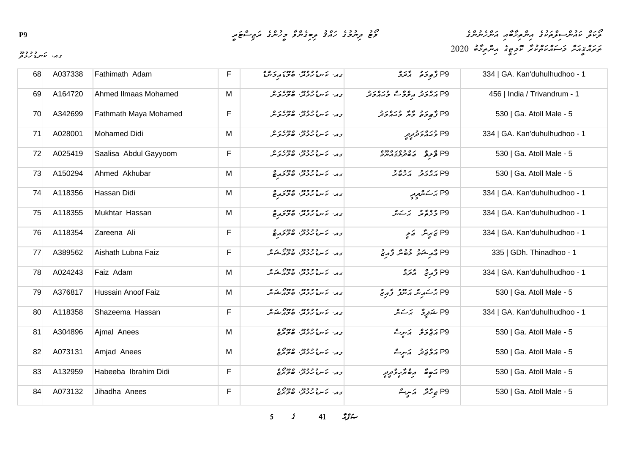*sCw7q7s5w7m< o<n9nOoAw7o< sCq;mAwBoEw7q<m; wBm;vB* م من المسجد المسجد المسجد المسجد المسجد العام 2020<br>مسجد المسجد المسجد المسجد المسجد المسجد المسجد المسجد المسجد ال

| 68 | A037338 | Fathimath Adam            | F | בו מייע בככבי ככבי גם ם<br>בו מייע מיטלים יש בגם ביטע                                                         | P9  <i>وَّجِ حَقَّ مُ</i> مَعَر                  | 334   GA. Kan'duhulhudhoo - 1 |
|----|---------|---------------------------|---|---------------------------------------------------------------------------------------------------------------|--------------------------------------------------|-------------------------------|
| 69 | A164720 | Ahmed Ilmaas Mohamed      | M | و در سر سر دورد و دوره ده<br>در سر سرد سرد در صورت سر                                                         | P9   ربروتر برووګ وبره دو                        | 456   India / Trivandrum - 1  |
| 70 | A342699 | Fathmath Maya Mohamed     | F | ی در ان سره وجود ان وده داده<br>ای در ان که سره سری سر سر انداز می سر                                         | P9 وٌجود ۾ حيد وره دو                            | 530   Ga. Atoll Male - 5      |
| 71 | A028001 | Mohamed Didi              | M | د در کامل دوود ووده ده<br>د در کامل ملاتر، هورومبر                                                            | P9  32,25 ترىرىر                                 | 334   GA. Kan'duhulhudhoo - 1 |
| 72 | A025419 | Saalisa Abdul Gayyoom     | F | ی در ان سره وجود ان وده داده<br>ای در ان که سره سری سر سر انداز می سر                                         | P9 فَجُعِرَّةُ صَصْرَحْرَ وَوَمَّدٍ وَمِنْ       | 530   Ga. Atoll Male - 5      |
| 73 | A150294 | Ahmed Akhubar             | M | צגי עיית בככפי סכבתם                                                                                          | P9 كەبروتى كەردە كىر                             | 530   Ga. Atoll Male - 5      |
| 74 | A118356 | Hassan Didi               | М | ى رىكى بەر 322 كەندە ھ                                                                                        | P9 كەسكەت <b>ر</b> ىر                            | 334   GA. Kan'duhulhudhoo - 1 |
| 75 | A118355 | Mukhtar Hassan            | M | د در سکس د د دور ده در ده<br>د در سکس د د در ه مونور ه                                                        | P9 جۇيۇ بەيدىس                                   | 334   GA. Kan'duhulhudhoo - 1 |
| 76 | A118354 | Zareena Ali               | F | צו עיית בככל סבבות ם                                                                                          | P9 نج سپٽر <i>پر کي</i> مير                      | 334   GA. Kan'duhulhudhoo - 1 |
| 77 | A389562 | Aishath Lubna Faiz        | F | זו י מייש בככפי כמי מים.<br>זו י מייש מיט יש יש מייש מיילי                                                    | P9 مەم شەھ خەمىگە ئۇم تو                         | 335   GDh. Thinadhoo - 1      |
| 78 | A024243 | Faiz Adam                 | M | ى مەسى ئەرەپ ئەدەم بەر                                                                                        | P9 وَّدِيح مُحَدَّدٌ                             | 334   GA. Kan'duhulhudhoo - 1 |
| 79 | A376817 | <b>Hussain Anoof Faiz</b> | М | ى مەسى ئەرەپ بەرە بەرگە ئەنگەنلەر ئەنگەنلەر ئەنگەنلار ئەنگەنلار ئەنگەنلار ئەنگەنلار ئەنگەنلار ئەنگەنلەر ئەنگە | P9 ير سەمە بىر مەسىر ئەمەتى                      | 530   Ga. Atoll Male - 5      |
| 80 | A118358 | Shazeema Hassan           | F | وار، الأس واوادوار والأوار والمحدوث المراجع<br>المراجع المس المراجع المراجع والمسكونيس                        | P9 ڪنو <i>ي</i> و - پرڪيش-                       | 334   GA. Kan'duhulhudhoo - 1 |
| 81 | A304896 | Ajmal Anees               | M | و در سر سر دود.<br>د در سر سردتر، صومرین                                                                      | P9 كەنج كى كەسىرىشە                              | 530   Ga. Atoll Male - 5      |
| 82 | A073131 | Amjad Anees               | М | בגי עית דרכבה בכרים<br>בגי עיתו היניני פי <i>יב</i> יגים                                                      | P9  پروړی پر ټرس                                 | 530   Ga. Atoll Male - 5      |
| 83 | A132959 | Habeeba Ibrahim Didi      | F | و در سر سر دود.<br>د در سرس در دور ه و برج                                                                    |                                                  | 530   Ga. Atoll Male - 5      |
| 84 | A073132 | Jihadha Anees             | F | בג' עייפר ברכבי סכימים<br>בג' עייפ היבב, סיכיבים                                                              | P9 ي <i>وِرُّدَّ - م</i> َ س <sub>ِ</sub> رُ - م | 530   Ga. Atoll Male - 5      |

*r@q:q5qF7m; .<C*

 $5$   $5$   $41$   $75$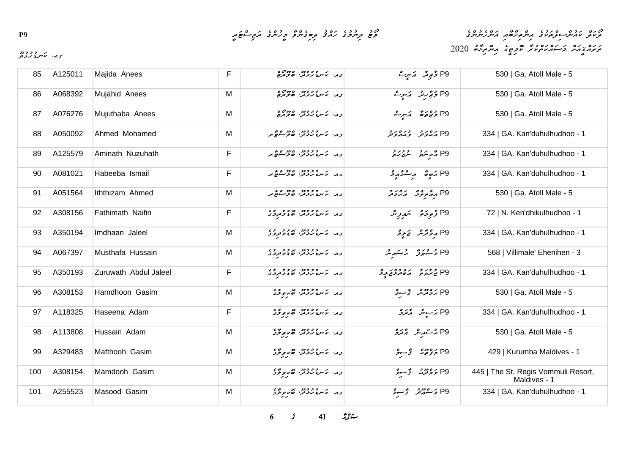*sCw7q7s5w7m< o<n9nOoAw7o< sCq;mAwBoEw7q<m; wBm;vB* م من المسجد المسجد المسجد المسجد المسجد العام 2020<br>مسجد المسجد المسجد المسجد المسجد المسجد المسجد المسجد المسجد ال

| 85  | A125011 | Majida Anees          | F            | ם כרכת סכרים<br>גז. מייע מיטיק יש <i>בינ</i> יב                                                                | P9  وَّمِيعٌ – مَسِرِ مُتَّةَ                                                                           | 530   Ga. Atoll Male - 5                            |
|-----|---------|-----------------------|--------------|----------------------------------------------------------------------------------------------------------------|---------------------------------------------------------------------------------------------------------|-----------------------------------------------------|
| 86  | A068392 | Mujahid Anees         | М            | גורי מית בככבי הכרים<br>גורי מית ביני שיבינים                                                                  | P9 خَدَّى پِرْ كَسَرِ مَسَرِ بِهِ مَسَرِ بِهِ مِنْ الْمَسَرِ بِهِ مِنْ الْمُسَرِ بِهِ مِنْ الْمُسَرِ بِ | 530   Ga. Atoll Male - 5                            |
| 87  | A076276 | Mujuthaba Anees       | M            |                                                                                                                | P9 جۇمۇھ مەس <i>رىشى</i>                                                                                | 530   Ga. Atoll Male - 5                            |
| 88  | A050092 | Ahmed Mohamed         | M            | ى دار مىسى 30 دەھرىسى ئىس                                                                                      | P9 كەيمەدە مەمەدەر<br>P9 كەيمەدە مەكرى                                                                  | 334   GA. Kan'duhulhudhoo - 1                       |
| 89  | A125579 | Aminath Nuzuhath      | $\mathsf{F}$ | ى دار با كه در دور دارد ده كار كرده كار دارد كه كرد كه كرد كه كرد كه كرد كه كرد كه كرد كه كرد كه كرد كه كرد كه | P9 مُجِسَمَةٌ مُتَّبِيَّةٌ مِ                                                                           | 334   GA. Kan'duhulhudhoo - 1                       |
| 90  | A081021 | Habeeba Ismail        | F            | ى مەسىر دەھەر ئەھەر ئەھ                                                                                        | P9 بَصِعُ مِ مِسْتَرَم <i>ِي</i> دُ                                                                     | 334   GA. Kan'duhulhudhoo - 1                       |
| 91  | A051564 | Iththizam Ahmed       | M            | ى دىستى دە دەھەر ئەھەدىسى بىر                                                                                  | P9 مەم ئۇق مەم دىر                                                                                      | 530   Ga. Atoll Male - 5                            |
| 92  | A308156 | Fathimath Naifin      | $\mathsf{F}$ | وه ۱۵۶۶۶ پوه وه<br>ده کاس مرونو، ۱۵۶۵ ورو                                                                      | P9 <i>وَّجوحَمَّةَ سَمِيوِينَّةَ</i>                                                                    | 72   N. Ken'dhikulhudhoo - 1                        |
| 93  | A350194 | Imdhaan Jaleel        | M            | وه ۱۵۶۶۶ پروژه ور<br>ده کاس روترا ۱۵۶۵ وروژ                                                                    | P9  مر3ءٌ مگر ہے موق                                                                                    | 334   GA. Kan'duhulhudhoo - 1                       |
| 94  | A067397 | Musthafa Hussain      | M            | د در سر دوود بدوو د د<br>د در سر سر سر در ه د ح در حدد                                                         | P9 ئ <i>ىبمۇق بى-مەيت</i> ر                                                                             | 568   Villimale' Ehenihen - 3                       |
| 95  | A350193 | Zuruwath Abdul Jaleel | F            | وه ۱۰ کامل ووود در در ور<br>ده اگستان ترفتن که د ترجری                                                         | P9 يح بروج مره ووي برو<br>P9 يح بروج مرضوف برو                                                          | 334   GA. Kan'duhulhudhoo - 1                       |
| 96  | A308153 | Hamdhoon Gasim        | M            | <i>ده ناس دوده سی وی</i>                                                                                       | P9   پروټرننگ او سری                                                                                    | 530   Ga. Atoll Male - 5                            |
| 97  | A118325 | Haseena Adam          | $\mathsf F$  | ورساس وودوستهم وتحد                                                                                            |                                                                                                         | 334   GA. Kan'duhulhudhoo - 1                       |
| 98  | A113808 | Hussain Adam          | M            | ى مەسىر ئىگەن ھىرو ئى                                                                                          | P9 بُرْسَهِ بِعْدِ مُحْتَرَةِ مُحَسَّدَةِ                                                               | 530   Ga. Atoll Male - 5                            |
| 99  | A329483 | Mafthooh Gasim        | M            | ى مەسىر ئىگەن ھىرو ئى                                                                                          | P9 <i>جۇھەت</i> تۇسىۋ                                                                                   | 429   Kurumba Maldives - 1                          |
| 100 | A308154 | Mamdooh Gasim         | M            |                                                                                                                | P9 كەنزلار ئۇسىۋ                                                                                        | 445   The St. Regis Vommuli Resort,<br>Maldives - 1 |
| 101 | A255523 | Masood Gasim          | M            | <i>ده ناس دوده سی وی</i>                                                                                       | P9 كەشقىر ئۇسىۋ                                                                                         | 334   GA. Kan'duhulhudhoo - 1                       |

*r@q:q5qF7m; .<C*

 $6$   $3$   $41$   $29$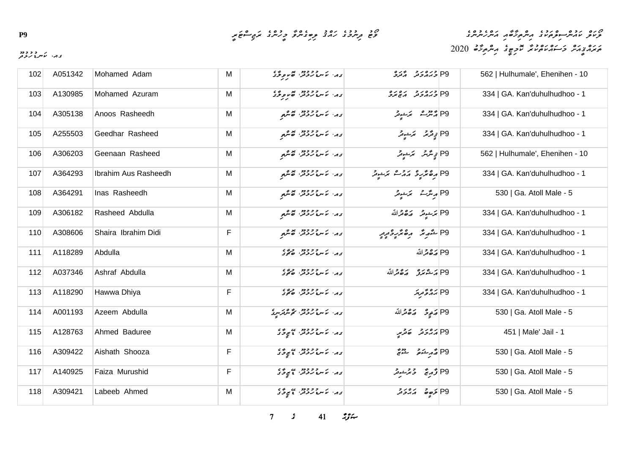*sCw7q7s5w7m< o<n9nOoAw7o< sCq;mAwBoEw7q<m; wBm;vB* م من المسجد المسجد المسجد المسجد المسجد العام 2020<br>مسجد المسجد المسجد المسجد المسجد المسجد المسجد المسجد المسجد ال

| 102 | A051342 | Mohamed Adam         | M           | ى دىن ئەس دوۋە بىر بىر ئى                                                                                                                                                                                                        | P9 دېږې د په پره                         | 562   Hulhumale', Ehenihen - 10 |
|-----|---------|----------------------|-------------|----------------------------------------------------------------------------------------------------------------------------------------------------------------------------------------------------------------------------------|------------------------------------------|---------------------------------|
| 103 | A130985 | Mohamed Azuram       | M           | در کمیں دورہ بد دی۔<br>در کمیں رون                                                                                                                                                                                               | P9 ديرورو دي بره ده                      | 334   GA. Kan'duhulhudhoo - 1   |
| 104 | A305138 | Anoos Rasheedh       | M           | در که سرگر دور بره م                                                                                                                                                                                                             | P9 گەنترىشقى ئىزىغ <sub>و</sub> تىر      | 334   GA. Kan'duhulhudhoo - 1   |
| 105 | A255503 | Geedhar Rasheed      | M           | ور که سور دور بره<br>در که سور دور صلی                                                                                                                                                                                           | P9 ت <sub>و</sub> مگرنگ - مَرَسُومُرُ -  | 334   GA. Kan'duhulhudhoo - 1   |
| 106 | A306203 | Geenaan Rasheed      | M           | ور کم سی مردور مورد و به در استان به در استان به در استان به در استان به دارای دارد به دست به دست به دست به دس<br>در استان به دست به دست به دست به دست به دست به دست به دست به دست به دست به دست به دست به دست به دست به دست به  | P9 ت <sub>و</sub> سَّرْسْرَ كَرَسْوِسْرَ | 562   Hulhumale', Ehenihen - 10 |
| 107 | A364293 | Ibrahim Aus Rasheedh | M           | ور کم سی مردور مورد و به در استان به در استان به در استان به در استان به دارای دارد به دست به دست به دست به دس<br>در استان به دست به دست به دست به دست به دست به دست به دست به دست به دست به دست به دست به دست به دست به دست به  | P9 مەھەر يەر كەرگە ئىشى ئىشلىقلىر        | 334   GA. Kan'duhulhudhoo - 1   |
| 108 | A364291 | Inas Rasheedh        | M           | در که سرگر دور بره م                                                                                                                                                                                                             | P9 مِیٹر کے محرکو تحری                   | 530   Ga. Atoll Male - 5        |
| 109 | A306182 | Rasheed Abdulla      | M           | ورس کمس مرورد به ده م                                                                                                                                                                                                            | P9 تَرْشِيْتَرْ     رَٱصْرَاللّه         | 334   GA. Kan'duhulhudhoo - 1   |
| 110 | A308606 | Shaira Ibrahim Didi  | F           | ور که سور دور سوه<br>در که سور دور صفره                                                                                                                                                                                          | P9 شەرىمە مەھەردىيە بول                  | 334   GA. Kan'duhulhudhoo - 1   |
| 111 | A118289 | Abdulla              | M           | <i>وه ناس دوه وه</i>                                                                                                                                                                                                             | P9 كَدَهْ قَدْاللّه                      | 334   GA. Kan'duhulhudhoo - 1   |
| 112 | A037346 | Ashraf Abdulla       | M           | גו אייער כרי כי                                                                                                                                                                                                                  | P9 كەشىمىز كەھەراللە                     | 334   GA. Kan'duhulhudhoo - 1   |
| 113 | A118290 | Hawwa Dhiya          | F           |                                                                                                                                                                                                                                  | P9 بَرْدْهُ مِّدِيرَ                     | 334   GA. Kan'duhulhudhoo - 1   |
| 114 | A001193 | Azeem Abdulla        | M           | دە سىس دودە ئەھەرسى<br>دە سىس ئىلىش ئەسلامى                                                                                                                                                                                      | P9 كەنب <i>و</i> 3 كەھەراللە             | 530   Ga. Atoll Male - 5        |
| 115 | A128763 | Ahmed Baduree        | M           | در که دوره در دره<br>در که سادگری وجود                                                                                                                                                                                           | P9  كەبۇ <i>كەنقى ھەقرىپ</i>             | 451   Male' Jail - 1            |
| 116 | A309422 | Aishath Shooza       | F           | د پر ۱۰ کورو ده ده ده ده ده ده کار در کار در کار در در کار در کار در کار در کار در کار در کار در کار در کار در<br>در کار در کار کار در کار کار کار در کار کار در کار کار در کار کار در کار کار کار کار در کار کار کار کار کار کا | P9 مُ مِسْمَعْ مِسْتَمَّعْ               | 530   Ga. Atoll Male - 5        |
| 117 | A140925 | Faiza Murushid       | $\mathsf F$ |                                                                                                                                                                                                                                  | P9 وَّمِيعٌ وَيَمْشِيقُ                  | 530   Ga. Atoll Male - 5        |
| 118 | A309421 | Labeeb Ahmed         | M           | ى مەسىم ئىقرىق كەلگە ئەنبەت ئەنبەت ئەنبەت ئەنبەت ئەنبەت ئەنبەت ئەنبەت ئەنبەت ئەنبەت ئەنبەت ئەنبەت ئەنبەت ئەنبە<br>ئارىسى ئەنبار ئەنبەت ئەنبەت ئەنبەت ئەنبەت ئەنبەت ئەنبەت ئەنبەت ئەنبەت ئەنبەت ئەنبەت ئەنبەت ئەنبەت ئەنبەت ئەنبە |                                          | 530   Ga. Atoll Male - 5        |

*7 sC 41 nNw?mS*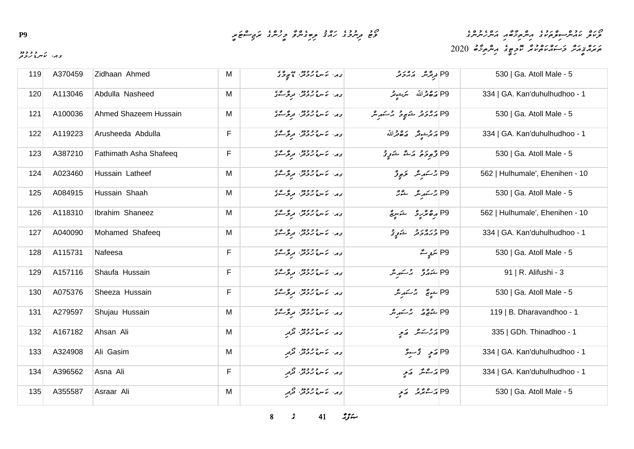*sCw7q7s5w7m< o<n9nOoAw7o< sCq;mAwBoEw7q<m; wBm;vB* م من المسجد المسجد المسجد المسجد المسجد العام 2020<br>مسجد المسجد المسجد المسجد المسجد المسجد المسجد المسجد المسجد ال

| 119 | A370459 | Zidhaan Ahmed          | M | دړ٠ مکس کرووو په دي.<br>در٠ مکس کرونر ٤ مح <del>ک</del> رو |                                         | 530   Ga. Atoll Male - 5        |
|-----|---------|------------------------|---|------------------------------------------------------------|-----------------------------------------|---------------------------------|
| 120 | A113046 | Abdulla Nasheed        | M | ى پەر مەس بەردە بەر ئەرگە                                  | P9 كەھەتراللە     سرىئوتىر              | 334   GA. Kan'duhulhudhoo - 1   |
| 121 | A100036 | Ahmed Shazeem Hussain  | M | ى پەر سەس 2555 بولۇپ كى                                    | P9   كەندى كەن ئەسىر ئەسكەر بىر         | 530   Ga. Atoll Male - 5        |
| 122 | A119223 | Arusheeda Abdulla      | F | ى دىن ئەس دەپەت بىرى ئىسى                                  | P9 كەتترىشوت <i>گە كەڭ قى</i> راللە     | 334   GA. Kan'duhulhudhoo - 1   |
| 123 | A387210 | Fathimath Asha Shafeeq | F | ى دىن ئەس دەپەت بىرى ئىسى                                  | P9 رَّجِ دَحَرَ   مَثَّ   حَنَّ يَرَ يَ | 530   Ga. Atoll Male - 5        |
| 124 | A023460 | Hussain Latheef        | M | ى مەسىم ئىرىسى ئىرىگە ئىرە<br>ئەمەسىم ئىرىگىرى ئىرىگە ئىسى | P9 يُرْسَمْ بِهِ مَنْ مَحْرَمَ فِي مَنْ | 562   Hulhumale', Ehenihen - 10 |
| 125 | A084915 | Hussain Shaah          | M | ىە ، ئەس رودە بەرگەت                                       | P9 پر <i>شہر</i> مہمد مشرق              | 530   Ga. Atoll Male - 5        |
| 126 | A118310 | Ibrahim Shaneez        | M | ى دىن ئەس 2555 مەن تەرەپتى                                 | P9 م <i>وڭ ئۇر</i> ۇ ھەمبەنج            | 562   Hulhumale', Ehenihen - 10 |
| 127 | A040090 | Mohamed Shafeeq        | M | ى دىن ئەس 2555 مەم بىرى.<br>ئەمەس ئەس ئەس ئىس ئىس ئىس ئىس  | P9  <i>\$ټ\$ى شوپ</i>                   | 334   GA. Kan'duhulhudhoo - 1   |
| 128 | A115731 | Nafeesa                | F | ى پەر سەس ئەرەپ بەر ئەسەر                                  | P9 يمَدِيَّة                            | 530   Ga. Atoll Male - 5        |
| 129 | A157116 | Shaufa Hussain         | F | ى پەر بەس 2555 مەنتى سىرى<br>مەن بەس ئەبەلەر               | P9 شەرق ب <sub>ە</sub> شىرىش            | 91   R. Alifushi - 3            |
| 130 | A075376 | Sheeza Hussain         | F | ى دىن ئەس 2555 مەم بىرى.<br>ئەمەس ئەس ئەس ئىس ئىس ئىس ئىس  | P9 شوپچ پر <i>شمېرىنل</i>               | 530   Ga. Atoll Male - 5        |
| 131 | A279597 | Shujau Hussain         | M | ى مەسىم ئىرىسى ئىرىگە ئىرە<br>ئەمەسىم ئىرىگىرى ئىرىگە ئىسى | P9 خۇق ئەسكەر ش                         | 119   B. Dharavandhoo - 1       |
| 132 | A167182 | Ahsan Ali              | М | ى پەر كەس كەن تۈپىر                                        | P9  كەشەشقە كەمچە                       | 335   GDh. Thinadhoo - 1        |
| 133 | A324908 | Ali Gasim              | M | ى پەس كەس كەن بىر بىر<br>ئەس كەس كەندىس كەندىر             | P9 <i>مَيْ - ڏُ</i> --ِرُّ              | 334   GA. Kan'duhulhudhoo - 1   |
| 134 | A396562 | Asna Ali               | F | ى مەسىم سىرە دەھرە بىر<br>ئەمەسىم سىرى سىرى بىر ئىقلىر     | P9 كەشىش كەمچە                          | 334   GA. Kan'duhulhudhoo - 1   |
| 135 | A355587 | Asraar Ali             | M | ى پەس كەس كەن بىر بىر<br>ئەس كەس كەندىس كەندىر             | P9 كەشىر قىمىز بەر                      | 530   Ga. Atoll Male - 5        |

*r@q:q5qF7m; .<C*

**8** *s* **41** *n***<sub>y</sub> <b>***s*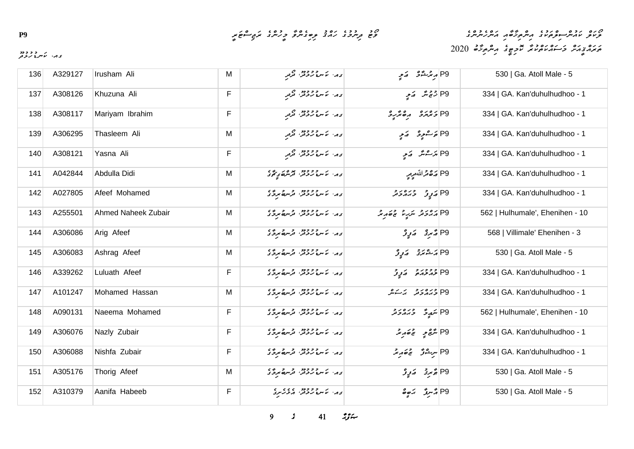*sCw7q7s5w7m< o<n9nOoAw7o< sCq;mAwBoEw7q<m; wBm;vB* م من المسجد المسجد المسجد المسجد المسجد العام 2020<br>مسجد المسجد المسجد المسجد المسجد المسجد المسجد المسجد المسجد ال

| 136 | A329127 | Irusham Ali                | M           | ى مەسىم سىم سىرىسى بىر ئىچە بىر<br>مەسىم سىرى سىرىسى بىر ئىچە بىر                                                                                                                                                                | P9 م <i>ي پڻڪري چي</i>                           | 530   Ga. Atoll Male - 5        |
|-----|---------|----------------------------|-------------|----------------------------------------------------------------------------------------------------------------------------------------------------------------------------------------------------------------------------------|--------------------------------------------------|---------------------------------|
| 137 | A308126 | Khuzuna Ali                | F           | ى مەسىم ئىرىمى ئىقرىس                                                                                                                                                                                                            | P9 تُحي <sup>م</sup> مَعٍ                        | 334   GA. Kan'duhulhudhoo - 1   |
| 138 | A308117 | Mariyam Ibrahim            | F           | ى دىن ئەس مەردىن ئەتىر                                                                                                                                                                                                           | P9 <i>كاندىرى مەھگرى</i> بى                      | 334   GA. Kan'duhulhudhoo - 1   |
| 139 | A306295 | Thasleem Ali               | M           | ى پەر كەس رودە بەھ بەر                                                                                                                                                                                                           | P9  <sub>مَ س</sub> موٍوْ كَمَوٍ                 | 334   GA. Kan'duhulhudhoo - 1   |
| 140 | A308121 | Yasna Ali                  | $\mathsf F$ | ى پر سىس مەھبەرى بىر<br>ئەر سىس مەھبەرى بىرلىر                                                                                                                                                                                   | P9 <del>م</del> َرْکَ مَدَّ مِرَ مِ              | 334   GA. Kan'duhulhudhoo - 1   |
| 141 | A042844 | Abdulla Didi               | M           | د د. که سره درود است و در در در در در در این در این در این در این در این در این در این در این در این در این در<br>در این که که در این در این در این در این در این در این در این در این در این در این در این در این در این در این | P9 كەڭداللەمبەير                                 | 334   GA. Kan'duhulhudhoo - 1   |
| 142 | A027805 | Afeef Mohamed              | M           | גון מייש מישים ובייש מייש מייש בי                                                                                                                                                                                                | P9   <i>ړٌږِ دُ دُ دُ دُو</i> ر                  | 334   GA. Kan'duhulhudhoo - 1   |
| 143 | A255501 | <b>Ahmed Naheek Zubair</b> | M           | ودا الأس ووده والمرسمة بروى                                                                                                                                                                                                      | P9 <i>גُגُכَىْدُ</i> سَ <i>رِيرْ جُهُو</i> يْرَ  | 562   Hulhumale', Ehenihen - 10 |
| 144 | A306086 | Arig Afeef                 | M           | ودا الأس ووده والمرسمة بروى                                                                                                                                                                                                      | P9 صحيح صمرٍ و                                   | 568   Villimale' Ehenihen - 3   |
| 145 | A306083 | Ashrag Afeef               | M           | גון מייש מישים ובייש מייש מייש בי                                                                                                                                                                                                | P9 كەشكە تەرىخ ئىچە ئەرە                         | 530   Ga. Atoll Male - 5        |
| 146 | A339262 | Luluath Afeef              | F           | צון ואייעש מישני והריטי ואיטי<br>צון ואייעש מישני והריטי ומשי                                                                                                                                                                    | P9 <i>قەقىمۇ مۇي</i> ۇ                           | 334   GA. Kan'duhulhudhoo - 1   |
| 147 | A101247 | Mohamed Hassan             | M           |                                                                                                                                                                                                                                  | P9 ديره دين بر بر شر                             | 334   GA. Kan'duhulhudhoo - 1   |
| 148 | A090131 | Naeema Mohamed             | F           | ود. كه سوم دود و مرسم بروی                                                                                                                                                                                                       | P9 يتميرد محمد وزير دينر                         | 562   Hulhumale', Ehenihen - 10 |
| 149 | A306076 | Nazly Zubair               | F           | ورست سي وودون ورسم مرومي                                                                                                                                                                                                         | P9 سَمَّعْ مِهِ مِنْ مَصَ <sub>ّ</sub> مِهِ مِنْ | 334   GA. Kan'duhulhudhoo - 1   |
| 150 | A306088 | Nishfa Zubair              | F           | ے ہر کے سرح 322 و سرچ سرچ کی<br>محمد کے سرح سرحاقر اور سرچ سرچ ک                                                                                                                                                                 | P9 سرڪو <i>ڻ ڇهريز</i>                           | 334   GA. Kan'duhulhudhoo - 1   |
| 151 | A305176 | Thorig Afeef               | M           |                                                                                                                                                                                                                                  | P9 ب <i>ۇيرقى مۇر</i> ۇ                          | 530   Ga. Atoll Male - 5        |
| 152 | A310379 | Aanifa Habeeb              | F           | وه ۱۰ مکس و ووه ده ۲۵ و د د د<br>اوه ۱۰ مکس و مرمونو او او مرمونو                                                                                                                                                                | P9 مُسِدَّ بَهُ صَ                               | 530   Ga. Atoll Male - 5        |

*9 s* 41 *i*<sub>s</sub>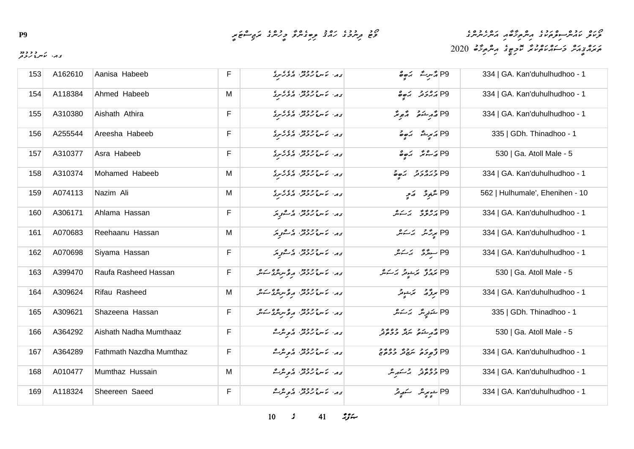*sCw7q7s5w7m< o<n9nOoAw7o< sCq;mAwBoEw7q<m; wBm;vB* م من المسجد المسجد المسجد المسجد المسجد العام 2020<br>مسجد المسجد المسجد المسجد المسجد المسجد المسجد المسجد المسجد ال

| 153 | A162610 | Aanisa Habeeb           | F | وە سەسە ئەنزىس كەنزىرى<br>ئەم سەسە ئىرىس كەنزىرى                                                                                                                                                                                 | P9 #سربسم بمَنْ صِرْ                                                                                                            | 334   GA. Kan'duhulhudhoo - 1   |
|-----|---------|-------------------------|---|----------------------------------------------------------------------------------------------------------------------------------------------------------------------------------------------------------------------------------|---------------------------------------------------------------------------------------------------------------------------------|---------------------------------|
| 154 | A118384 | Ahmed Habeeb            | M | ى دىستىسى ئەرەپ ئەرەپ ئەت بىرە ئەرەپ ئەرەپ ئەرەپ ئەرەپ ئەرەپ ئەرەپ ئەرەپ ئەرەپ ئەرەپ ئەرەپ ئەرەپ ئەرەپ ئەرەپ ئ<br>ئەرەپ ئەرەپ ئەرەپ ئەرەپ ئەرەپ ئەرەپ ئەرەپ ئەرەپ ئەرەپ ئەرەپ ئەرەپ ئەرەپ ئەرەپ ئەرەپ ئەرەپ ئەرەپ ئەرەپ ئەرەپ ئە | P9 كەبرى <i>كى بى</i>                                                                                                           | 334   GA. Kan'duhulhudhoo - 1   |
| 155 | A310380 | Aishath Athira          | F | وه ۱۰ که موجوده و ۲۵ و د دارد.<br>اوه ۱۰ که کلونو کلونو او مورکوری                                                                                                                                                               | P9 مَ مِ شَمَرٍ مَ مَ مِ مَرَّ                                                                                                  | 334   GA. Kan'duhulhudhoo - 1   |
| 156 | A255544 | Areesha Habeeb          | F | ى دى. ئەس دودە دە ئەر بولى<br>ئەر ئەس ئىرلىق مەر ئىر                                                                                                                                                                             | P9 كەمپىش كەھ <i>ھ</i>                                                                                                          | 335   GDh. Thinadhoo - 1        |
| 157 | A310377 | Asra Habeeb             | F | ى دىستىسى ئەرەپ ئەرەپ ئەت بەر ئەن ئەرەپ ئەرەپ ئەرەپ ئەرەپ ئەرەپ ئەرەپ ئەرەپ ئەرەپ ئەرەپ ئەرەپ ئەرەپ ئەرەپ ئەرە<br>ئەرەپ ئەن ئەس ئەرەپ ئەرەپ ئەرەپ ئەرەپ ئەرەپ ئەرەپ ئەرەپ ئەرەپ ئەرەپ ئەرەپ ئەرەپ ئەرەپ ئەرەپ ئەرەپ ئەرەپ ئەرەپ  | $\frac{2}{\pi}$ $\frac{2}{\pi}$ $\frac{2}{\pi}$ $\frac{2}{\pi}$ $\frac{2}{\pi}$ $\frac{2}{\pi}$ $\frac{2}{\pi}$ $\frac{2}{\pi}$ | 530   Ga. Atoll Male - 5        |
| 158 | A310374 | Mohamed Habeeb          | M | ى دى. ئەس دوۋە مەم دى.<br>ئەم ئەس ئىرلىق مەم ئىرىدى                                                                                                                                                                              | P9 دېم دې بره چ                                                                                                                 | 334   GA. Kan'duhulhudhoo - 1   |
| 159 | A074113 | Nazim Ali               | M |                                                                                                                                                                                                                                  | P9 سَمْعِ حَسَنِ صَمَّحِي                                                                                                       | 562   Hulhumale', Ehenihen - 10 |
| 160 | A306171 | Ahlama Hassan           | F | ى دىن ئەس دەپەت كەن بەر                                                                                                                                                                                                          | P9   پروگرمحر کے بے مگر                                                                                                         | 334   GA. Kan'duhulhudhoo - 1   |
| 161 | A070683 | Reehaanu Hassan         | M | ى مەسىم ئىرى مەسورىت                                                                                                                                                                                                             | P9 ىرىمى ئەسەھ                                                                                                                  | 334   GA. Kan'duhulhudhoo - 1   |
| 162 | A070698 | Siyama Hassan           | F | ى مەس ئەر بۇرى بۇ سەبەر                                                                                                                                                                                                          | P9 س <i>ينزڈ برڪنگ</i> ر                                                                                                        | 334   GA. Kan'duhulhudhoo - 1   |
| 163 | A399470 | Raufa Rasheed Hassan    | F | ور شر دورود رو سر مرو کرد                                                                                                                                                                                                        | P9 <i>بَرَمْ تَيْ بَرَجُونْ بَرَسَ</i> مْرُ                                                                                     | 530   Ga. Atoll Male - 5        |
| 164 | A309624 | Rifau Rasheed           | M | צו ישיע בככפי תפיתיית בית                                                                                                                                                                                                        | P9  يروٌمُ    بَرَشِيمُ                                                                                                         | 334   GA. Kan'duhulhudhoo - 1   |
| 165 | A309621 | Shazeena Hassan         | F | צו ישיע בככפי תפיתיית בית                                                                                                                                                                                                        | P9 ڪنوپنگر کرڪنگر                                                                                                               | 335   GDh. Thinadhoo - 1        |
| 166 | A364292 | Aishath Nadha Mumthaaz  | F | ىمەس ئەس ئەرەپ كەر ئەر ئەر                                                                                                                                                                                                       | P9 مەم شەھ سىمگر جەج ج                                                                                                          | 530   Ga. Atoll Male - 5        |
| 167 | A364289 | Fathmath Nazdha Mumthaz | F | ى مەسىم ئىرى ئىچە سى ئىس                                                                                                                                                                                                         | P9 ژَجِرَة مَرَّة دَوَيْنَ حَ                                                                                                   | 334   GA. Kan'duhulhudhoo - 1   |
| 168 | A010477 | Mumthaz Hussain         | M | ىمەس ئەس ئەرەپ مەھرىسى                                                                                                                                                                                                           | P9 جۇمۇنىر ب <sub>ى</sub> سەربىر                                                                                                | 334   GA. Kan'duhulhudhoo - 1   |
| 169 | A118324 | Sheereen Saeed          | F | ى مەسىم ئىرى ئەھمە ئىس                                                                                                                                                                                                           | P9  سیمیریٹر کو <i>پیڈ</i>                                                                                                      | 334   GA. Kan'duhulhudhoo - 1   |

 $10$  *s*  $41$  *n***<sub>s</sub>**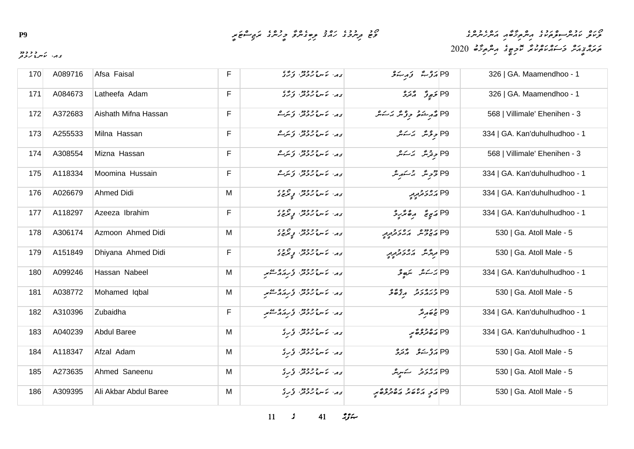*sCw7q7s5w7m< o<n9nOoAw7o< sCq;mAwBoEw7q<m; wBm;vB* م من المسجد المسجد المسجد المسجد المسجد العام 2020<br>مسجد المسجد المسجد المسجد المسجد المسجد المسجد المسجد المسجد ال

| A089716 | Afsa Faisal           | F           | ى پەر سەسى ئەرەپىيە بەر ئەرى                  | P9  تەۋىبە   تەرىبەتى                                                                                 | 326   GA. Maamendhoo - 1      |
|---------|-----------------------|-------------|-----------------------------------------------|-------------------------------------------------------------------------------------------------------|-------------------------------|
| A084673 | Latheefa Adam         | F           | ى يەسىدىق ئەسىرى                              | P9 خ <sub>جو</sub> ز گ <sup>ی</sup> رو                                                                | 326   GA. Maamendhoo - 1      |
| A372683 | Aishath Mifna Hassan  | F           | ى مەسىرىدى ئەس                                | P9 مەم ئىكىم بورىتىر برىكىش                                                                           | 568   Villimale' Ehenihen - 3 |
| A255533 | Milna Hassan          | $\mathsf F$ | ى مەسىرىدى كەيرى                              | P9  موعد    پرستدانلار                                                                                | 334   GA. Kan'duhulhudhoo - 1 |
| A308554 | Mizna Hassan          | F           | ى مەسىرىدى ئەس                                | P9 <sub>حي</sub> قرينگ - ټرېنگر-                                                                      | 568   Villimale' Ehenihen - 3 |
| A118334 | Moomina Hussain       | $\mathsf F$ | ى مەسىرىدى ئەس ھ                              | P9 تۇم مىگە مەسكەر بىر                                                                                | 334   GA. Kan'duhulhudhoo - 1 |
| A026679 | <b>Ahmed Didi</b>     | M           | وړ کمس کرونو ده.<br>د کمس کرونو و مربع د      | P9 كەندى قرىرىر                                                                                       | 334   GA. Kan'duhulhudhoo - 1 |
| A118297 | Azeeza Ibrahim        | F           | وړ که سره کرونو کې وه ده د                    | P9 <i>ھَي</i> ۽ مَّ مِنْ مُحَمَّدٍ حَ                                                                 | 334   GA. Kan'duhulhudhoo - 1 |
| A306174 | Azmoon Ahmed Didi     | M           | ودر کاسی گروژه و مربع و                       | P9  م دوده مله مرکز در مربر بر                                                                        | 530   Ga. Atoll Male - 5      |
| A151849 | Dhiyana Ahmed Didi    | F           | ده ۱۰ کمبره کرده.<br>ده اکمبره کردن او مربع د | P9 مرتزنٹر <i>مرکز کو تو</i> مبرمبر                                                                   | 530   Ga. Atoll Male - 5      |
| A099246 | Hassan Nabeel         | M           | ى رەپ ئەس بەرەپ بەرەپ ئەبر                    | P9   يَرْسَدُ مَنْ مَوْقَى                                                                            | 334   GA. Kan'duhulhudhoo - 1 |
| A038772 | Mohamed Iqbal         | M           | ى دار مىكسى مەركەم بەر ئەرگە ئىسىمبە          | P9 درور در وی                                                                                         | 530   Ga. Atoll Male - 5      |
| A310396 | Zubaidha              | F           | ى رەپ ئەس بەرەپ بەرەپ                         | P9 نج ھَ مِ <b>ر</b> مَّد                                                                             | 334   GA. Kan'duhulhudhoo - 1 |
| A040239 | <b>Abdul Baree</b>    | M           | ى دىن ئەس 299.9 كى ئى كى                      | P9 كەھ تىر بۇ ھەمبە                                                                                   | 334   GA. Kan'duhulhudhoo - 1 |
| A118347 | Afzal Adam            | M           | ى مەسىم ئىر قرىرى ئەرى                        | P9 پژوٽو گھڙو                                                                                         | 530   Ga. Atoll Male - 5      |
| A273635 | Ahmed Saneenu         | M           | ی در ان که در دوران و بازاد                   | P9 ړیروته شورېګر                                                                                      | 530   Ga. Atoll Male - 5      |
| A309395 | Ali Akbar Abdul Baree | M           | ى مەس ئەس ئەرەپ ئەس ئە                        | P9 كم مركز كان من من المركزة المحمد بير المحمد المحمد بير المحمد المحمد المحمد المحمد المحمد المحمد ا | 530   Ga. Atoll Male - 5      |
|         |                       |             |                                               |                                                                                                       |                               |

*r@q:q5qF7m; .<C*

 $11$  *s* 41 *i*<sub>S</sub> $\approx$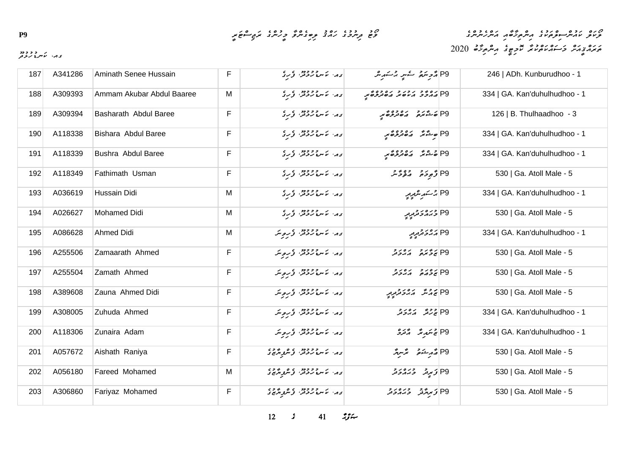*sCw7q7s5w7m< o<n9nOoAw7o< sCq;mAwBoEw7q<m; wBm;vB* م من المسجد المسجد المسجد المسجد المسجد العام 2020<br>مسجد المسجد المسجد المسجد المسجد المسجد المسجد المسجد المسجد ال

| 187 | A341286 | Aminath Senee Hussain     | F           | دەر، ئاسا ئىگەنىڭ كۆرى                                                                                         | P9 مٌ <i>جِ مَرْمَ مُ</i> سُورٍ بِرُ سَورِ مِرْ | 246   ADh. Kunburudhoo - 1    |
|-----|---------|---------------------------|-------------|----------------------------------------------------------------------------------------------------------------|-------------------------------------------------|-------------------------------|
| 188 | A309393 | Ammam Akubar Abdul Baaree | M           |                                                                                                                | P9 روم و دورو روووځي                            | 334   GA. Kan'duhulhudhoo - 1 |
| 189 | A309394 | Basharath Abdul Baree     | $\mathsf F$ | دەر، ئاسا ئىردون كۆرى                                                                                          | P9 ھَڪْمَرَ ۾ مُھَرَوُھُمِ                      | 126   B. Thulhaadhoo - 3      |
| 190 | A118338 | Bishara Abdul Baree       | $\mathsf F$ | ى دى. ئەس كەردى ئۇرى                                                                                           | P9 صنع مقدمة مردة مر                            | 334   GA. Kan'duhulhudhoo - 1 |
| 191 | A118339 | <b>Bushra Abdul Baree</b> | F           | ) ده. کاسه درود. د درد                                                                                         | P9 صُشرَتَر رَصْرَوْصَبِرِ                      | 334   GA. Kan'duhulhudhoo - 1 |
| 192 | A118349 | Fathimath Usman           | $\mathsf F$ | ى پەر سەسى ئەرەپ كەر ئ                                                                                         | P9 <i>وَ<sub>ج</sub>ودَة مَ</i> فْرَةَ مَر      | 530   Ga. Atoll Male - 5      |
| 193 | A036619 | <b>Hussain Didi</b>       | M           | ى پەر سەسى ئەرەپ كەر ئ                                                                                         | P9 كەسكەر نىگەرىر                               | 334   GA. Kan'duhulhudhoo - 1 |
| 194 | A026627 | <b>Mohamed Didi</b>       | M           | ى مەس ئەرەپ ئەس ئەرىپى<br>ئەمەس ئەس ئەرىپى ئەرىپى                                                              | P9 دُبَہ دَ تَرْمِرِمِرِ                        | 530   Ga. Atoll Male - 5      |
| 195 | A086628 | Ahmed Didi                | M           | ا دەر، ئەس 222 كى ئار بولىكە                                                                                   | P9 كەپرى قرىرىر                                 | 334   GA. Kan'duhulhudhoo - 1 |
| 196 | A255506 | Zamaarath Ahmed           | $\mathsf F$ | ى مەسىم ئىقلىق ئۇرۇپتى                                                                                         | P9 يَحْتَمُو بِرَوْمِرْ                         | 530   Ga. Atoll Male - 5      |
| 197 | A255504 | Zamath Ahmed              | $\mathsf F$ | ى مەسىم ئىقتى ئۇرۇپتى                                                                                          | P9 يحصى مدور                                    | 530   Ga. Atoll Male - 5      |
| 198 | A389608 | Zauna Ahmed Didi          | $\mathsf F$ | ىد ، ئاسەردە بۇرەپتە                                                                                           | P9 ى ترىش بەر ئەترىرىر بەر                      | 530   Ga. Atoll Male - 5      |
| 199 | A308005 | Zuhuda Ahmed              | F           | ى مەسىم ئىقلىق ئۇرۇش                                                                                           | P9  يحر <sup>و</sup> ر كەردى كەن                | 334   GA. Kan'duhulhudhoo - 1 |
| 200 | A118306 | Zunaira Adam              | F           | ى مەس ئەس ئەرەپ كەن بىرى بىر بەر ئەن بىر بەر ئەن بىر بىر بەر ئەن بىر بەر بىر بەر بىر بەر بىر بەر بەر بەر بەر ب | P9 ىن <i>مكرىتى مەقرى</i>                       | 334   GA. Kan'duhulhudhoo - 1 |
| 201 | A057672 | Aishath Raniya            | F           | در که موج دود و شوده د                                                                                         | P9 مُ مِسْدَمْ مُحْسِرَتُر                      | 530   Ga. Atoll Male - 5      |
| 202 | A056180 | <b>Fareed Mohamed</b>     | M           |                                                                                                                | P9 وَمَرِيْرٌ وَيَرْدُونَّرْ                    | 530   Ga. Atoll Male - 5      |
| 203 | A306860 | Fariyaz Mohamed           | F           | در که موج دود و شوده د                                                                                         | P9 كەيپەتكەر ئەمەر ئەرەپىر                      | 530   Ga. Atoll Male - 5      |

*r@q:q5qF7m; .<C*

 $12$  *s*  $41$  *n*<sub>y</sub>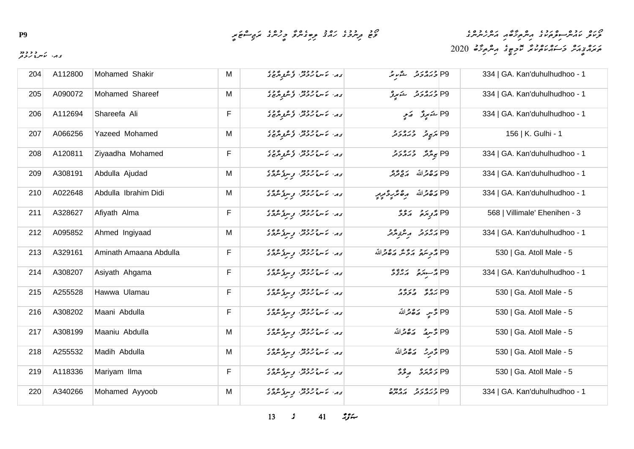*sCw7q7s5w7m< o<n9nOoAw7o< sCq;mAwBoEw7q<m; wBm;vB* م من المسجد المسجد المسجد المسجد المسجد العام 2020<br>مسجد المسجد المسجد المسجد المسجد المسجد المسجد المسجد المسجد ال

| ود. ناس دوده و ه و و و و و<br>P9  <i>وبرووير</i> ش <sub>ك</sub> برو<br>A090072<br>Mohamed Shareef<br>M<br>334   GA. Kan'duhulhudhoo - 1<br>205<br>در که سوم دور و مورده د<br>P9 شەمرِتْز كەمچ<br>Shareefa Ali<br>F<br>A112694<br>334   GA. Kan'duhulhudhoo - 1<br>206<br>ووس کا سره روود ده ده او وارد و د<br>P9  ترىپەتر - ئ <i>ەنە</i> كەتر<br>A066256<br>Yazeed Mohamed<br>156   K. Gulhi - 1<br>M<br>207<br>P9 يې تر <i>تر 3 تر 25 تر</i><br>  د پر ۱۰ کامل در ۱۶۶۶ ورځ ورځ د ده د کامل کړي.<br>  د پر ۱۰ کامل کامل کومل کوملي کري د<br>A120811<br>Ziyaadha Mohamed<br>F<br>334   GA. Kan'duhulhudhoo - 1<br>208<br>P9 مَەمْراللە مَەمَّتْرَىمْر<br>ود. نکسه دوده. وسویسی<br>334   GA. Kan'duhulhudhoo - 1<br>A308191<br>M<br>209<br>Abdulla Ajudad<br>در که مورده وسره مورد<br>P9 كەھەراللە م <i>وھەتگەر ۋەر</i> بىر<br>A022648<br>Abdulla Ibrahim Didi<br>M<br>334   GA. Kan'duhulhudhoo - 1<br>210<br>P9 <i>مُّ وِمَّرَة مَ</i> حْرَّ<br>در که دوده وسرگاه د<br>211<br>A328627<br>Afiyath Alma<br>F<br>568   Villimale' Ehenihen - 3<br>  در ۱۰ سوم دوره وسوم ۲۵۰۰<br>P9 كەبرى قىر مەشت <u>و</u> پرىتر<br>334   GA. Kan'duhulhudhoo - 1<br>212<br>A095852<br>Ahmed Ingiyaad<br>M<br>  در ۱۰ سوم دوره وسوم ۲۵۰۰<br>P9 مَّ <i>جِ سَعْدَ مَ</i> حَسَّرَ مَ <i>حْ</i> مَرْاللّه<br>F<br>213<br>A329161<br>Aminath Amaana Abdulla<br>530   Ga. Atoll Male - 5<br>F<br>در که دوده وسرگاه د<br>P9 مُ سِيرَةٍ مَدَوَّدَّ<br>214<br>A308207<br>334   GA. Kan'duhulhudhoo - 1<br>Asiyath Ahgama<br>$2522$ $22$ $P9$<br>در که دوده وسرگاه د<br>A255528<br>Hawwa Ulamau<br>F<br>530   Ga. Atoll Male - 5<br>215<br>در که مورده وسرگاه د<br>P9 قَرْسٍ صَ <b>صَ</b> قَرْاللَّه<br>F<br>A308202<br>Maani Abdulla<br>530   Ga. Atoll Male - 5<br>216<br>P9 قَرْسِيْتُ صَدَّقَتْدَاللَّهُ<br>در که دوده وسرگاه د<br>A308199<br>Maaniu Abdulla<br>530   Ga. Atoll Male - 5<br>217<br>M<br>P9 قَرْمِرْتْہ مَ <b>صْحَ</b> رْاللّه<br>218<br>A255532<br>در که دوده وسرگاه د<br>Madih Abdulla<br>M<br>530   Ga. Atoll Male - 5<br>P9 كا يمريز محمد المحمدة المحمدة المحمدة المحمدة المحمدة المحمدة المحمدة المحمدة المحمدة المحمدة الم<br>F<br>در که مورده وسرگاه د<br>A118336<br>530   Ga. Atoll Male - 5<br>219<br>Mariyam Ilma<br>P9 כנסנכ נהתם<br>در کمیں دورہ دیں دی۔<br>در کمیں روس وسرونیوی<br>A340266<br>Mohamed Ayyoob<br>334   GA. Kan'duhulhudhoo - 1<br>220<br>M | 204 | A112800 | Mohamed Shakir | M | ى مەسىم ئىرەپ كەش ئەرەپىي ئەرەپىي ئەرەپىي ئەرەپ ئەرەپ ئەرەپ كەن ئەرەپ كەن ئەرەپ كەن ئەرەپ كەن ئەرەپ كەن ئەرەپ |  | 334   GA. Kan'duhulhudhoo - 1 |
|---------------------------------------------------------------------------------------------------------------------------------------------------------------------------------------------------------------------------------------------------------------------------------------------------------------------------------------------------------------------------------------------------------------------------------------------------------------------------------------------------------------------------------------------------------------------------------------------------------------------------------------------------------------------------------------------------------------------------------------------------------------------------------------------------------------------------------------------------------------------------------------------------------------------------------------------------------------------------------------------------------------------------------------------------------------------------------------------------------------------------------------------------------------------------------------------------------------------------------------------------------------------------------------------------------------------------------------------------------------------------------------------------------------------------------------------------------------------------------------------------------------------------------------------------------------------------------------------------------------------------------------------------------------------------------------------------------------------------------------------------------------------------------------------------------------------------------------------------------------------------------------------------------------------------------------------------------------------------------------------------------------------------------------------------------------------------------------------------------------------------------------------------------------------------------------------------------------------------------------------------------------------------------------------------------------------------------------------------------------|-----|---------|----------------|---|---------------------------------------------------------------------------------------------------------------|--|-------------------------------|
|                                                                                                                                                                                                                                                                                                                                                                                                                                                                                                                                                                                                                                                                                                                                                                                                                                                                                                                                                                                                                                                                                                                                                                                                                                                                                                                                                                                                                                                                                                                                                                                                                                                                                                                                                                                                                                                                                                                                                                                                                                                                                                                                                                                                                                                                                                                                                               |     |         |                |   |                                                                                                               |  |                               |
|                                                                                                                                                                                                                                                                                                                                                                                                                                                                                                                                                                                                                                                                                                                                                                                                                                                                                                                                                                                                                                                                                                                                                                                                                                                                                                                                                                                                                                                                                                                                                                                                                                                                                                                                                                                                                                                                                                                                                                                                                                                                                                                                                                                                                                                                                                                                                               |     |         |                |   |                                                                                                               |  |                               |
|                                                                                                                                                                                                                                                                                                                                                                                                                                                                                                                                                                                                                                                                                                                                                                                                                                                                                                                                                                                                                                                                                                                                                                                                                                                                                                                                                                                                                                                                                                                                                                                                                                                                                                                                                                                                                                                                                                                                                                                                                                                                                                                                                                                                                                                                                                                                                               |     |         |                |   |                                                                                                               |  |                               |
|                                                                                                                                                                                                                                                                                                                                                                                                                                                                                                                                                                                                                                                                                                                                                                                                                                                                                                                                                                                                                                                                                                                                                                                                                                                                                                                                                                                                                                                                                                                                                                                                                                                                                                                                                                                                                                                                                                                                                                                                                                                                                                                                                                                                                                                                                                                                                               |     |         |                |   |                                                                                                               |  |                               |
|                                                                                                                                                                                                                                                                                                                                                                                                                                                                                                                                                                                                                                                                                                                                                                                                                                                                                                                                                                                                                                                                                                                                                                                                                                                                                                                                                                                                                                                                                                                                                                                                                                                                                                                                                                                                                                                                                                                                                                                                                                                                                                                                                                                                                                                                                                                                                               |     |         |                |   |                                                                                                               |  |                               |
|                                                                                                                                                                                                                                                                                                                                                                                                                                                                                                                                                                                                                                                                                                                                                                                                                                                                                                                                                                                                                                                                                                                                                                                                                                                                                                                                                                                                                                                                                                                                                                                                                                                                                                                                                                                                                                                                                                                                                                                                                                                                                                                                                                                                                                                                                                                                                               |     |         |                |   |                                                                                                               |  |                               |
|                                                                                                                                                                                                                                                                                                                                                                                                                                                                                                                                                                                                                                                                                                                                                                                                                                                                                                                                                                                                                                                                                                                                                                                                                                                                                                                                                                                                                                                                                                                                                                                                                                                                                                                                                                                                                                                                                                                                                                                                                                                                                                                                                                                                                                                                                                                                                               |     |         |                |   |                                                                                                               |  |                               |
|                                                                                                                                                                                                                                                                                                                                                                                                                                                                                                                                                                                                                                                                                                                                                                                                                                                                                                                                                                                                                                                                                                                                                                                                                                                                                                                                                                                                                                                                                                                                                                                                                                                                                                                                                                                                                                                                                                                                                                                                                                                                                                                                                                                                                                                                                                                                                               |     |         |                |   |                                                                                                               |  |                               |
|                                                                                                                                                                                                                                                                                                                                                                                                                                                                                                                                                                                                                                                                                                                                                                                                                                                                                                                                                                                                                                                                                                                                                                                                                                                                                                                                                                                                                                                                                                                                                                                                                                                                                                                                                                                                                                                                                                                                                                                                                                                                                                                                                                                                                                                                                                                                                               |     |         |                |   |                                                                                                               |  |                               |
|                                                                                                                                                                                                                                                                                                                                                                                                                                                                                                                                                                                                                                                                                                                                                                                                                                                                                                                                                                                                                                                                                                                                                                                                                                                                                                                                                                                                                                                                                                                                                                                                                                                                                                                                                                                                                                                                                                                                                                                                                                                                                                                                                                                                                                                                                                                                                               |     |         |                |   |                                                                                                               |  |                               |
|                                                                                                                                                                                                                                                                                                                                                                                                                                                                                                                                                                                                                                                                                                                                                                                                                                                                                                                                                                                                                                                                                                                                                                                                                                                                                                                                                                                                                                                                                                                                                                                                                                                                                                                                                                                                                                                                                                                                                                                                                                                                                                                                                                                                                                                                                                                                                               |     |         |                |   |                                                                                                               |  |                               |
|                                                                                                                                                                                                                                                                                                                                                                                                                                                                                                                                                                                                                                                                                                                                                                                                                                                                                                                                                                                                                                                                                                                                                                                                                                                                                                                                                                                                                                                                                                                                                                                                                                                                                                                                                                                                                                                                                                                                                                                                                                                                                                                                                                                                                                                                                                                                                               |     |         |                |   |                                                                                                               |  |                               |
|                                                                                                                                                                                                                                                                                                                                                                                                                                                                                                                                                                                                                                                                                                                                                                                                                                                                                                                                                                                                                                                                                                                                                                                                                                                                                                                                                                                                                                                                                                                                                                                                                                                                                                                                                                                                                                                                                                                                                                                                                                                                                                                                                                                                                                                                                                                                                               |     |         |                |   |                                                                                                               |  |                               |
|                                                                                                                                                                                                                                                                                                                                                                                                                                                                                                                                                                                                                                                                                                                                                                                                                                                                                                                                                                                                                                                                                                                                                                                                                                                                                                                                                                                                                                                                                                                                                                                                                                                                                                                                                                                                                                                                                                                                                                                                                                                                                                                                                                                                                                                                                                                                                               |     |         |                |   |                                                                                                               |  |                               |
|                                                                                                                                                                                                                                                                                                                                                                                                                                                                                                                                                                                                                                                                                                                                                                                                                                                                                                                                                                                                                                                                                                                                                                                                                                                                                                                                                                                                                                                                                                                                                                                                                                                                                                                                                                                                                                                                                                                                                                                                                                                                                                                                                                                                                                                                                                                                                               |     |         |                |   |                                                                                                               |  |                               |
|                                                                                                                                                                                                                                                                                                                                                                                                                                                                                                                                                                                                                                                                                                                                                                                                                                                                                                                                                                                                                                                                                                                                                                                                                                                                                                                                                                                                                                                                                                                                                                                                                                                                                                                                                                                                                                                                                                                                                                                                                                                                                                                                                                                                                                                                                                                                                               |     |         |                |   |                                                                                                               |  |                               |

*r@q:q5qF7m; .<C*

 $13$  *s* **41** *n***<sub>s</sub>**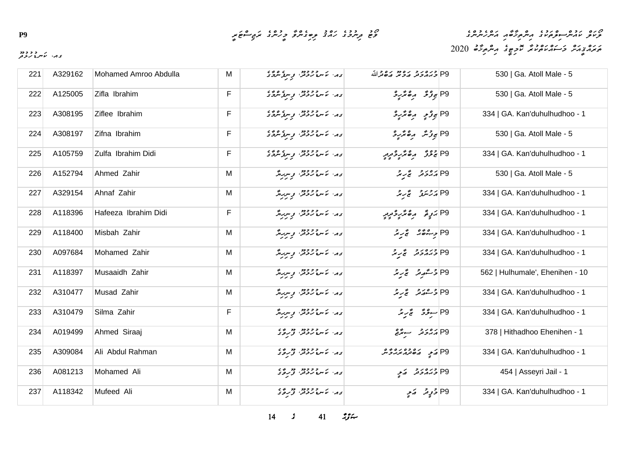*sCw7q7s5w7m< o<n9nOoAw7o< sCq;mAwBoEw7q<m; wBm;vB* م من المرة المرة المرة المرجع المرجع في المركبة 2020<br>مجم*د المريض المربوط المربع المرجع في المراجع المركبة* 

| 221 | A329162 | Mohamed Amroo Abdulla | M           | ى د. ، ئەس رودو. بې سۆسى دى              | P9  <i>وبرورو مروج مك</i> ومرالله    | 530   Ga. Atoll Male - 5        |
|-----|---------|-----------------------|-------------|------------------------------------------|--------------------------------------|---------------------------------|
| 222 | A125005 | Zifla Ibrahim         | F           | در که دوده وسرگاه د                      | P9  يوثۇ مەھەرد                      | 530   Ga. Atoll Male - 5        |
| 223 | A308195 | Ziflee Ibrahim        | F           | در که دوده وسرگاه د                      | P9 <sub>مح</sub> وی م <i>ی شرک</i> و | 334   GA. Kan'duhulhudhoo - 1   |
| 224 | A308197 | Zifna Ibrahim         | F           | در که دوده وسرگاه د                      | P9 يورْ شَر مِرْھ مَّرْرِدْ          | 530   Ga. Atoll Male - 5        |
| 225 | A105759 | Zulfa Ibrahim Didi    | F           | در کمی دوود.<br>در کمیواروش و سروسرد     | P9 يحوز مەھەر دىرىر                  | 334   GA. Kan'duhulhudhoo - 1   |
| 226 | A152794 | Ahmed Zahir           | M           | ى مەسىمەت 22 دەرە بەر بىر بىر بىر ئىس    | P9   كەندى كىلى ئىس ئىرىتىلىكى بىر   | 530   Ga. Atoll Male - 5        |
| 227 | A329154 | Ahnaf Zahir           | M           | ى مەسىمەت 22 دەرە بەر بىر بىر بىر ئىس    | P9  كەشرىق ئىچ بەش                   | 334   GA. Kan'duhulhudhoo - 1   |
| 228 | A118396 | Hafeeza Ibrahim Didi  | $\mathsf F$ | ا دەر، ئاس 232 كۈنى بولىرىدىگە           | P9 جَرِيعٌ مِنْ مُحْرِكِ وَمِنْدِ    | 334   GA. Kan'duhulhudhoo - 1   |
| 229 | A118400 | Misbah Zahir          | M           | ى مەسىمەت 22 دەرە بەر بىر بىر بىر ئىس    | P9 ج <i>بگھن</i> گ گھریز             | 334   GA. Kan'duhulhudhoo - 1   |
| 230 | A097684 | Mohamed Zahir         | M           |                                          | P9 دُيَرْدْدَتْرَ گَيْ بِدْ          | 334   GA. Kan'duhulhudhoo - 1   |
| 231 | A118397 | Musaaidh Zahir        | M           | ى مەسىم ئىقلىقى ئەسىرلىگە                | P9 تر محمد پر مح پ                   | 562   Hulhumale', Ehenihen - 10 |
| 232 | A310477 | Musad Zahir           | M           | ى مەسىمەت 22 دەرە بەر بىر بىر بىر ئىس    | P9 ت <i>ح شهر شهر باز ب</i> ر        | 334   GA. Kan'duhulhudhoo - 1   |
| 233 | A310479 | Silma Zahir           | F           | ى مەسىم ئىقلىقى ئەسىرلىگە                | P9 سبۇق ئ <sub>ى مى</sub> ر          | 334   GA. Kan'duhulhudhoo - 1   |
| 234 | A019499 | Ahmed Siraaj          | M           | در که سرگردور در در                      | P9 <i>مَدْدَوْمَ</i> سِعْدَةِ        | 378   Hithadhoo Ehenihen - 1    |
| 235 | A309084 | Ali Abdul Rahman      | M           | در که سرگردو و در در                     | P9 كمي كا كان دەر ئالىرى بىر         | 334   GA. Kan'duhulhudhoo - 1   |
| 236 | A081213 | Mohamed Ali           | M           | در که سرگردور در در                      | P9 ديرورو کړې                        | 454   Asseyri Jail - 1          |
| 237 | A118342 | Mufeed Ali            | M           | در که سرگردن و ده.<br>در که سرگردن و برگ | P9 څوپه ک <i>ې</i> په                | 334   GA. Kan'duhulhudhoo - 1   |

 $14$  *s*  $41$  *n*<sub>y</sub>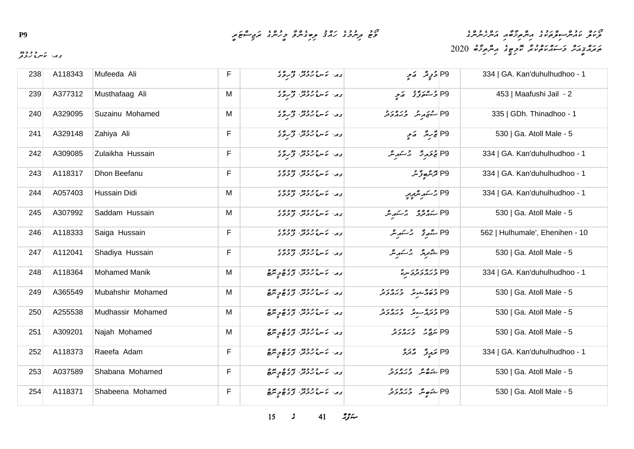*sCw7q7s5w7m< o<n9nOoAw7o< sCq;mAwBoEw7q<m; wBm;vB* م من المسجد المسجد المسجد المسجد المسجد العام 2020<br>مسجد المسجد المسجد المسجد المسجد المسجد المسجد المسجد المسجد ال

| 238 | A118343 | Mufeeda Ali          | F           | ى ئەستۇر 322 - 323 كەنبە                                                                                                                                                                                                        | P9 څوړنگر کمکمي                                   | 334   GA. Kan'duhulhudhoo - 1   |
|-----|---------|----------------------|-------------|---------------------------------------------------------------------------------------------------------------------------------------------------------------------------------------------------------------------------------|---------------------------------------------------|---------------------------------|
| 239 | A377312 | Musthafaag Ali       | M           | د پر کامل دوور دو دره د                                                                                                                                                                                                         | P9 تر صورتي تر <sub>م</sub> ر                     | 453   Maafushi Jail - 2         |
| 240 | A329095 | Suzainu Mohamed      | M           | در که سرگردن و ده د                                                                                                                                                                                                             | P9 جۇم بىر ئەم ئەر ئىس                            | 335   GDh. Thinadhoo - 1        |
| 241 | A329148 | Zahiya Ali           | $\mathsf F$ | . ده ۱۰ کاملی کرده در این در این در این در این در این در این در این در این در این در این در این در این در این<br>در این در این در این در این در این در این در این در این در این در این در این در این در این در این در این در ای | P9 تج پېڅنه ځې په                                 | 530   Ga. Atoll Male - 5        |
| 242 | A309085 | Zulaikha Hussain     | F           | در که سرگردن و رود                                                                                                                                                                                                              | P9 ىخ ترىر ئى سىمبە شەر بىر                       | 334   GA. Kan'duhulhudhoo - 1   |
| 243 | A118317 | Dhon Beefanu         | $\mathsf F$ | د در دورو دوده دور<br>در کاس رونر و دود                                                                                                                                                                                         | P9 مَرْسْعِورٌ تَرْ                               | 334   GA. Kan'duhulhudhoo - 1   |
| 244 | A057403 | Hussain Didi         | M           | د در دورور دوده ده.<br>در کامن ملائن ولاده                                                                                                                                                                                      | P9 كەسكەر ن <i>ى</i> رتىرىر                       | 334   GA. Kan'duhulhudhoo - 1   |
| 245 | A307992 | Saddam Hussain       | M           | د در سرگرفتن دوره در<br>در سرگرفتن و درد                                                                                                                                                                                        | P9 ينه <i>وفرد بي شهر مثل</i>                     | 530   Ga. Atoll Male - 5        |
| 246 | A118333 | Saiga Hussain        | F           |                                                                                                                                                                                                                                 | P9 جنم <i>ي ٿي جي شمب</i> هر                      | 562   Hulhumale', Ehenihen - 10 |
| 247 | A112041 | Shadiya Hussain      | F           | ووس که در دوره در دره در<br>در که سرد برفر از نورد                                                                                                                                                                              | P9 شَعرِ جَرْ سَمَ مِسْ مِرْ مِسْرِ مِسْرِ مِسْرِ | 530   Ga. Atoll Male - 5        |
| 248 | A118364 | <b>Mohamed Manik</b> | M           | ورسكس وودوس يولاه مده                                                                                                                                                                                                           | P9 دېزو د ترو سربر                                | 334   GA. Kan'duhulhudhoo - 1   |
| 249 | A365549 | Mubahshir Mohamed    | M           | ور که سومرور بره در بره<br>در که سومرور وره دیگر                                                                                                                                                                                | P9 جەھ شىر ئەس ئەر بەر بەر بەر ئەر 199 كىلەر بول  | 530   Ga. Atoll Male - 5        |
| 250 | A255538 | Mudhassir Mohamed    | M           | ود. که سره رود در پره ده<br>در که سره روتر، زاد ه چاپ                                                                                                                                                                           | P9 د ترو با د با د د د د د                        | 530   Ga. Atoll Male - 5        |
| 251 | A309201 | Najah Mohamed        | M           | ور که سره دود بوده و بره<br>در که سره روتر و د ه د ش                                                                                                                                                                            | P9  برقائر    ويرود تر                            | 530   Ga. Atoll Male - 5        |
| 252 | A118373 | Raeefa Adam          | F           | ور که سره دود بوده و بره<br>ور که سره روتر و د ه د ش                                                                                                                                                                            | P9 يَرْمِ وَ " دُنْرَدُ                           | 334   GA. Kan'duhulhudhoo - 1   |
| 253 | A037589 | Shabana Mohamed      | F           | ور که سره دود بوده و بره<br>در که سره روتر و د ه د ش                                                                                                                                                                            | P9 خەھ شەرەر دېرىدىن                              | 530   Ga. Atoll Male - 5        |
| 254 | A118371 | Shabeena Mohamed     | F           | ور که سومرور بره در بره<br>در که سومرور وره دیگر                                                                                                                                                                                | P9 خَمَصٍ مَرَّ دَبَرْ مَرْدَ مَرَ                | 530   Ga. Atoll Male - 5        |

*r@q:q5qF7m; .<C*

 $15$  *s* **41**  $29$   $\leftarrow$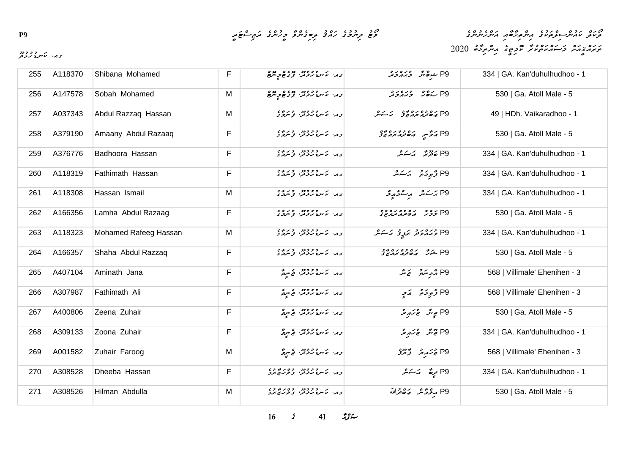*sCw7q7s5w7m< o<n9nOoAw7o< sCq;mAwBoEw7q<m; wBm;vB* م من المسجد المسجد المسجد المسجد المسجد العام 2020<br>مسجد المسجد المسجد المسجد المسجد المسجد المسجد المسجد المسجد ال

| 255 | A118370 | Shibana Mohamed       | F           | در که دوره بره در بره                                                                                         | P9 حو <i>ھُنگ ديم</i> دير                     | 334   GA. Kan'duhulhudhoo - 1 |
|-----|---------|-----------------------|-------------|---------------------------------------------------------------------------------------------------------------|-----------------------------------------------|-------------------------------|
| 256 | A147578 | Sobah Mohamed         | М           | ور. کاس دووو بوده و بره<br>در کاس روتر، ژوه و ش                                                               | P9 يەن قەدەر د                                | 530   Ga. Atoll Male - 5      |
| 257 | A037343 | Abdul Razzaq Hassan   | M           | גני מייש בכפר בניפט.<br>גני מייש היבט, ציינבצ                                                                 | P9 مەھ <i>ىرم بىرم ئىچ تەركى</i> گىر          | 49   HDh. Vaikaradhoo - 1     |
| 258 | A379190 | Amaany Abdul Razaaq   | F           | גורי מייש בכפר בריכי<br>גורי מייש בישל                                                                        | P9 كەڭس كەھلەممەدە بوھ                        | 530   Ga. Atoll Male - 5      |
| 259 | A376776 | Badhoora Hassan       | F           | גם מייש בכפר בניבי                                                                                            | P9 ھۆرىگە ئەسكەنلەر                           | 334   GA. Kan'duhulhudhoo - 1 |
| 260 | A118319 | Fathimath Hassan      | $\mathsf F$ | גני מייפריקי בינטי<br>בני מייפריפי ציינטי                                                                     | P9 ۇ <sub>ج</sub> وڭ ئەسەملە                  | 334   GA. Kan'duhulhudhoo - 1 |
| 261 | A118308 | Hassan Ismail         | M           | ی دادن که در دور اور داده که در این داده که داده که داده که داده که داده که داده که داده که داده که داده که د | P9  >ِ سَامَدْ   مِرِ سُاءَ مِرِ قَرْ         | 334   GA. Kan'duhulhudhoo - 1 |
| 262 | A166356 | Lamha Abdul Razaag    | F           | د رسمه دوود وره د<br>در سمبرد روتر، وسرود                                                                     | P9 خر <i>ې په موه پرو</i> مونو                | 530   Ga. Atoll Male - 5      |
| 263 | A118323 | Mohamed Rafeeg Hassan | M           | גני עיט דרכבי ביינבט<br>גני עיט גענט ביינבט                                                                   |                                               | 334   GA. Kan'duhulhudhoo - 1 |
| 264 | A166357 | Shaha Abdul Razzaq    | F           | גני מייש בכפר בניבט.<br>גני מייש היבט, ציינבט                                                                 | P9 شرش مەھەرەم دەھ بو                         | 530   Ga. Atoll Male - 5      |
| 265 | A407104 | Aminath Jana          | $\mathsf F$ | ى پەر سەسى ئەرۋە ئەس ئى                                                                                       | P9 مَّ صِنَّعَهُ بِمَنَّد                     | 568   Villimale' Ehenihen - 3 |
| 266 | A307987 | Fathimath Ali         | F           | ى مەسى ئەرەپ كى سرچ                                                                                           | P9 وَّجِوحَةٌ صَعٍ                            | 568   Villimale' Ehenihen - 3 |
| 267 | A400806 | Zeena Zuhair          | F           | ى مەسىم ئەرەپ كى سرچ                                                                                          | P9 ي <sub>ج</sub> سَّر بح <i>ُ تَہُ</i> مِسْر | 530   Ga. Atoll Male - 5      |
| 268 | A309133 | Zoona Zuhair          | F           | ى مەس ئەر ئەقىرى كى سرچ                                                                                       | P9 تي تئر ہے تر ہر تئر                        | 334   GA. Kan'duhulhudhoo - 1 |
| 269 | A001582 | Zuhair Faroog         | M           | ى مەسىم ئىرىمى ئىس قىلىن ئى                                                                                   | P9 ى <i>ج ئەمەنگە</i> گەمچىتى                 | 568   Villimale' Ehenihen - 3 |
| 270 | A308528 | Dheeba Hassan         | F           | ده ۱۰ که سره ۱۵۶۶ وه بر ده ور<br>ده ۱۰ که سره سربوانو از برخوس مورد                                           | P9 مرٹھ کرکٹر                                 | 334   GA. Kan'duhulhudhoo - 1 |
| 271 | A308526 | Hilman Abdulla        | M           | ده ۱۰ که سره ۱۵۶۶ وه بر ده ور<br>ده ۱۰ که سره سربوانو از برخوس مورد                                           | P9 ب <i>ەۋتىر مەھى</i> راللە                  | 530   Ga. Atoll Male - 5      |

 $16$  *s* 41  $29$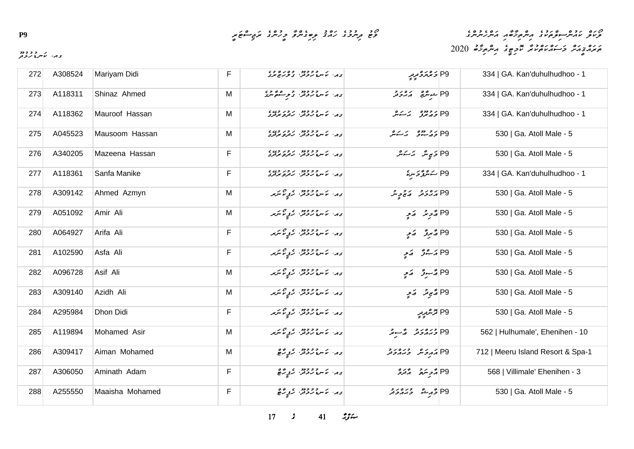*sCw7q7s5w7m< o<n9nOoAw7o< sCq;mAwBoEw7q<m; wBm;vB* م من المسجد المسجد المسجد المسجد المسجد العام 2020<br>مسجد المسجد المسجد المسجد المسجد المسجد المسجد المسجد المسجد ال

| 272 | A308524 | Mariyam Didi    | F | وه ۱۵۶۶ میلیود و ۲۵۶۶ و ده کار و ده کاری و ده کاری کاری در کاری کاری در کاری و در کاری و در کاری و د | P9 كەنگەنگە ئېرىپ <sub>ىي</sub>         | 334   GA. Kan'duhulhudhoo - 1     |
|-----|---------|-----------------|---|------------------------------------------------------------------------------------------------------|-----------------------------------------|-----------------------------------|
| 273 | A118311 | Shinaz Ahmed    | M | د د. که سره روبر در در در در در د                                                                    | P9 سىمى <i>گى كەندۇن</i> تر             | 334   GA. Kan'duhulhudhoo - 1     |
| 274 | A118362 | Mauroof Hassan  | M |                                                                                                      | P9 ئەمەمىز برىكەنگە                     | 334   GA. Kan'duhulhudhoo - 1     |
| 275 | A045523 | Mausoom Hassan  | M |                                                                                                      | P9  <i>خەير جوق برسكى</i> ر             | 530   Ga. Atoll Male - 5          |
| 276 | A340205 | Mazeena Hassan  | F | و د ۱۶ کمپنو د حود از برادار ودن د<br>او د ۱۶ کمپنو د سرفانو از مربو موفوری                          | P9 كۈيەنگە ئەسكەنلە                     | 530   Ga. Atoll Male - 5          |
| 277 | A118361 | Sanfa Manike    | F |                                                                                                      | P9 سەھدۇ ئەبرىئا                        | 334   GA. Kan'duhulhudhoo - 1     |
| 278 | A309142 | Ahmed Azmyn     | M | دەك مەس 2005 كى يىل مىكىر                                                                            | P9 <i>ג بروتر می پ</i> رتر              | 530   Ga. Atoll Male - 5          |
| 279 | A051092 | Amir Ali        | M | ى مەس ئەس ئەرەپ ئەر ئەسىر                                                                            | P9 محرجہ م <i>ج</i> ر                   | 530   Ga. Atoll Male - 5          |
| 280 | A064927 | Arifa Ali       | F | دەڪ ئەرەپ ئەرگەنگەندىن                                                                               | P9 صٌمِرَةٌ صَمِ                        | 530   Ga. Atoll Male - 5          |
| 281 | A102590 | Asfa Ali        | F | ىما ئەسەم دەھ ئاي ئاسىر                                                                              | P9 كەشىرى كەي <u>ر</u>                  | 530   Ga. Atoll Male - 5          |
| 282 | A096728 | Asif Ali        | M | ىمە ئەسلام 235 كى ئاسىر                                                                              | P9 صحب و صحيح م                         | 530   Ga. Atoll Male - 5          |
| 283 | A309140 | Azidh Ali       | M | ىما كەس دەپ كې ئەككەر                                                                                | P9 مُپومْ مَد <i>ِ</i>                  | 530   Ga. Atoll Male - 5          |
| 284 | A295984 | Dhon Didi       | F | ىمە ئەسلام 235 كى ئاسىر                                                                              | P9 كَرْسْمِيرِيرِ                       | 530   Ga. Atoll Male - 5          |
| 285 | A119894 | Mohamed Asir    | M | ا دەر، ئاس 1955م كىلى ئاسىرىلىر                                                                      | P9 دېم دي گه شور                        | 562   Hulhumale', Ehenihen - 10   |
| 286 | A309417 | Aiman Mohamed   | M | دړ٠ کاس کروندي کرو رکھ                                                                               | P9 <i>הُהְכَ</i> ית <i>כְּה</i> ְהُכִית | 712   Meeru Island Resort & Spa-1 |
| 287 | A306050 | Aminath Adam    | F | ى مەس ئەس ئۇر ئۇرگى ئۇرگى                                                                            | P9 مَّ <i>جِ سَعَةَ مُ</i> قَرَّدَ      | 568   Villimale' Ehenihen - 3     |
| 288 | A255550 | Maaisha Mohamed | F | ى مەس ئەر ئۇر ئۇرگى                                                                                  | P9 دَرِيمٌ دَيَرْ دَرَ                  | 530   Ga. Atoll Male - 5          |

*r@q:q5qF7m; .<C*

 $17$  *s*  $41$  *if*<sub>s</sub>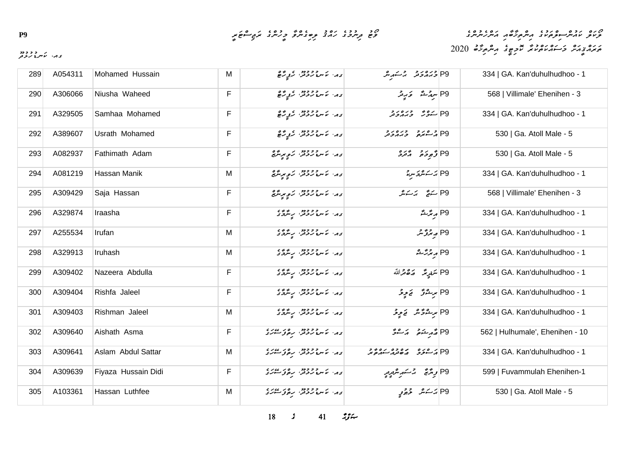*sCw7q7s5w7m< o<n9nOoAw7o< sCq;mAwBoEw7q<m; wBm;vB* م من المسجد المسجد المسجد المسجد المسجد العام 2020<br>مسجد المسجد المسجد المسجد المسجد المسجد المسجد المسجد المسجد ال

| 289 | A054311 | Mohamed Hussain     | м | ى ئەستەردە ئەرگە                                                                                                   | P9 <i>3223 جنرمبر</i><br>19 <i>5223 جنرمبر</i> | 334   GA. Kan'duhulhudhoo - 1   |
|-----|---------|---------------------|---|--------------------------------------------------------------------------------------------------------------------|------------------------------------------------|---------------------------------|
| 290 | A306066 | Niusha Waheed       | F | ى مەسىم ئىرىسى ئىرە ئىچ                                                                                            | P9 سرم <sup>2</sup> ے عربی تھ                  | 568   Villimale' Ehenihen - 3   |
| 291 | A329505 | Samhaa Mohamed      | F | ى مەسىم ئىرىسى ئىرىگ                                                                                               | P9 يدور وبرورو                                 | 334   GA. Kan'duhulhudhoo - 1   |
| 292 | A389607 | Usrath Mohamed      | F | ى دىستى ئەرەپ ئىستى ئەرەپ ئەرەپ ئەرەپ كەنتى ئاستان ئاستان ئاستان ئاستان ئالغان ئاستان ئالغان ئالغان ئالغان ئال     | P9 روبرو ورەرو                                 | 530   Ga. Atoll Male - 5        |
| 293 | A082937 | Fathimath Adam      | F | دە بە ئەس ئىردىن ئەھ بېرىترى                                                                                       | P9 وَّجِ دَمَ مَحْ مَرْدَّدَ                   | 530   Ga. Atoll Male - 5        |
| 294 | A081219 | Hassan Manik        | M | ى مەسىم ئىرى ئىچە ئىرىدىكى ئىس                                                                                     | P9 ئەسەھەسىد                                   | 334   GA. Kan'duhulhudhoo - 1   |
| 295 | A309429 | Saja Hassan         | F | ى مەس ئەس ئەرەر كەم بىر ئىگەنج                                                                                     | P9 سَمَةٌ بَرَسَ <i>م</i> َّرُ                 | 568   Villimale' Ehenihen - 3   |
| 296 | A329874 | Iraasha             | F | ى ئەستۇر دەپ ئەسىرى                                                                                                | P9 مرتمثہ                                      | 334   GA. Kan'duhulhudhoo - 1   |
| 297 | A255534 | Irufan              | M | ورسا المستحدث والمتحدث                                                                                             | P9 مەيزۇنتر                                    | 334   GA. Kan'duhulhudhoo - 1   |
| 298 | A329913 | Iruhash             | M | ى مەس ئىرودە بەلگە                                                                                                 | P9 مەترىشىشە                                   | 334   GA. Kan'duhulhudhoo - 1   |
| 299 | A309402 | Nazeera Abdulla     | F | ى مەس ئىرودە بەلگەن                                                                                                | P9 سَمْعِيصٌ صَ <b>صْ</b> قَرْاللَّه           | 334   GA. Kan'duhulhudhoo - 1   |
| 300 | A309404 | Rishfa Jaleel       | F | ى ئەستەر ئۇقتۇر بەشكەن                                                                                             | P9  مرڪو تي ت <sub>ح</sub> و                   | 334   GA. Kan'duhulhudhoo - 1   |
| 301 | A309403 | Rishman Jaleel      | M | ورسا المستحدث والمتحدث                                                                                             | P9 برىشۇش ق <sub>ى</sub> رۇ                    | 334   GA. Kan'duhulhudhoo - 1   |
| 302 | A309640 | Aishath Asma        | F | در که سوم دوه ره د برد .<br>در که سوم دون                                                                          | P9 مَّ مِـ شَعَرِ مَ سَعَرَ                    | 562   Hulhumale', Ehenihen - 10 |
| 303 | A309641 | Aslam Abdul Sattar  | M | د پر ۱۵ متر د ده د ۲۵ متر د ۲۵ متر د ۲۵ متر د جار د ۲۵ متر د ۲۵ متر د ۲۵ متر د ۲۵ متر د ۲۵ متر د ۲۵ متر د ۲۵<br> - | P9 كەسىرى كەندەر مەدەبىر                       | 334   GA. Kan'duhulhudhoo - 1   |
| 304 | A309639 | Fiyaza Hussain Didi | F | وړ . که سره د دوه . ره و . ده د .<br>د د . که سره برلونس ابده و سوبرو                                              | P9 <i>و مرَّجَ بِهُ سَمَ مِرْمُومِرِ</i>       | 599   Fuvammulah Ehenihen-1     |
| 305 | A103361 | Hassan Luthfee      | M | ى دەستەرەپەر ئەرە                                                                                                  | P9  پرستمبر قم <i>ج</i> ور                     | 530   Ga. Atoll Male - 5        |

*r@q:q5qF7m; .<C*

**18** *s* **41** *n***<sub>s</sub>**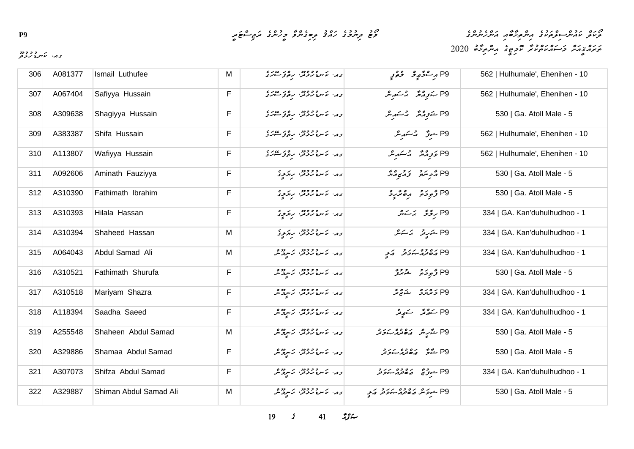*sCw7q7s5w7m< o<n9nOoAw7o< sCq;mAwBoEw7q<m; wBm;vB* م من المسجد المسجد المسجد المسجد المسجد العام 2020<br>مسجد المسجد المسجد المسجد المسجد المسجد المسجد المسجد المسجد ال

| 306 | A081377 | Ismail Luthufee        | M           | در که سادوده ره د سره                                                                                                                                                                                                          | P9 م <i>ې</i> شتۇمپىۋە مۇم <sub>ج</sub> ىر                                                                     | 562   Hulhumale', Ehenihen - 10 |
|-----|---------|------------------------|-------------|--------------------------------------------------------------------------------------------------------------------------------------------------------------------------------------------------------------------------------|----------------------------------------------------------------------------------------------------------------|---------------------------------|
| 307 | A067404 | Safiyya Hussain        | F           | ى مەسىرى بەھۇسىرى                                                                                                                                                                                                              | P9 ج <i>وړهنگ چرخورنگ</i> ر                                                                                    | 562   Hulhumale', Ehenihen - 10 |
| 308 | A309638 | Shagiyya Hussain       | F           | در ۱۰ سره درود ره در ۲۵ در                                                                                                                                                                                                     | P9 ڪنوند هڪ جي سندر مٿر                                                                                        | 530   Ga. Atoll Male - 5        |
| 309 | A383387 | Shifa Hussain          | F           | وړ . که سره د دوه . ره و . ده د .<br>وړ . که سره برلونس ابده و سوبرو                                                                                                                                                           | P9 خوتر کے شہر شر                                                                                              | 562   Hulhumale', Ehenihen - 10 |
| 310 | A113807 | Wafiyya Hussain        | F           | در که ساده ده در مصرف بردند و برای در این در این در این در این در این در این در این دست در این دست در این دست<br>در این که کارگران دست در این دست در این دست در این دست در این دست در این دست در این دست در این دست در این دست | P9 <i>قۇمىگە</i> جىسكىرىش                                                                                      | 562   Hulhumale', Ehenihen - 10 |
| 311 | A092606 | Aminath Fauziyya       | F           | ى مەس ئەس ئىرى ئىس بىر ئىرى ئە                                                                                                                                                                                                 | P9 مُتعِسَمُ وَمُتَمِمْ مُ                                                                                     | 530   Ga. Atoll Male - 5        |
| 312 | A310390 | Fathimath Ibrahim      | F           | دە بەس دودە بەرگە                                                                                                                                                                                                              | P9 <i>وَّجودَهُ م</i> ِ صُمَّرٍ وَ                                                                             | 530   Ga. Atoll Male - 5        |
| 313 | A310393 | Hilala Hassan          | $\mathsf F$ | در کاس کردود بازد د                                                                                                                                                                                                            | P9 رِوَّوَ كَرَسَسْ                                                                                            | 334   GA. Kan'duhulhudhoo - 1   |
| 314 | A310394 | Shaheed Hassan         | M           | ى مەسىم ئىردە ئەرىرى                                                                                                                                                                                                           | P9 ڪر <i>پيز برڪيز</i>                                                                                         | 334   GA. Kan'duhulhudhoo - 1   |
| 315 | A064043 | Abdul Samad Ali        | M           |                                                                                                                                                                                                                                | P9 كەھىركە سەرىر ھېج                                                                                           | 334   GA. Kan'duhulhudhoo - 1   |
| 316 | A310521 | Fathimath Shurufa      | $\mathsf F$ | ىدا كەس دەپىر كەنبەدە                                                                                                                                                                                                          | P9 زَّەپرىق شەترزَ                                                                                             | 530   Ga. Atoll Male - 5        |
| 317 | A310518 | Mariyam Shazra         | F           |                                                                                                                                                                                                                                | P9 كەنگەر ئەرەپ ئىسكەتكە ئىككەنگە                                                                              | 334   GA. Kan'duhulhudhoo - 1   |
| 318 | A118394 | Saadha Saeed           | F           | در ۱۵۶۶ ورود روده<br>در ناس روفز، رسروش                                                                                                                                                                                        | P9 سنة محمد مستقرر بيتر                                                                                        | 334   GA. Kan'duhulhudhoo - 1   |
| 319 | A255548 | Shaheen Abdul Samad    | M           | ا دە بە ئەس دەرە بەر دەرە بار                                                                                                                                                                                                  | P9 څرينر مەھ <i>ىرم بەدە</i> ر                                                                                 | 530   Ga. Atoll Male - 5        |
| 320 | A329886 | Shamaa Abdul Samad     | F           | <i>ى مەسىم سودۇر، سىردى</i> ر                                                                                                                                                                                                  | P9 شَرَّحَ <sub>مُر</sub> ە دە بەر د                                                                           | 530   Ga. Atoll Male - 5        |
| 321 | A307073 | Shifza Abdul Samad     | F           | دړ٠ کاس دووور کاسروس                                                                                                                                                                                                           | P9 خوترنج كەھەركە بەر د                                                                                        | 334   GA. Kan'duhulhudhoo - 1   |
| 322 | A329887 | Shiman Abdul Samad Ali | M           | <i>ى مەسىم سودۇر، سىردى</i> ر                                                                                                                                                                                                  | P9 خود شهر ماه در در محمد محمد المحمد المحمد المحمد المحمد المحمد المحمد المحمد المحمد المحمد المحمد المحمد ال | 530   Ga. Atoll Male - 5        |

*r@q:q5qF7m; .<C*

*19 sC 41 nNw?mS*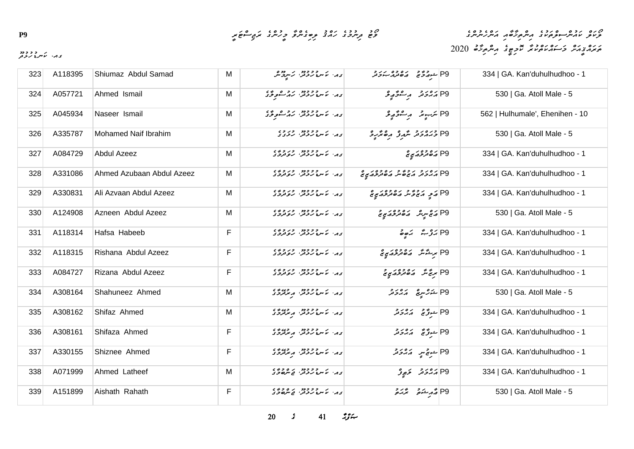*sCw7q7s5w7m< o<n9nOoAw7o< sCq;mAwBoEw7q<m; wBm;vB* م من المرة المرة المرة المرجع المرجع في المركبة 2020<br>مجم*د المريض المربوط المربع المرجع في المراجع المركبة* 

| 323 | A118395 | Shiumaz Abdul Samad       | M           | ی در ان موجود کرینده م                                                                                                                                                                                                           | P9 شورۇم مەمەر دىرو                                | 334   GA. Kan'duhulhudhoo - 1   |
|-----|---------|---------------------------|-------------|----------------------------------------------------------------------------------------------------------------------------------------------------------------------------------------------------------------------------------|----------------------------------------------------|---------------------------------|
| 324 | A057721 | Ahmed Ismail              | M           |                                                                                                                                                                                                                                  | P9 בכבי ההיכון כ                                   | 530   Ga. Atoll Male - 5        |
| 325 | A045934 | Naseer Ismail             | M           | ى مەسىرى بەر بەر ئەر ئەرەپ كەر                                                                                                                                                                                                   | P9 ىترىپوتر - مەشۇرىدى                             | 562   Hulhumale', Ehenihen - 10 |
| 326 | A335787 | Mohamed Naif Ibrahim      | M           | ود که دوه وروه<br>ود که دیگری روی                                                                                                                                                                                                | P9 دېرمونه شمېر مه ټرېږد                           | 530   Ga. Atoll Male - 5        |
| 327 | A084729 | <b>Abdul Azeez</b>        | M           |                                                                                                                                                                                                                                  | P9 كەھەر <i>ى ھەتى</i> ي                           | 334   GA. Kan'duhulhudhoo - 1   |
| 328 | A331086 | Ahmed Azubaan Abdul Azeez | M           | ود که سره دود.<br>ود که سره رنوش کوتروی                                                                                                                                                                                          | P9 גפי כ גבל כ גפיכי ב<br>P9 הגבע האשית השיתובה    | 334   GA. Kan'duhulhudhoo - 1   |
| 329 | A330831 | Ali Azvaan Abdul Azeez    | M           |                                                                                                                                                                                                                                  | P9 קֿיב היאַפֿ <sup>ױ</sup> הּפּגלה אָ             | 334   GA. Kan'duhulhudhoo - 1   |
| 330 | A124908 | Azneen Abdul Azeez        | M           | و در دود.<br>د ۲۰ کامل مروفر، مروتوری                                                                                                                                                                                            | P9 كەنج س <sub>ى</sub> بىر مەھە <i>تىرى كى</i> رىم | 530   Ga. Atoll Male - 5        |
| 331 | A118314 | Hafsa Habeeb              | F           | و در دور.<br>د ۲۰ کامل مروفز، مروتوری                                                                                                                                                                                            | P9 پَرُوْبَہٗ پَہِ چ                               | 334   GA. Kan'duhulhudhoo - 1   |
| 332 | A118315 | Rishana Abdul Azeez       | F           |                                                                                                                                                                                                                                  | P9 برېشتر مەھىر <i>ۈم يى</i>                       | 334   GA. Kan'duhulhudhoo - 1   |
| 333 | A084727 | Rizana Abdul Azeez        | F           | ی در ان مسال ۶۶۶۶ و در وارد و در انداز که در انداز که در انداز که در انداز که در انداز که در انداز که در انداز<br>مسائل که در انداز که در انداز که در انداز که در انداز که در انداز که در انداز که در انداز که در انداز که در ان | P9 بېرىگىش مەھ <i>ەر دە ب</i> ېرى                  | 334   GA. Kan'duhulhudhoo - 1   |
| 334 | A308164 | Shahuneez Ahmed           | M           | وه ۱۰ ماس ووود.<br>ده اماس روترا به برتروی                                                                                                                                                                                       | P9 څرمني ټرونډ                                     | 530   Ga. Atoll Male - 5        |
| 335 | A308162 | Shifaz Ahmed              | M           | وه به مسرو وود.<br>وه به مسرع مرتوفز المربولوری                                                                                                                                                                                  | P9 شو <i>وٌج م</i> حركتر                           | 334   GA. Kan'duhulhudhoo - 1   |
| 336 | A308161 | Shifaza Ahmed             | $\mathsf F$ | وه به کامل و و وود.<br>وه به کامل ملاحل الله مرفوری                                                                                                                                                                              | P9 شو <i>وَّج م</i> حدود                           | 334   GA. Kan'duhulhudhoo - 1   |
| 337 | A330155 | Shiznee Ahmed             | F           | وه به کامل و و وود.<br>وه به کامل ملاحل الله مرفوری                                                                                                                                                                              | P9 ڪوچ سي گرمر <i>325</i> گر                       | 334   GA. Kan'duhulhudhoo - 1   |
| 338 | A071999 | Ahmed Latheef             | M           |                                                                                                                                                                                                                                  | P9   كەش <sup>ى</sup> كەڭ ئىچ ئىچ بىر 2019         | 334   GA. Kan'duhulhudhoo - 1   |
| 339 | A151899 | Aishath Rahath            | F           | و در ۱۶۶۶ دره دره ۶۶<br>داد ۱۰ کامل در دند که تر مرده و د                                                                                                                                                                        | P9 مەم ئىقىدىم ھەرىم                               | 530   Ga. Atoll Male - 5        |

*r@q:q5qF7m; .<C*

 $20$  *s* **41** *if***<sub>s</sub>**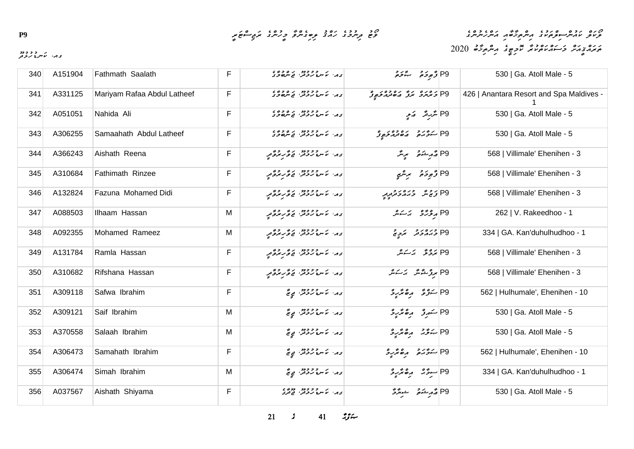*sCw7q7s5w7m< o<n9nOoAw7o< sCq;mAwBoEw7q<m; wBm;vB* م من المسجد المسجد المسجد المسجد المسجد العام 2020<br>مسجد المسجد المسجد المسجد المسجد المسجد المسجد المسجد المسجد ال

| 340 | A151904 | Fathmath Saalath            | F | ی د ۱۰ سره سره سره و ده د                     | P9 <i>وَّجِودَةْ</i> شَعَرَةْ                           | 530   Ga. Atoll Male - 5                 |
|-----|---------|-----------------------------|---|-----------------------------------------------|---------------------------------------------------------|------------------------------------------|
| 341 | A331125 | Mariyam Rafaa Abdul Latheef | F | ی د که سره دود. د د ده و د                    | P9 كرەپرە بەر بەدەبرە<br>P9 كەبىرى بىرتى مەھىرمە كەبوتى | 426   Anantara Resort and Spa Maldives - |
| 342 | A051051 | Nahida Ali                  | F |                                               |                                                         | 530   Ga. Atoll Male - 5                 |
| 343 | A306255 | Samaahath Abdul Latheef     | F | و دره دورد.<br>د د که سره مرموندان که سره و د | P9 كورو رە دەر ۋ                                        | 530   Ga. Atoll Male - 5                 |
| 344 | A366243 | Aishath Reena               | F | در که ساده دود.<br>کار که ساد برای فاقی برگان | P9 مُەمشەم مېتر                                         | 568   Villimale' Ehenihen - 3            |
| 345 | A310684 | <b>Fathimath Rinzee</b>     | F | ى مەسىم بولان ئەھمە بىر ئەسىر                 | P9 رَّج <i>وحَمَّة</i> سِرْسِمِي                        | 568   Villimale' Ehenihen - 3            |
| 346 | A132824 | Fazuna Mohamed Didi         | F | ود. كەس رودە كەن ئەھرىمى ھەر                  | P9 كۆچ ئىگە ئەمەم <i>كە قرىرى</i> ر                     | 568   Villimale' Ehenihen - 3            |
| 347 | A088503 | Ilhaam Hassan               | M | ىمەس ئەرەپ كەن ئەرەپىرى                       | P9  مربحرص    پرستربر                                   | 262   V. Rakeedhoo - 1                   |
| 348 | A092355 | Mohamed Rameez              | M | ى دىن ئەس دەھەر ئەھ بەيدە تىر                 | P9 ديرورو تردي                                          | 334   GA. Kan'duhulhudhoo - 1            |
| 349 | A131784 | Ramla Hassan                | F | ى دىن ئەس دەھەر ئەھەر بىر ھەمدىر              | P9 يَرْوُبُوَ بَرْسَتْرُ                                | 568   Villimale' Ehenihen - 3            |
| 350 | A310682 | Rifshana Hassan             | F | ى دىن ئەس دەھەر ئەھ بەيدە تېر                 | P9 بروڭگىش برسكىش                                       | 568   Villimale' Ehenihen - 3            |
| 351 | A309118 | Safwa Ibrahim               | F | ى مەسىم ئىرىمى ئىستىم ئىستى                   | P9  ستۇق مەھترىي <sup>ى</sup>                           | 562   Hulhumale', Ehenihen - 10          |
| 352 | A309121 | Saif Ibrahim                | M | ى مەسىم سى مەدەرە بىي ئىچ                     | P9 سَمبروْ مِنصَمَّرِةِ                                 | 530   Ga. Atoll Male - 5                 |
| 353 | A370558 | Salaah Ibrahim              | M | ى مەسىم ئىرىمەدە بىي ئى                       | P9  جۇچ مەھم <i>گى</i> رى                               | 530   Ga. Atoll Male - 5                 |
| 354 | A306473 | Samahath Ibrahim            | F | ى مەسىم ئىرىمى ئىستى ئى                       | P9  سۇنىۋە مەھەردى                                      | 562   Hulhumale', Ehenihen - 10          |
| 355 | A306474 | Simah Ibrahim               | M | ى مەسىم ئىرىمى ئىستى ئى                       | P9  بودمج مع مع محركة في المحمد بن الم                  | 334   GA. Kan'duhulhudhoo - 1            |
| 356 | A037567 | Aishath Shiyama             | F |                                               | P9 مُرمِشَمُ مُعِي <i>مٌ</i> حُ                         | 530   Ga. Atoll Male - 5                 |
|     |         |                             |   |                                               |                                                         |                                          |

*r@q:q5qF7m; .<C*

 $21$  *s* **41** *n***<sub>s</sub>**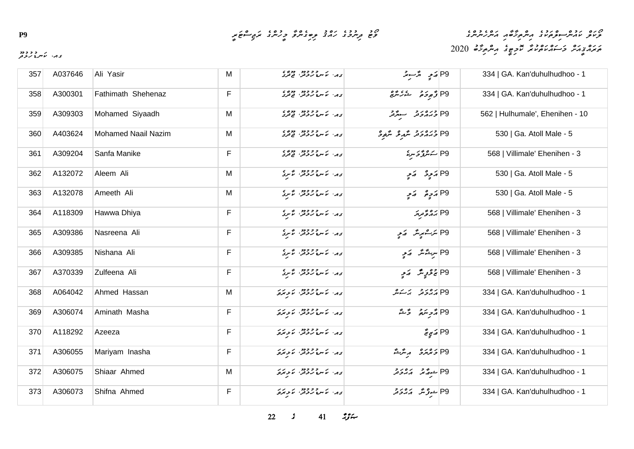*sCw7q7s5w7m< o<n9nOoAw7o< sCq;mAwBoEw7q<m; wBm;vB* م من المسجد المسجد المسجد المسجد المسجد العام 2020<br>مسجد المسجد المسجد المسجد المسجد المسجد المسجد المسجد المسجد ال

| 357 | A037646 | Ali Yasir                  | M           |                                                                                                               | P9 کیمو گرمسونٹر                                                                                               | 334   GA. Kan'duhulhudhoo - 1   |
|-----|---------|----------------------------|-------------|---------------------------------------------------------------------------------------------------------------|----------------------------------------------------------------------------------------------------------------|---------------------------------|
| 358 | A300301 | Fathimath Shehenaz         | F           | و در ۱۶۶۶ وروپور در ۱۶۶<br>د د ۱۷ کامل کرلوفر که قری                                                          | P9 تۇ <sub>جۇ</sub> خۇ شەئەتتىنى                                                                               | 334   GA. Kan'duhulhudhoo - 1   |
| 359 | A309303 | Mohamed Siyaadh            | M           |                                                                                                               | P9 دېم دې موگه د                                                                                               | 562   Hulhumale', Ehenihen - 10 |
| 360 | A403624 | <b>Mohamed Naail Nazim</b> | M           | و در ۱۶۶۶ وروپر دوره در دره بازد.<br>د در ۱۶ که کامل در کرفر ۱۶ کل تاری                                       | P9 دَيَرُمُ دَمْرٍ مِنْ مُمْدِدْ مُمْدِدْ .                                                                    | 530   Ga. Atoll Male - 5        |
| 361 | A309204 | Sanfa Manike               | F           | و در ۱۰ که سره رو برو و دره بر<br>کارد از که سره کرمانو که ایس برای که هرای                                   | P9 سەھدۇ ئەبرىئە                                                                                               | 568   Villimale' Ehenihen - 3   |
| 362 | A132072 | Aleem Ali                  | M           | ى مەس ئەس ئەرەپ ئەس ئارى                                                                                      | P9 کی پیچ میں کی پیچے<br>19 کی پیچ میں میں پیچ                                                                 | 530   Ga. Atoll Male - 5        |
| 363 | A132078 | Ameeth Ali                 | M           | ى مەسىم ئەرەپ ئەرى                                                                                            | P9 کی په کی کی په په په چې په چې په چې په چې په چې په چې په چې او چې په چې په چې په چې په چې په چې په چې په چې | 530   Ga. Atoll Male - 5        |
| 364 | A118309 | Hawwa Dhiya                | F           | ى مەسىم ئىرى ئىچە ئەسىمى ئىس                                                                                  | P9 بَرْدٌ وَّمِيرَ                                                                                             | 568   Villimale' Ehenihen - 3   |
| 365 | A309386 | Nasreena Ali               | F           | ى مەس ئەس ئۇر ئەس ئەس ئاس ئە                                                                                  | P9 ىترىشمېرىنتر <sub>تەك</sub> ىر                                                                              | 568   Villimale' Ehenihen - 3   |
| 366 | A309385 | Nishana Ali                | F           | ى مەس ئەر قارەت ئەس كە                                                                                        | P9 سرڪ <i>مگر ج</i> و                                                                                          | 568   Villimale' Ehenihen - 3   |
| 367 | A370339 | Zulfeena Ali               | $\mathsf F$ | ى دىن ئەس كەن ئەرى ئەس كەن ئارى                                                                               | P9 يح <sub>قو</sub> ينژ - <sub>مَ</sub> حِ                                                                     | 568   Villimale' Ehenihen - 3   |
| 368 | A064042 | Ahmed Hassan               | M           |                                                                                                               | P9 كەبروتى كەسكەنلى                                                                                            | 334   GA. Kan'duhulhudhoo - 1   |
| 369 | A306074 | Aminath Masha              | F           |                                                                                                               | P9 مُوسَمَعُ   قُتْمَ                                                                                          | 334   GA. Kan'duhulhudhoo - 1   |
| 370 | A118292 | Azeeza                     | F           |                                                                                                               | P9 ڪيپيءَ                                                                                                      | 334   GA. Kan'duhulhudhoo - 1   |
| 371 | A306055 | Mariyam Inasha             | F           | ى مەس ئىر ئىرى ئىگە ئىرىنى ئىر                                                                                | P9 <i>وَجُهْدَوْ بِهِ مَدَّبَ</i> ةُ                                                                           | 334   GA. Kan'duhulhudhoo - 1   |
| 372 | A306075 | Shiaar Ahmed               | M           | ى دىستىسى ئەرەپ ئىكى ئەتلىكى ئەرەپ كەنتلەر ئەرەپ كەنتلەر ئەرەپ كەنتلەر ئەرەپ كەنتلەر كەنتلەر ئەرەپ كەنتلەر ئە | P9 جو <i>مگانگر مرکز دی</i>                                                                                    | 334   GA. Kan'duhulhudhoo - 1   |
| 373 | A306073 | Shifna Ahmed               | F           | ى دىستىسى ئەرەپ ئىكى ئەتلىكى ئەرەپ كەنتلەر ئەرەپ كەنتلەر ئەرەپ كەنتلەر ئەرەپ كەنتلەر كەنتلەر ئەرەپ كەنتلەر ئە | P9 شور شر مر پر در د                                                                                           | 334   GA. Kan'duhulhudhoo - 1   |

*r@q:q5qF7m; .<C*

 $22$  *s* **41** *n***<sub>s</sub>**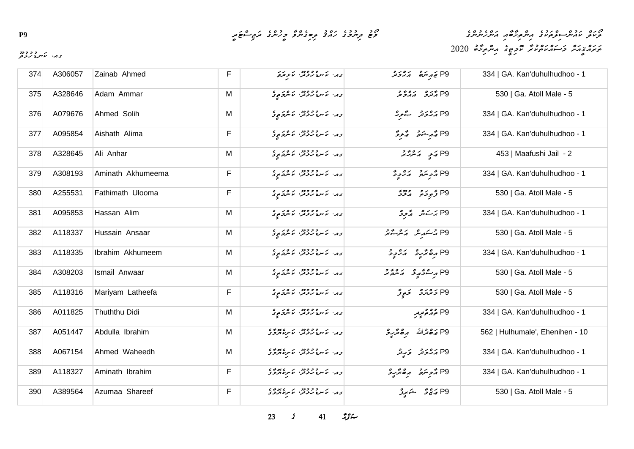*sCw7q7s5w7m< o<n9nOoAw7o< sCq;mAwBoEw7q<m; wBm;vB* م من المسجد المسجد المسجد المسجد المسجد العام 2020<br>مسجد المسجد المسجد المسجد المسجد المسجد المسجد المسجد المسجد ال

| 374 | A306057 | Zainab Ahmed         | F | ى مەسى ئەرەپ ئەرىكى                                                                                               | P9 يَوْسِرَةُ مَدْرَدَتْر                                                                                              | 334   GA. Kan'duhulhudhoo - 1   |
|-----|---------|----------------------|---|-------------------------------------------------------------------------------------------------------------------|------------------------------------------------------------------------------------------------------------------------|---------------------------------|
| 375 | A328646 | Adam Ammar           | M | وړ که سره د ووه د ۱۵ د د د د                                                                                      | P9 يُروم برومونز                                                                                                       | 530   Ga. Atoll Male - 5        |
| 376 | A079676 | Ahmed Solih          | M | د پر کامل دووو در در در در در دارد.<br>در کامل مروفز، کامل وجود                                                   | P9 كەنەكە ئەر                                                                                                          | 334   GA. Kan'duhulhudhoo - 1   |
| 377 | A095854 | Aishath Alima        | F | وړ . کاس د دوه . ره د . د<br>د کاس کرونز، کاسرونون                                                                | P9 مُەمشىم مۇمۇ                                                                                                        | 334   GA. Kan'duhulhudhoo - 1   |
| 378 | A328645 | Ali Anhar            | M | ى دار بە كەندە ئەرەپ كەندە ئەرەپ كەندە ئەرەپ كەندە ئەرەپ كەندە ئەرەپ كەندە ئەرەپ كەندە ئەرەپ كەندە ئ              | P9 <i>ھَ۔ ج</i> مُکرَّمَہُ                                                                                             | 453   Maafushi Jail - 2         |
| 379 | A308193 | Aminath Akhumeema    | F |                                                                                                                   | P9 #جِسَمَة - 12وقر                                                                                                    | 334   GA. Kan'duhulhudhoo - 1   |
| 380 | A255531 | Fathimath Ulooma     | F | ی در که سره سرور در در در در این سرچه در این که سره سر در این سرچه در این سرچه در این سرچه در این سرچه در این     | P9 وَّجِ حَمَّ صَحْرَةَ ۖ                                                                                              | 530   Ga. Atoll Male - 5        |
| 381 | A095853 | Hassan Alim          | M | ی در که سره سرور در در در در این سرچه در این که سره سر در این سرچه در این سرچه در این سرچه در این سرچه در این     | P9  تاستانلار محجود <del>\$</del>                                                                                      | 334   GA. Kan'duhulhudhoo - 1   |
| 382 | A118337 | Hussain Ansaar       | M | د پر سر در دورد در ۲۵ در در دارد.<br>د پر سر سر سر در سر در در در در در سر در سر در سر در سر در سر در سر در سر در | P9 يُرْسَمَ مِنْ مَدَّرْسِيَّة مِرْ                                                                                    | 530   Ga. Atoll Male - 5        |
| 383 | A118335 | Ibrahim Akhumeem     | M |                                                                                                                   | P9 مەھەرىي مەدى <sub>م</sub> ى                                                                                         | 334   GA. Kan'duhulhudhoo - 1   |
| 384 | A308203 | <b>Ismail Anwaar</b> | M | ی در که سره سرور در در در در این سرچه در این که سره سر در این سرچه در این سرچه در این سرچه در این سرچه در این     | P9 مرےوٌ مور مقدم ک                                                                                                    | 530   Ga. Atoll Male - 5        |
| 385 | A118316 | Mariyam Latheefa     | F | و در ۱۵ در دود.<br>د در که سره مروتو، که سرچ مود                                                                  | P9 كەيمە <i>نىڭ كەي</i> وگ                                                                                             | 530   Ga. Atoll Male - 5        |
| 386 | A011825 | <b>Thuththu Didi</b> | M | وړ که دودو ره ده.<br>دي که سورلونس که سرچ نو                                                                      | P9 ح مرحومومبرمر                                                                                                       | 334   GA. Kan'duhulhudhoo - 1   |
| 387 | A051447 | Abdulla Ibrahim      | M | بروس كالسوع مرتوف المالي من مديرة المراجعة                                                                        | P9 كەھىراللە م <i>ەھىرد</i> ۇ                                                                                          | 562   Hulhumale', Ehenihen - 10 |
| 388 | A067154 | Ahmed Waheedh        | M | بروس كالسرو ووود الماكن كالبوط والمرواني                                                                          | P9 <i>مَدْدَوَنْ وَبِ</i> يْر                                                                                          | 334   GA. Kan'duhulhudhoo - 1   |
| 389 | A118327 | Aminath Ibrahim      | F | بروس المستحدد وجوده المالي الملاحي                                                                                | P9 مُّحِسَمُ مِنْ مِنْ مِنْ مِنْ مِنْ                                                                                  | 334   GA. Kan'duhulhudhoo - 1   |
| 390 | A389564 | Azumaa Shareef       | F | وها الاست 2012 الماس 2012 و 20<br>المراد الاستمال المراس المسلم 2012 و 3                                          | P9 كەيج ئەھمىرىتى بىر ئىستىر ئىستان ئىستان ئىستان ئىستان ئىستان ئىستان ئىستان ئىستان ئىستان ئىستان ئىستان ئىس<br>مەنبە | 530   Ga. Atoll Male - 5        |

 $23$  *s* **41** *n***<sub>s</sub>**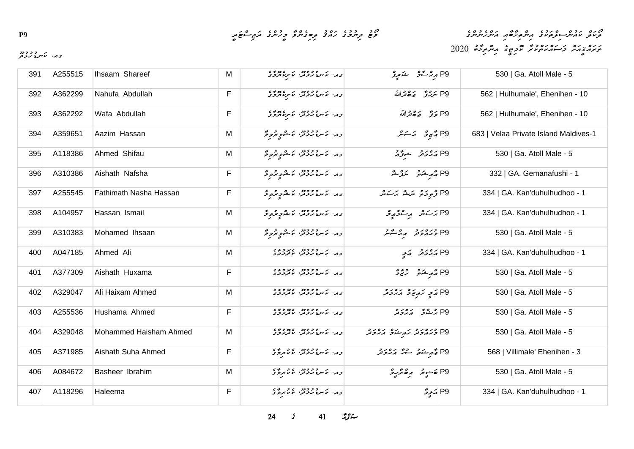*sCw7q7s5w7m< o<n9nOoAw7o< sCq;mAwBoEw7q<m; wBm;vB* م من المرة المرة المرة المرجع المرجع في المركبة 2020<br>مجم*د المريض المربوط المربع المرجع في المراجع المركبة* 

| 391 | A255515 | Ihsaam Shareef         | M | وړ کمس د دوه کمې کلم ده ده د                                                                                                                                                                                                     | P9 م <i>برشگرقی</i> شمېرو               | 530   Ga. Atoll Male - 5              |
|-----|---------|------------------------|---|----------------------------------------------------------------------------------------------------------------------------------------------------------------------------------------------------------------------------------|-----------------------------------------|---------------------------------------|
| 392 | A362299 | Nahufa Abdullah        | F | وە ئەس 220 ۋە ئەس ئەيدە ئ                                                                                                                                                                                                        | P9 يَرْتَزَقَ بَرَصْقَرْاللَّهُ         | 562   Hulhumale', Ehenihen - 10       |
| 393 | A362292 | Wafa Abdullah          | F | ود . مکس ووده . مکس مکار وی.<br>در امکس مربوتو، مکس مک                                                                                                                                                                           | P9 حَرَّزَ صَ <del></del> حَمَّدَاللَّه | 562   Hulhumale', Ehenihen - 10       |
| 394 | A359651 | Aazim Hassan           | M | ى دار مى مىرد 322 مى مىشوچە مىرجە بىر                                                                                                                                                                                            | P9 مَّ بِحَدَّ مَرَ سَنَدَرَ بِهِ مَسَ  | 683   Velaa Private Island Maldives-1 |
| 395 | A118386 | Ahmed Shifau           | M | ى ئەسلام ئەرەپ ئەھمە ئەھمىدىن ئە                                                                                                                                                                                                 | P9 <i>مَدْوَمْ حَوَّةُ</i>              | 530   Ga. Atoll Male - 5              |
| 396 | A310386 | Aishath Nafsha         | F | ى مەسىرى ئەرەپ ئەس ئەس ئەرەپ ئە                                                                                                                                                                                                  | P9 مَّ مِ شَمَّعَ مَسَّرَّ شَمَّ        | 332   GA. Gemanafushi - 1             |
| 397 | A255545 | Fathimath Nasha Hassan | F | ىمەس ئەس ئەرەپ ئەس ئۇ ئايرىم ئى                                                                                                                                                                                                  | P9 ۇ <sub>ج</sub> وڭمۇ تىرىش ئەسكىلا    | 334   GA. Kan'duhulhudhoo - 1         |
| 398 | A104957 | Hassan Ismail          | M | ى را ئەس بەرەپ ئەشەر بۇرۇ                                                                                                                                                                                                        | P9 ئەسەنلەر مەسىر <i>ۇم</i> بۇ          | 334   GA. Kan'duhulhudhoo - 1         |
| 399 | A310383 | Mohamed Ihsaan         | M | ى را مىس دەمەر ئاھەم ترەنخ                                                                                                                                                                                                       | P9  <i>دین دورد می</i> گشتر             | 530   Ga. Atoll Male - 5              |
| 400 | A047185 | Ahmed Ali              | M | ی در ان که سره وجود ان که در دارد کار<br>ای در ان که سره سرعرف ان که تعریب و ی                                                                                                                                                   | P9 كەندى كە كەنب                        | 334   GA. Kan'duhulhudhoo - 1         |
| 401 | A377309 | Aishath Huxama         | F | ی د که سره ۱۶۶۶ که دوره با<br>برای که سره سرفانی که فرقرو بر                                                                                                                                                                     | P9 مُجم <i>دِ شَمَعْ</i> حَمَّعَ مَحَ   | 530   Ga. Atoll Male - 5              |
| 402 | A329047 | Ali Haixam Ahmed       | M |                                                                                                                                                                                                                                  | P9 בَرِ رَ <sub>مَ</sub> يَ دَرَوْرَ    | 530   Ga. Atoll Male - 5              |
| 403 | A255536 | Hushama Ahmed          | F | و در ۱۶۶۶ تا ۱۶۶۶ ورون<br>داد از کامل مرکزان اندلولوی                                                                                                                                                                            | P9 يُسْتَرَقَ بِرَيْرَوْتَر             | 530   Ga. Atoll Male - 5              |
| 404 | A329048 | Mohammed Haisham Ahmed | M | ی د که سره ۶۶۶۶ کامونوری<br>کام اسمه سرنوانی اسلونوری                                                                                                                                                                            | P9 ويرودو تهر خود المدون                | 530   Ga. Atoll Male - 5              |
| 405 | A371985 | Aishath Suha Ahmed     | F | ى دار مەس دەپەر ئەم بىرى ئ                                                                                                                                                                                                       | P9 مەم خىم ئىستى مەم دىن                | 568   Villimale' Ehenihen - 3         |
| 406 | A084672 | Basheer Ibrahim        | M | د پر کامل دووو د د و د د                                                                                                                                                                                                         | P9 ھَشِيمٌ مِنْھُمَّدِيْرَ              | 530   Ga. Atoll Male - 5              |
| 407 | A118296 | Haleema                | F | وه ۱۰ متر وووده در در در در در این در این در این در این در این در این در این در این در این در این در این در ای<br>در این متوجه در این در این در این در این در این در این در این در این در این در این در این در این در این در این | P9 ټرچ                                  | 334   GA. Kan'duhulhudhoo - 1         |

## *r@q:q5qF7m; .<C*

 $24$  *s*  $41$  *z*  $25$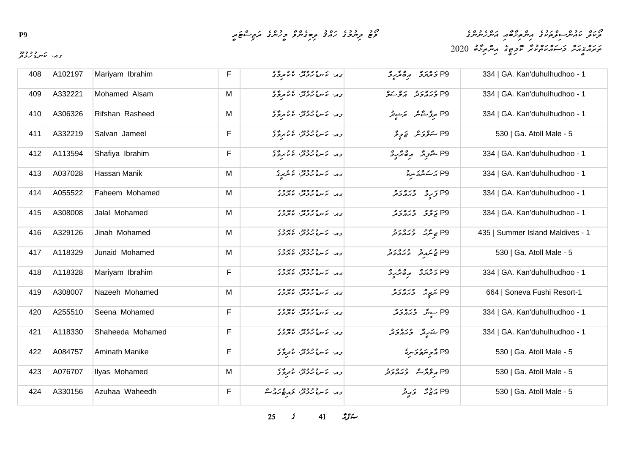*sCw7q7s5w7m< o<n9nOoAw7o< sCq;mAwBoEw7q<m; wBm;vB* م من المسجد المسجد المسجد المسجد المسجد العام 2020<br>مسجد المسجد المسجد المسجد المسجد المسجد المسجد المسجد المسجد ال

| 408 | A102197 | Mariyam Ibrahim  | F | ى دىن ئەس دەھەر ئەھ بەرگە                                          | P9 <i>5 بُرْمَرْ \$ مِنْ بِرْ</i> حْ | 334   GA. Kan'duhulhudhoo - 1    |
|-----|---------|------------------|---|--------------------------------------------------------------------|--------------------------------------|----------------------------------|
| 409 | A332221 | Mohamed Alsam    | м | د پر کامل دووو د د و د د                                           | P9 در پرورو کروگرو                   | 334   GA. Kan'duhulhudhoo - 1    |
| 410 | A306326 | Rifshan Rasheed  | M | در که سورود در در د                                                | P9  مروك شداد مكرسوند   <br>         | 334   GA. Kan'duhulhudhoo - 1    |
| 411 | A332219 | Salvan Jameel    | F | د پر کامل دووو د د و د د                                           | P9  ستورش ت <sub>ح</sub> وثى         | 530   Ga. Atoll Male - 5         |
| 412 | A113594 | Shafiya Ibrahim  | F | د پر کامل دووو د د و د د                                           | P9 ڪُوبرَ برھيرَ پِ                  | 334   GA. Kan'duhulhudhoo - 1    |
| 413 | A037028 | Hassan Manik     | M | وړ که سره د ووه ده ده کړي.                                         | P9  پرسته پولی مبررتم                | 334   GA. Kan'duhulhudhoo - 1    |
| 414 | A055522 | Faheem Mohamed   | M |                                                                    | P9  <i>وَرِدْ دْبَهْ</i> دَىرْ       | 334   GA. Kan'duhulhudhoo - 1    |
| 415 | A308008 | Jalal Mohamed    | м | ی در انگلسته و و وی ان در وارد<br>انجام انگلسته مسافر مسلم موقعه ی | P9 يَجُو وَرَوْرُورْ                 | 334   GA. Kan'duhulhudhoo - 1    |
| 416 | A329126 | Jinah Mohamed    | M | و در سر سر دورد.<br>د در سر سر سر سر سر سر سر سر سر سر سر          | P9 مِ مَّرْرٌ      دُبَرُ دُوَرٌ     | 435   Summer Island Maldives - 1 |
| 417 | A118329 | Junaid Mohamed   | M | و در سر سر دورد.<br>د در سر سر سر سر سر سر سر سر سر سر             | P9 في سَمدٍ مَرَ مَ يَدْمَدُ مَدَّ   | 530   Ga. Atoll Male - 5         |
| 418 | A118328 | Mariyam Ibrahim  | F | وه که دوه در دور<br>وه که کولو کولو استاداری                       | P9 52,2% مەھم <i>گى</i> رد           | 334   GA. Kan'duhulhudhoo - 1    |
| 419 | A308007 | Nazeeh Mohamed   | M |                                                                    | P9  سَمِير 3 دَيَرْ دَوَرَ           | 664   Soneva Fushi Resort-1      |
| 420 | A255510 | Seena Mohamed    | F | وه اسکس و و وه.<br>اوه اسکس کرمرفر اسلام و د                       | P9 سوپى <i>گە ئۇنەۋەت</i> ر          | 334   GA. Kan'duhulhudhoo - 1    |
| 421 | A118330 | Shaheeda Mohamed | F | و در ۱۶۶۶۶<br>د در که سره مرفور اس موروی                           | P9 خەرىگە ئە <i>مەدە</i> ر           | 334   GA. Kan'duhulhudhoo - 1    |
| 422 | A084757 | Aminath Manike   | F | ى مەس ئەس ئەرەپ بىر ئەس<br>ئەمەس ئەس ئەس ئەس ئەس                   | P9 مَّ مِ سَهْءَ سِرْءَ              | 530   Ga. Atoll Male - 5         |
| 423 | A076707 | Ilyas Mohamed    | M | د پر کامل دوور د دره د                                             | P9 مۇنەڭ ئەيرەتىر                    | 530   Ga. Atoll Male - 5         |
| 424 | A330156 | Azuhaa Waheedh   | F | ورسكس ووود كرم وروام                                               | P9 كەيج <i>گە كەب</i> وقر            | 530   Ga. Atoll Male - 5         |

 $25$  *s* **41** *n***<sub>s</sub>**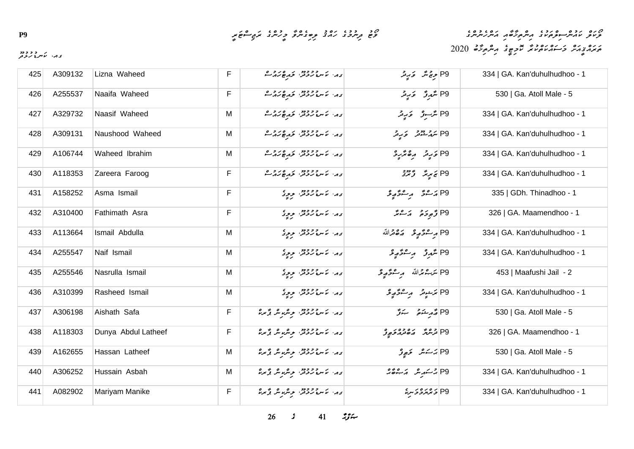*sCw7q7s5w7m< o<n9nOoAw7o< sCq;mAwBoEw7q<m; wBm;vB* م من المسجد المسجد المسجد المسجد المسجد العام 2020<br>مسجد المسجد المسجد المسجد المسجد المسجد المسجد المسجد المسجد ال

| 425 | A309132 | Lizna Waheed        | F            | בגי עית בככפי בתפינגם                           | P9  مِیچ مَدَّ کَ <sub>مَ</sub> یِدْ                                                                 | 334   GA. Kan'duhulhudhoo - 1 |
|-----|---------|---------------------|--------------|-------------------------------------------------|------------------------------------------------------------------------------------------------------|-------------------------------|
| 426 | A255537 | Naaifa Waheed       | F            | ورسكس ووود كرم وروام                            | P9 سُمبرتر وَب <sub>ي</sub> سً                                                                       | 530   Ga. Atoll Male - 5      |
| 427 | A329732 | Naasif Waheed       | M            | ورسكس مرود كروه مدار                            | P9 مگرسو <i>ڈ ق</i> ہید                                                                              | 334   GA. Kan'duhulhudhoo - 1 |
| 428 | A309131 | Naushood Waheed     | M            | ورسكس ووود كرم وروام                            | P9 يَتْهُمْ شَيْنُ وَبِيتْر                                                                          | 334   GA. Kan'duhulhudhoo - 1 |
| 429 | A106744 | Waheed Ibrahim      | M            | ورسكس ووود كرم وروام                            | P9 <i>قبية م</i> ڤترَبة في                                                                           | 334   GA. Kan'duhulhudhoo - 1 |
| 430 | A118353 | Zareera Faroog      | $\mathsf F$  | وأرا الأسمان ودودة المحمد فإرادات               | P9 كى م <sub>و</sub> مگر ئى تىرتى                                                                    | 334   GA. Kan'duhulhudhoo - 1 |
| 431 | A158252 | Asma Ismail         | F            | ا دە، ئاس <sup>3</sup> رىقر، بوي <sub>ۇ</sub> ئ | P9 كەشىر مەر مەنىۋە يەنى                                                                             | 335   GDh. Thinadhoo - 1      |
| 432 | A310400 | Fathimath Asra      | $\mathsf F$  | ىدا ئەس رودۇر بويدى                             | P9 رَّمِوحَمَّ بَرَ مَسَّمَّ                                                                         | 326   GA. Maamendhoo - 1      |
| 433 | A113664 | Ismail Abdulla      | M            | ىدا ئەسەردىق جوڭ                                | P9 م <i>وستوگير فريد ه</i> م ترالله                                                                  | 334   GA. Kan'duhulhudhoo - 1 |
| 434 | A255547 | Naif Ismail         | M            | ى مەسىم ئەرەپ بولوپى                            | P9 يتمبرو بر مشرحهو محمد الله السيادة بالسيادة السيادة و السيادة السيادة السيادة السيادة السيادة الس | 334   GA. Kan'duhulhudhoo - 1 |
| 435 | A255546 | Nasrulla Ismail     | M            | ىمە ئەس رودى بويدى                              | P9 ىزجە چەللە بەستۇرىي ئى                                                                            | 453   Maafushi Jail - 2       |
| 436 | A310399 | Rasheed Ismail      | M            | ىدا ئەسەردەن جوڭ                                |                                                                                                      | 334   GA. Kan'duhulhudhoo - 1 |
| 437 | A306198 | Aishath Safa        | $\mathsf{F}$ | ى مەس ئەس ئەرەپ بىر ئەس ئەس ئەس                 | P9 مَّەرِ شَمَّعْ سَنَرَّ                                                                            | 530   Ga. Atoll Male - 5      |
| 438 | A118303 | Dunya Abdul Latheef | F            | ى مەسىم ئەرەپ بولىگەنلىر بۇ ئىرا                | P9 ترسر مصر معدد محجوز                                                                               | 326   GA. Maamendhoo - 1      |
| 439 | A162655 | Hassan Latheef      | M            | ى مەس ئەس ئەرەپ بىر ئەس ئەس ئەس                 | P9  ټرسترش تخ <sub>جو</sub> ثر                                                                       | 530   Ga. Atoll Male - 5      |
| 440 | A306252 | Hussain Asbah       | M            | ى مەس ئەرەپ بولگى ھەر ئەس                       | P9 يُرْسَمَ مِيلَ مَرْسُوْ مَيْتَمَرْ                                                                | 334   GA. Kan'duhulhudhoo - 1 |
| 441 | A082902 | Mariyam Manike      | F            | ى ئەرەبەدە ئەرەپ بولىرىدىكە بۇ ئايرىدا          | P9 كەنگە <i>كەنگە</i> كەنگە                                                                          | 334   GA. Kan'duhulhudhoo - 1 |

 $26$  *s* **41** *n***<sub>s</sub>**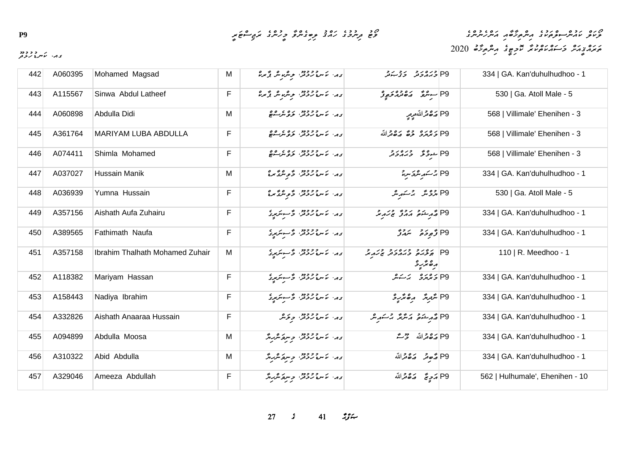*sCw7q7s5w7m< o<n9nOoAw7o< sCq;mAwBoEw7q<m; wBm;vB* م من المرة المرة المرة المرجع المرجع في المركبة 2020<br>مجم*د المريض المربوط المربع المرجع في المراجع المركبة* 

| 442 | A060395 | Mohamed Magsad                  | M | ى مەس ئەرەپ بولكى بىر بۇ بىر بە  | P9 دېرونر کوي شور                                           | 334   GA. Kan'duhulhudhoo - 1   |
|-----|---------|---------------------------------|---|----------------------------------|-------------------------------------------------------------|---------------------------------|
| 443 | A115567 | Sinwa Abdul Latheef             | F | ى مەس ئەرەپ بولىرىدىكى بۇ بىر ئا | P9 – شرق مەھەرم <i>كو</i> بور                               | 530   Ga. Atoll Male - 5        |
| 444 | A060898 | Abdulla Didi                    | M | ى مەسىر 2010 مەس بەھ             | P9 كەھ قراللەمبەير                                          | 568   Villimale' Ehenihen - 3   |
| 445 | A361764 | MARIYAM LUBA ABDULLA            | F | ى مەسىر دەھەر مەسرىسى            | P9 دَيْرِيرُو وَةَ رَهْدَاللّه                              | 568   Villimale' Ehenihen - 3   |
| 446 | A074411 | Shimla Mohamed                  | F | ى دار ئەس دەبىر بەرە ئەرە بەر    | P9  شوقۇ ق <i>ەتدەق</i> ر                                   | 568   Villimale' Ehenihen - 3   |
| 447 | A037027 | Hussain Manik                   | M | ى دىن ئەس دەھەر گەھ بىرى بىرە    | P9 پر سے م <i>ب</i> ر ملکے سریۂ                             | 334   GA. Kan'duhulhudhoo - 1   |
| 448 | A036939 | Yumna Hussain                   | F | ى دىن ئەس دەھەر گەھ بىرى بىرە    | P9 يُرْدَيْثَرَ بِرْسَهِ بِرْ                               | 530   Ga. Atoll Male - 5        |
| 449 | A357156 | Aishath Aufa Zuhairu            | F | ىمە ئەسەمەدە ۋىسەتكىرى           | P9 مەم شەھ مەمگە ئى <i>خى</i> رىمە                          | 334   GA. Kan'duhulhudhoo - 1   |
| 450 | A389565 | Fathimath Naufa                 | F | ىما ئەسەردە ئەسەئىرى             | P9 رَّجِ دَمَ مَسَ <i>دَ</i> رٌ                             | 334   GA. Kan'duhulhudhoo - 1   |
| 451 | A357158 | Ibrahim Thalhath Mohamed Zuhair | M | ىدا ئەسەردە ئەسەئىرى             | P9 بروبرد وبروبرد وتهريز<br>وە ئۆرۈ                         | 110   R. Meedhoo - 1            |
| 452 | A118382 | Mariyam Hassan                  | F | ى ئەسەردە ئەسىرى                 | P9 كەندىرى بەسەئىر                                          | 334   GA. Kan'duhulhudhoo - 1   |
| 453 | A158443 | Nadiya Ibrahim                  | F | ىدا ئەسەردەن ۋىسىترىرى           | P9 سَّتِيرةً مِنْ صَحَّرٍ وَ                                | 334   GA. Kan'duhulhudhoo - 1   |
| 454 | A332826 | Aishath Anaaraa Hussain         | F | ىمە ئەسلام 222 بەي ھ             | P9 مەم شەھ مەمگەنگە جاسكىرىلىر                              | 334   GA. Kan'duhulhudhoo - 1   |
| 455 | A094899 | Abdulla Moosa                   | M | <i>ی د نامره دوده</i> و مروکردگر | P9 مَەقراللە مخرمە                                          | 334   GA. Kan'duhulhudhoo - 1   |
| 456 | A310322 | Abid Abdulla                    | M | <i>ىم مىس دە</i> مەدە جەسھەش گەر | P9 مُرْحِدٌ مَ <b>صْ</b> قَرْاللَّهُ                        | 334   GA. Kan'duhulhudhoo - 1   |
| 457 | A329046 | Ameeza Abdullah                 | F | ورا الأس وووده وسره شربر         | P9 ك <sup>ر</sup> حي <sup>ت</sup> ق ك <sup>ر</sup> گەنداللە | 562   Hulhumale', Ehenihen - 10 |

## *r@q:q5qF7m; .<C*

 $27$  *s* **41** *n***<sub>s</sub>**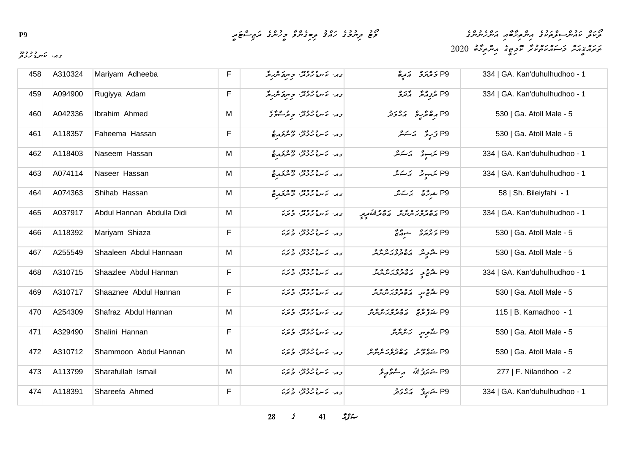*sCw7q7s5w7m< o<n9nOoAw7o< sCq;mAwBoEw7q<m; wBm;vB* م من المسجد المسجد المسجد المسجد المسجد العام 2020<br>مسجد المسجد المسجد المسجد المسجد المسجد المسجد المسجد المسجد ال

| 458 | A310324 | Mariyam Adheeba           | F            | ورسا سي مستعدد وسي شريد                         | P9  <i>5 بُرْمَرْدُ • مُ</i> مَرِ <i>مَّة</i> | 334   GA. Kan'duhulhudhoo - 1 |
|-----|---------|---------------------------|--------------|-------------------------------------------------|-----------------------------------------------|-------------------------------|
| 459 | A094900 | Rugiyya Adam              | F            | ورستس وووده وسره شریر                           | P9 بمرتب <i>و مرگر مرگرد</i> محمد استرات      | 334   GA. Kan'duhulhudhoo - 1 |
| 460 | A042336 | Ibrahim Ahmed             | M            | در که دوده و پژمور                              | P9 مەھەرىرى مەمدىمى                           | 530   Ga. Atoll Male - 5      |
| 461 | A118357 | Faheema Hassan            | $\mathsf F$  | ود که سرد دور دوه دوه و                         | P9 تۇرى <sup>سى كە</sup> تتىرىش               | 530   Ga. Atoll Male - 5      |
| 462 | A118403 | Naseem Hassan             | M            | و در ۱۵ دوود وده در ۵<br>در سرگان در در در در   | P9 يترس <sub>و</sub> ي - پرستربتر             | 334   GA. Kan'duhulhudhoo - 1 |
| 463 | A074114 | Naseer Hassan             | M            | ودا الأس ووجع العده وداه والمحرور               | P9  سَرَسِي سُر سَرَسْر                       | 334   GA. Kan'duhulhudhoo - 1 |
| 464 | A074363 | Shihab Hassan             | M            | ودا الأس ووودوا وده والمحمدة                    | P9 خو <i>رگ</i> ھ کرکے مگر                    | 58   Sh. Bileiyfahi - 1       |
| 465 | A037917 | Abdul Hannan Abdulla Didi | M            | בגי עיית בכבד - כיבע                            | P9 كەھىر <i>وبە مەشرىر كەھەر</i> اللەمەمەر    | 334   GA. Kan'duhulhudhoo - 1 |
| 466 | A118392 | Mariyam Shiaza            | $\mathsf{F}$ | זו ואייעל ליכור בינוג                           | P9 كەنگەر ئىس ئەرگەنتى بىر                    | 530   Ga. Atoll Male - 5      |
| 467 | A255549 | Shaaleen Abdul Hannaan    | M            | צון ואייעל הרבק וכותו<br>צון אייעל היבנקי וכותו | P9 ڪُوپِير <i>۾ ھوري م</i> هر                 | 530   Ga. Atoll Male - 5      |
| 468 | A310715 | Shaazlee Abdul Hannan     | $\mathsf F$  | צון ואייעל הכבר בינון<br>צון אייעל היבור בינון  | P9 ڪي ۾ مصر <i>جي مشرق ش</i>                  | 334   GA. Kan'duhulhudhoo - 1 |
| 469 | A310717 | Shaaznee Abdul Hannan     | F            | בני עיית בכבר ביני                              | P9 شومي په محصوره د د د                       | 530   Ga. Atoll Male - 5      |
| 470 | A254309 | Shafraz Abdul Hannan      | M            | צון ואייעל הרבקי בינון                          | P9 خۇنرى مەمر <i>وبەلىرىش</i>                 | 115   B. Kamadhoo - 1         |
| 471 | A329490 | Shalini Hannan            | F            | צון ואייער ציני ובינון<br>צון אייער גענין בינון | P9 گوسر کیریٹریٹر                             | 530   Ga. Atoll Male - 5      |
| 472 | A310712 | Shammoon Abdul Hannan     | M            | בני עיית בכבר ביני                              | P9 شەمەدە مەھەمەمەمەر ئەرەبىر                 | 530   Ga. Atoll Male - 5      |
| 473 | A113799 | Sharafullah Ismail        | M            | צון ואייעל הכבר בינון<br>צון אייעל היבור בינון  | P9 خەتترۇاللە بەش <i>ۇم</i> وگ                | 277   F. Nilandhoo - 2        |
| 474 | A118391 | Shareefa Ahmed            | F            | בו מייש בכבד ביני<br>בו מייש ביניקי ביני        | P9 ڪمپر <i>و پرچ</i> ونر                      | 334   GA. Kan'duhulhudhoo - 1 |

 $28$  *s* **41** *n***<sub>s</sub>**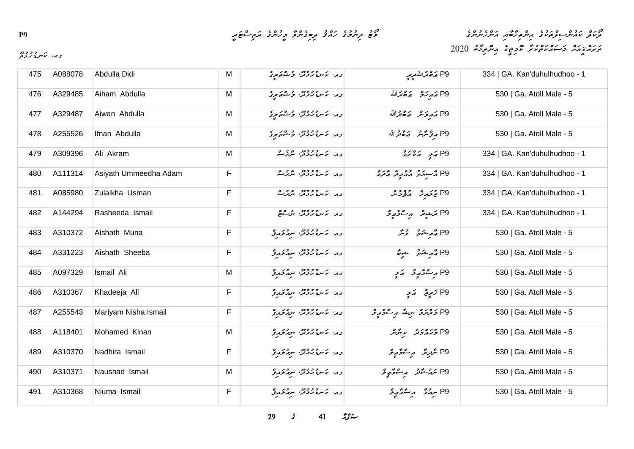*sCw7q7s5w7m< o<n9nOoAw7o< sCq;mAwBoEw7q<m; wBm;vB* م من المسجد المسجد المسجد المسجد المسجد العام 2020<br>مسجد المسجد المسجد المسجد المسجد المسجد المسجد المسجد المسجد ال

| 475 | A088078 | Abdulla Didi          | M | وار، کاس و و و ده ده و در در د                                                                             | P9 كەڭداللەمبەبە                               | 334   GA. Kan'duhulhudhoo - 1 |
|-----|---------|-----------------------|---|------------------------------------------------------------------------------------------------------------|------------------------------------------------|-------------------------------|
| 476 | A329485 | Aiham Abdulla         | M | ودا الأس ووجع المحاصر المحمد والمحمد المحمد المحمد المحمد المحمد المحمد المحمد المحمد المحمد المحمد المحمد | P9 <i>مَمِرْسَة مَ</i> هْمَراللّه              | 530   Ga. Atoll Male - 5      |
| 477 | A329487 | Aiwan Abdulla         | M | ود. که سره رود. و ده در د                                                                                  | P9  مَصِرَصْ مَصْعَمُ اللَّه                   | 530   Ga. Atoll Male - 5      |
| 478 | A255526 | Ifnan Abdulla         | M | ودا الأس ووجعه المحارث والمحرمي                                                                            | P9 موثر مرد مركز مركز الله                     | 530   Ga. Atoll Male - 5      |
| 479 | A309396 | Ali Akram             | M | ى مەسىرىدى ئىرى                                                                                            | P9 <i>مَج مَنْ مَدَ</i>                        | 334   GA. Kan'duhulhudhoo - 1 |
| 480 | A111314 | Asiyath Ummeedha Adam | F | ى ئەسلام ئەرەپ ئەرە                                                                                        | P9 مُ سِيرَةٍ مِنْ مِنْ مُحَدِّدٍ              | 334   GA. Kan'duhulhudhoo - 1 |
| 481 | A085980 | Zulaikha Usman        | F | ى دىسكە بەر بەر ئەن ئەرەپ ئە                                                                               | P9 يحوَم شَرْ مَعْ مَشْرَ مَسْرِ               | 334   GA. Kan'duhulhudhoo - 1 |
| 482 | A144294 | Rasheeda Ismail       | F | בורי עציע בככל הפיס                                                                                        | P9 ىزىيەتر ب <sub>ە</sub> رشۇپ <sub>و</sub> تر | 334   GA. Kan'duhulhudhoo - 1 |
| 483 | A310372 | Aishath Muna          | F | ىمەس ئەس دەپەر سىمگە ئەر                                                                                   | P9 مەم ئىشىمە ئەمگە                            | 530   Ga. Atoll Male - 5      |
| 484 | A331223 | Aishath Sheeba        | F | ىما كەس دەپىر سەتمەل                                                                                       | P9 مەم ئىقىم ھەم ئىچ                           | 530   Ga. Atoll Male - 5      |
| 485 | A097329 | Ismail Ali            | M | ىد ئەس رومۇس سىر ئەر                                                                                       | P9 <sub>مر</sub> ڪو <i>ڻيءَ جَ</i> حِ          | 530   Ga. Atoll Male - 5      |
| 486 | A310367 | Khadeeja Ali          | F | ىم ئىس دودە سەئىرو                                                                                         | P9 كَتَمِيعٌ - مَدَمٍّ -                       | 530   Ga. Atoll Male - 5      |
| 487 | A255543 | Mariyam Nisha Ismail  | F | ىمەس ئەس دەپەر سىمگە ئەر                                                                                   | P9 كەتكەك سىش مەسكە <i>گە</i> بى               | 530   Ga. Atoll Male - 5      |
| 488 | A118401 | Mohamed Kinan         | M | ىمە ئەس دەپىر سەتمەر                                                                                       | P9  <i>3223 م</i> یگریمر                       | 530   Ga. Atoll Male - 5      |
| 489 | A310370 | Nadhira Ismail        | F | ىما ئاس دود. سىگە ئەر                                                                                      | P9 بىرىرىگە بەسەئ <i>ۇي</i> رى                 | 530   Ga. Atoll Male - 5      |
| 490 | A310371 | Naushad Ismail        | M | 15°، מאוש בככבר ואות המותר ברית ה                                                                          | P9 <i>سَمَدْ شَعْنَہ</i> مِرْ مِنْ مِرِ وَ     | 530   Ga. Atoll Male - 5      |
| 491 | A310368 | Niuma Ismail          | F | ىما كەس دەپىر سىمگە                                                                                        | P9 سمقى موسىم <i>قىم</i> بى                    | 530   Ga. Atoll Male - 5      |

 $29$  *s* **41** *n***<sub>s</sub>**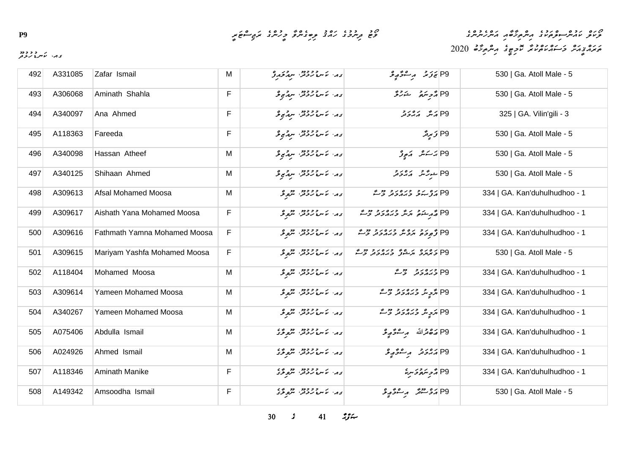*sCw7q7s5w7m< o<n9nOoAw7o< sCq;mAwBoEw7q<m; wBm;vB 2020<sup>, م</sup>وسوق المسجد التحقيق وسرمونية والم*جمع المسجد المسجد المسجد المسجد المسجد المسجد المسجد المسجد المسجد ال

| 492 | A331085 | Zafar Ismail                 | M           | ىدا ئەس روپى سىگۈم ئ                          | P9 ىخ تەشەر مەسىر ئەرىپى                       | 530   Ga. Atoll Male - 5      |
|-----|---------|------------------------------|-------------|-----------------------------------------------|------------------------------------------------|-------------------------------|
| 493 | A306068 | Aminath Shahla               | F           | ى مەس ئور دەر ئىس ئور                         | P9 مَّحْرِسَمَةَ شَرْكَةَ                      | 530   Ga. Atoll Male - 5      |
| 494 | A340097 | Ana Ahmed                    | $\mathsf F$ | ى مەس ئىرى بىر ئىس ئىس ئى                     | P9 كەنگە كەندى ئى                              | 325   GA. Vilin'gili - 3      |
| 495 | A118363 | Fareeda                      | F           | ו האת ככבר תה<br>כוח האת העלה תואת ב          | P9 ق <sup>م</sup> یونڈ                         | 530   Ga. Atoll Male - 5      |
| 496 | A340098 | Hassan Atheef                | M           | ى مەس ئەر ئۇقۇر، سەم ئىچ                      | P9 ئەسەنلەر كەم <u>و</u> ر                     | 530   Ga. Atoll Male - 5      |
| 497 | A340125 | Shihaan Ahmed                | M           |                                               | P9 جو <i>ر شہر محمد ال</i>                     | 530   Ga. Atoll Male - 5      |
| 498 | A309613 | Afsal Mohamed Moosa          | M           | د پر کامل دورو دو ه<br>در کامل گرفتن شهرمی    | P9   كارتو سكر 2 ديم كرد بور 2 ديگر            | 334   GA. Kan'duhulhudhoo - 1 |
| 499 | A309617 | Aishath Yana Mohamed Moosa   | F           |                                               |                                                | 334   GA. Kan'duhulhudhoo - 1 |
| 500 | A309616 | Fathmath Yamna Mohamed Moosa | F           |                                               | P9 הוב וס זי בוסוב כבי הוב והודע ובכבכבי כבי ה | 334   GA. Kan'duhulhudhoo - 1 |
| 501 | A309615 | Mariyam Yashfa Mohamed Moosa | $\mathsf F$ | در که دوور ده و                               | P9 كەيمەكى مەشۇق كەيمەك ئەسە                   | 530   Ga. Atoll Male - 5      |
| 502 | A118404 | Mohamed Moosa                | M           | ى دار با ئىس دولار بىر ئىس بىر بىر            | P9 دېږدونر وخت                                 | 334   GA. Kan'duhulhudhoo - 1 |
| 503 | A309614 | Yameen Mohamed Moosa         | M           | د مر سره در در مرد و                          | P9 ټرم په وره ده د پر د                        | 334   GA. Kan'duhulhudhoo - 1 |
| 504 | A340267 | Yameen Mohamed Moosa         | M           | ) د د کامل دورو او ده و                       | P9 <del>مر</del> ج مر وبروديز وستر             | 334   GA. Kan'duhulhudhoo - 1 |
| 505 | A075406 | Abdulla Ismail               | M           | ى يەر بەس ئەرەپ ئىس ئور                       | P9 كەھىراللە مەش <i>ۇم</i> بۇ                  | 334   GA. Kan'duhulhudhoo - 1 |
| 506 | A024926 | Ahmed Ismail                 | M           | دړ٠ که سورونو په ده دي.<br>در که سورونو شورون | P9 كەردى ھەر مەمگەرى                           | 334   GA. Kan'duhulhudhoo - 1 |
| 507 | A118346 | Aminath Manike               | F           | دړ٠ مأس کروندا شرح کړي                        | P9 مُ <i>جِ سَهْ دَ سِرْء</i> َ                | 334   GA. Kan'duhulhudhoo - 1 |
| 508 | A149342 | Amsoodha Ismail              | F           | ى يەر بەس ئەرەپ ئىس ئور                       | P9 كەۋىسى مەسىر ئەربىي                         | 530   Ga. Atoll Male - 5      |

*r@q:q5qF7m; .<C*

*30 sC 41 nNw?mS*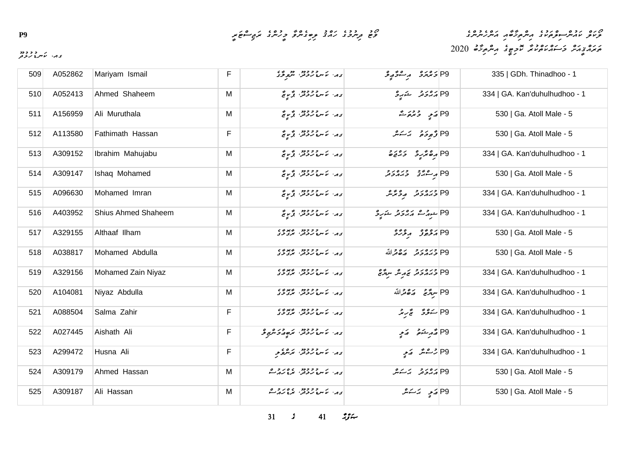*sCw7q7s5w7m< o<n9nOoAw7o< sCq;mAwBoEw7q<m; wBm;vB* م من المسجد المسجد المسجد المسجد المسجد العام 2020<br>مسجد المسجد المسجد المسجد المسجد المسجد المسجد المسجد المسجد ال

| 509 | A052862 | Mariyam Ismail             | F           | در که سره دورو در در در                                                                        | P9 كەنگەنى بەر مەگەر ئى                 | 335   GDh. Thinadhoo - 1      |
|-----|---------|----------------------------|-------------|------------------------------------------------------------------------------------------------|-----------------------------------------|-------------------------------|
| 510 | A052413 | Ahmed Shaheem              | M           | ى مەس ئور ئوقرا بۇ ئوق                                                                         | P9 كەنزى كەر ئىكەنبەتىكى ئىكەن ئىكەن ئ  | 334   GA. Kan'duhulhudhoo - 1 |
| 511 | A156959 | Ali Muruthala              | M           | ى مەسىم سىرىمەدە بۇ ئاسى                                                                       | P9 <i>ھَيِ دُمْھَ</i> تُ                | 530   Ga. Atoll Male - 5      |
| 512 | A113580 | Fathimath Hassan           | $\mathsf F$ | كەر، ئاس 222 كەن بۇ ئالقى                                                                      | P9 ۇ <sub>ج</sub> وخۇ ئەسكىلە           | 530   Ga. Atoll Male - 5      |
| 513 | A309152 | Ibrahim Mahujabu           | M           | ى مەس ئور ئوقرا بۇ ئويج                                                                        | P9 مەھەر بەر ئەدەھ                      | 334   GA. Kan'duhulhudhoo - 1 |
| 514 | A309147 | Ishaq Mohamed              | M           | ى مەسىم ئىرىدىن بۇ ئىرىنى                                                                      | P9 م شركة ورەرو                         | 530   Ga. Atoll Male - 5      |
| 515 | A096630 | Mohamed Imran              | M           | دەر، ئاس 225 كۈنى، بۇ ئانج                                                                     | P9 <i>32825 م</i> وڪرمبر                | 334   GA. Kan'duhulhudhoo - 1 |
| 516 | A403952 | <b>Shius Ahmed Shaheem</b> | M           | ى مەسىم ئىرى بىرىدىن بىرىدىنى بىر                                                              | P9 خې <i>م د چې د چې</i> خپرې           | 334   GA. Kan'duhulhudhoo - 1 |
| 517 | A329155 | Althaaf Ilham              | M           |                                                                                                | P9   كانتار بالتاريخ في جانبرية التاريخ | 530   Ga. Atoll Male - 5      |
| 518 | A038817 | Mohamed Abdulla            | M           | و در سر در دود.<br>د در سرس در در سرد در                                                       | P9 وبرورو وهوالله                       | 530   Ga. Atoll Male - 5      |
| 519 | A329156 | Mohamed Zain Niyaz         | M           |                                                                                                | P9 ديرورو <sub>م</sub> حمد شريع مريكو   | 334   GA. Kan'duhulhudhoo - 1 |
| 520 | A104081 | Niyaz Abdulla              | M           |                                                                                                | P9 سِتَرَجَ صَ <b>صَ</b> قَرَاللَّه     | 334   GA. Kan'duhulhudhoo - 1 |
| 521 | A088504 | Salma Zahir                | F           | و در اسکس و و وجود استان ده دارد.<br>او در اسکس موسول دارد استان در دارد و استان دارد.         | P9 سَعْرَةُ گَمَّ رَبْرُ                | 334   GA. Kan'duhulhudhoo - 1 |
| 522 | A027445 | Aishath Ali                | $\mathsf F$ | ورسكس مرود مرجدة والمراجع                                                                      | P9 مەم شەم ھېم                          | 334   GA. Kan'duhulhudhoo - 1 |
| 523 | A299472 | Husna Ali                  | F           | ووس که سره دره دره در در در در بازیگر در استفاده شد.<br>در بازیکویس که کاربرد بازیگر در سرچ در | P9  ژےنڈ <sub>م</sub> یو                | 334   GA. Kan'duhulhudhoo - 1 |
| 524 | A309179 | Ahmed Hassan               | M           | ى دار كەس بەر دەر دەر دەر                                                                      | P9 كەبروتى كەسكىلى                      | 530   Ga. Atoll Male - 5      |
| 525 | A309187 | Ali Hassan                 | M           | ى دار بە ئەرەپ ئەرەر ئەھەر ئەرەپ كە                                                            | P9  رَمِي بَرَسَ <i>بَرْ</i>            | 530   Ga. Atoll Male - 5      |

*r@q:q5qF7m; .<C*

 $31$  *s*  $41$  *n***<sub>y</sub>**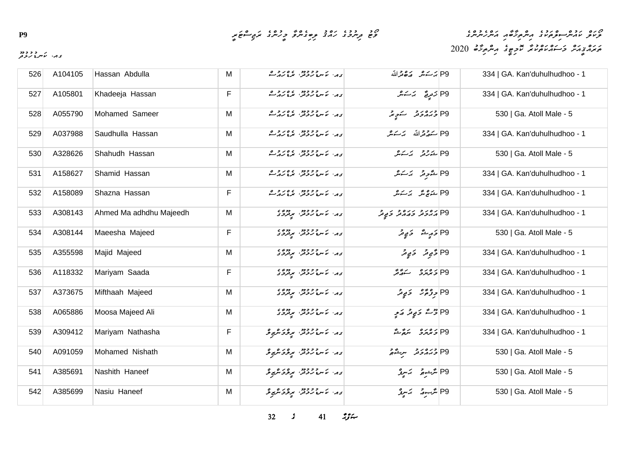*sCw7q7s5w7m< o<n9nOoAw7o< sCq;mAwBoEw7q<m; wBm;vB* م من المرة المرة المرة المرجع المرجع في المركبة 2020<br>مجم*د المريض المربوط المربع المرجع في المراجع المركبة* 

| 526 | A104105 | Hassan Abdulla          | M           | ی پر در کامل کاروی دی برای در هر در هر در هر در هر در هر در هر در هر در هر در هر در هر در هر در هر د           | P9 ئەسەمى <i>ر مەھ</i> تراللە              | 334   GA. Kan'duhulhudhoo - 1 |
|-----|---------|-------------------------|-------------|----------------------------------------------------------------------------------------------------------------|--------------------------------------------|-------------------------------|
| 527 | A105801 | Khadeeja Hassan         | F           | ى دار كەس دەرەر ئەرەر دەر                                                                                      | P9 كەرپىھ - ئەسكەنلە                       | 334   GA. Kan'duhulhudhoo - 1 |
| 528 | A055790 | Mohamed Sameer          | M           | ى دىستى مەرىخ ئەرەب ھەرىپ كىلەت كەن ئەرەپ كەن ئۇيغان كەن ئۇيغان كەن ئۇيغان كەن ئۇيغان ئۇيغان ئۇيغان ئۇيغان ئۇي | P9 دېم دېمر کې سکو پر                      | 530   Ga. Atoll Male - 5      |
| 529 | A037988 | Saudhulla Hassan        | M           | ى مەس ئەرەپ ئەرەر ق                                                                                            | P9 كەچەقراللە كەك ئە                       | 334   GA. Kan'duhulhudhoo - 1 |
| 530 | A328626 | Shahudh Hassan          | M           | ى دىستى مەرىخ ئەرەب ھەرىپ كى                                                                                   | P9 ڪرڻ پر <i>ڪيل</i>                       | 530   Ga. Atoll Male - 5      |
| 531 | A158627 | Shamid Hassan           | M           | ى مەس ئەرەپ ئەرەر ق                                                                                            | P9  حدَّوِيْر    پرسکر مل                  | 334   GA. Kan'duhulhudhoo - 1 |
| 532 | A158089 | Shazna Hassan           | F           | ى دىستەرەپ ئەرەر ق                                                                                             | P9 ڪنگه پر پر سنگر                         | 334   GA. Kan'duhulhudhoo - 1 |
| 533 | A308143 | Ahmed Ma adhdhu Majeedh | M           | و د ۱۰ کمونه کرده.<br>د د کمونه کردند موتوح د                                                                  | P9 , גיג כליט כל ביט                       | 334   GA. Kan'duhulhudhoo - 1 |
| 534 | A308144 | Maeesha Majeed          | F           | در ۱۰ سره دوره در دوره<br>در سرس کردن مردرو                                                                    | P9 كەرىش كەي <sub>م</sub> ۇر               | 530   Ga. Atoll Male - 5      |
| 535 | A355598 | Majid Majeed            | M           | وړ که کلو وووه د ووه و                                                                                         |                                            | 334   GA. Kan'duhulhudhoo - 1 |
| 536 | A118332 | Mariyam Saada           | F           | وړ که کلو وووه د ووه و                                                                                         | P9 كەبىر بىر سىر ئىقىر                     | 334   GA. Kan'duhulhudhoo - 1 |
| 537 | A373675 | Mifthaah Majeed         | M           | وړ کمس د ووو.<br>در کمس کرونز، مرتزوی                                                                          | P9   <i>وِدْهُرُّ</i> دَءٍ مِّر            | 334   GA. Kan'duhulhudhoo - 1 |
| 538 | A065886 | Moosa Majeed Ali        | M           | د در که دوده دود د                                                                                             | P9  تڙنے <sub>ک</sub> ي پون <i>ڌ مک</i> مي | 334   GA. Kan'duhulhudhoo - 1 |
| 539 | A309412 | Mariyam Nathasha        | $\mathsf F$ | ا دەر، ئەس رىدىن ئېرگەدىكى گ                                                                                   | P9 كەندىرى ئىرگەشگە                        | 334   GA. Kan'duhulhudhoo - 1 |
| 540 | A091059 | Mohamed Nishath         | M           | ىمە ئەسلاملەر بېرىگەش ئى                                                                                       | P9 <i>وُبَهُ وَبَرْ</i> مِنْ مِشْهِ فَلَا  | 530   Ga. Atoll Male - 5      |
| 541 | A385691 | Nashith Haneef          | M           | دەر، ئاس دورەر ئېرگە ئاسى ئ                                                                                    | P9 سَّرْسُومَ سَرْسِرْ \$                  | 530   Ga. Atoll Male - 5      |
| 542 | A385699 | Nasiu Haneef            | M           | ىمە ئەس دەپەت بېرى ئەھرى                                                                                       | P9 مُتَہور کے سرپر<br>ا                    | 530   Ga. Atoll Male - 5      |

*r@q:q5qF7m; .<C*

**32** *s* **41** *if***<sub>i</sub>**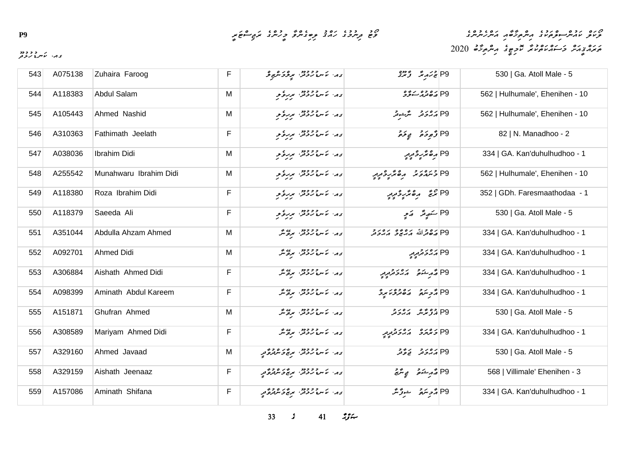*sCw7q7s5w7m< o<n9nOoAw7o< sCq;mAwBoEw7q<m; wBm;vB* م من المسجد المسجد المسجد المسجد المسجد العام 2020<br>مسجد المسجد المسجد المسجد المسجد المسجد المسجد المسجد المسجد ال

| 543 | A075138 | Zuhaira Faroog         | F | ى مەسىم سىرى بىر ئەر ئىرىم ئى           | P9 ي <i>ح ترم بنگ و</i> محر تر             | 530   Ga. Atoll Male - 5        |
|-----|---------|------------------------|---|-----------------------------------------|--------------------------------------------|---------------------------------|
| 544 | A118383 | Abdul Salam            | M | ى مەس ئەرجى ئۇقرار ئېرىر ئايرىن         | P9 كەھ <i>قراڭ شۇ</i> ۋ                    | 562   Hulhumale', Ehenihen - 10 |
| 545 | A105443 | Ahmed Nashid           | M | دەڪ ئەس 235 مەركى ئە                    | P9 كەندى قىلى ئىشەنتى P9                   | 562   Hulhumale', Ehenihen - 10 |
| 546 | A310363 | Fathimath Jeelath      | F | ى مەسىم ئىرودە ئەربۇلۇر                 | P9 <i>وَّج</i> وحَمَ م <sub>َح</sub> ِمَوْ | 82   N. Manadhoo - 2            |
| 547 | A038036 | Ibrahim Didi           | M | ى مەسىم ئىرودە بىر ئىگى ئىل             | P9 پر <i>چ پڙر و</i> ڻيور                  | 334   GA. Kan'duhulhudhoo - 1   |
| 548 | A255542 | Munahwaru Ibrahim Didi | M | دەڪ ئەس 235 مەركى تەر                   | P9 د شهروس می گرد و مرمر                   | 562   Hulhumale', Ehenihen - 10 |
| 549 | A118380 | Roza Ibrahim Didi      | F | دەڪ ئەس 235 مەركى تەر                   | P9 نژچ م <i>وځنگړ</i> ونږي <sub>ږ</sub>    | 352   GDh. Faresmaathodaa - 1   |
| 550 | A118379 | Saeeda Ali             | F | دەڪ ئەرەپ ئەرەپ ئورىدى                  | P9 سک <i>وپنڈ مک</i> میہ                   | 530   Ga. Atoll Male - 5        |
| 551 | A351044 | Abdulla Ahzam Ahmed    | M | .<br>10. ئۈسۈرلىرى بىر <i>ە</i> ش       | P9  كەھەرللە كەممى كەرگە كەرگە             | 334   GA. Kan'duhulhudhoo - 1   |
| 552 | A092701 | <b>Ahmed Didi</b>      | M | ى مەسىم ئىقلىق ئىق بىرە ئىس             | P9 كەبر <i>3 ت</i> رىرىر                   | 334   GA. Kan'duhulhudhoo - 1   |
| 553 | A306884 | Aishath Ahmed Didi     | F | ى مەسىم ئىرىمى ئىرىمى ئىر               | P9 مەم ئىكتى مەم ئەم ئىرىپرىيە             | 334   GA. Kan'duhulhudhoo - 1   |
| 554 | A098399 | Aminath Abdul Kareem   | F | ) دە. ئاس 222 مىڭ بىرەتتى               | P9 مُجرِسَمُ مُصْرِوْسَ مِرْدَّ            | 334   GA. Kan'duhulhudhoo - 1   |
| 555 | A151871 | Ghufran Ahmed          | M | ى مەسىم ئەرەپ بىرە بىر                  | P9 تۇترىگىر كەردىر                         | 530   Ga. Atoll Male - 5        |
| 556 | A308589 | Mariyam Ahmed Didi     | F | ى مەسىم ئەرەپ بىرە بىر                  | P9 كەبەر <i>25 كەبەر بورىي</i> ر           | 334   GA. Kan'duhulhudhoo - 1   |
| 557 | A329160 | Ahmed Javaad           | M | ى ماسى مى مى مى مى مى مى مى مى مى مى مى | P9 كەبۇر قىمە قىمىسى ئىچە ئىستىر           | 530   Ga. Atoll Male - 5        |
| 558 | A329159 | Aishath Jeenaaz        | F | 15 - ماس 1955 مریخ کار مرکز کرد.        | P9 م <i>ەرىشىم بې</i> تى <i>گ</i> ى        | 568   Villimale' Ehenihen - 3   |
| 559 | A157086 | Aminath Shifana        | F | دە . ئەس دەپەر ئەر ئەرەپچە              | P9 مُرْحِ سَمَعُ مَسْوَرٌ سَمَّ            | 334   GA. Kan'duhulhudhoo - 1   |

*r@q:q5qF7m; .<C*

**33** *s* **41** *n***<sub>y</sub> <b>***s*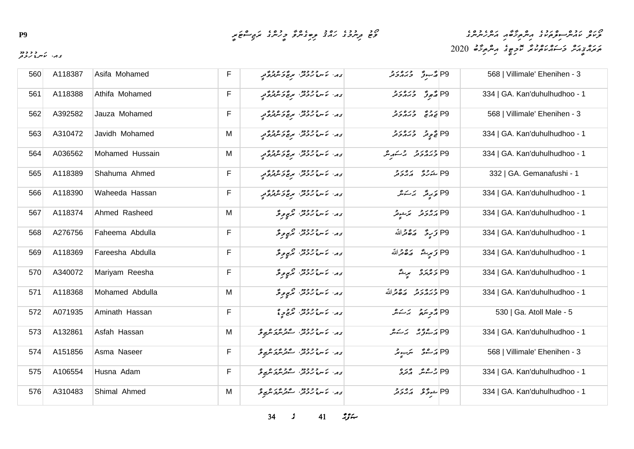*sCw7q7s5w7m< o<n9nOoAw7o< sCq;mAwBoEw7q<m; wBm;vB* م من المسجد المسجد المسجد المسجد المسجد العام 2020<br>مسجد المسجد المسجد المسجد المسجد المسجد المسجد المسجد المسجد ال

| 560 | A118387 | Asifa Mohamed    | F           | ى مەسىم مىقى مىقى ئىس ئىس ئىس ئىس ئىس               | P9 مُسِوَّرٌ وَبَرْدُوَنَّرٌ                | 568   Villimale' Ehenihen - 3 |
|-----|---------|------------------|-------------|-----------------------------------------------------|---------------------------------------------|-------------------------------|
| 561 | A118388 | Athifa Mohamed   | F           | ورسكس وودد مرتج كالرهوم                             | P9 مَّجوزٌ حَمَدَ حَمَد                     | 334   GA. Kan'duhulhudhoo - 1 |
| 562 | A392582 | Jauza Mohamed    | F           | ورسكس دوود مركز مركز مركز والمحمد                   | P9 يَورُجُ وَبَرُودُورُ                     | 568   Villimale' Ehenihen - 3 |
| 563 | A310472 | Javidh Mohamed   | M           | در که سی زوده مرگز مرکز و د                         | P9 قَمِ مِنْرٍ مَ <i>مَدْ دَوْر</i>         | 334   GA. Kan'duhulhudhoo - 1 |
| 564 | A036562 | Mohamed Hussain  | M           | ورسكس ووودوس المراكح والرواقعي                      | P9  <i>وبروبروتر برستهب</i> ر               | 334   GA. Kan'duhulhudhoo - 1 |
| 565 | A118389 | Shahuma Ahmed    | F           |                                                     | P9 شر <i>ق م</i> رور و                      | 332   GA. Gemanafushi - 1     |
| 566 | A118390 | Waheeda Hassan   | F           | ورسكس مروح ودود المراجح مراجع ومحمد المستخرج ومراجع | P9 <i>قەيدىگە</i> ئەس <i>تە</i> نلە         | 334   GA. Kan'duhulhudhoo - 1 |
| 567 | A118374 | Ahmed Rasheed    | M           | ىدا ئەساردىق ئۇي بوڭ                                | P9 <i>مُہُدُوَمُ مَرْحِ</i> مِت <i>ُر</i> ُ | 334   GA. Kan'duhulhudhoo - 1 |
| 568 | A276756 | Faheema Abdulla  | F           | ىدا ئەساردىق ئۇي بوڭ                                | P9 قري <sub>د</sub> ى صگره مالله            | 334   GA. Kan'duhulhudhoo - 1 |
| 569 | A118369 | Fareesha Abdulla | F           |                                                     | P9 ترميثة ك <sup>8</sup> مقرالله            | 334   GA. Kan'duhulhudhoo - 1 |
| 570 | A340072 | Mariyam Reesha   | $\mathsf F$ |                                                     | P9 كەچرى موسىم                              | 334   GA. Kan'duhulhudhoo - 1 |
| 571 | A118368 | Mohamed Abdulla  | M           |                                                     | P9 وُيَرْمُ وَمَرَّ مَهُ مِّرَاللَّهُ       | 334   GA. Kan'duhulhudhoo - 1 |
| 572 | A071935 | Aminath Hassan   | F           | در که سرگرفتر مربع و ه                              | P9 مٌ <i>وِ مَرَهْ بِرَ سَ</i> مَكَّر       | 530   Ga. Atoll Male - 5      |
| 573 | A132861 | Asfah Hassan     | M           | ورسكس وودود المتوسط مهدم                            | P9 كەببۇر ئەسكىر                            | 334   GA. Kan'duhulhudhoo - 1 |
| 574 | A151856 | Asma Naseer      | F           | ورسكس وودد المتوافق من والمحدث                      | P9  كەشىمى    سىرىيە ئىر                    | 568   Villimale' Ehenihen - 3 |
| 575 | A106554 | Husna Adam       | F           | ورسكس ووود الصور والمراجع                           | P9 پُرِ مِیٹر مُحَمَد <i>ة</i>              | 334   GA. Kan'duhulhudhoo - 1 |
| 576 | A310483 | Shimal Ahmed     | M           | ورسكس ووود الصور والمراجع                           | P9  جو <i>ۇۋەلەر مەدەن</i> ر                | 334   GA. Kan'duhulhudhoo - 1 |

**34** *s* **41** *z*<sub>*s*</sub> *z*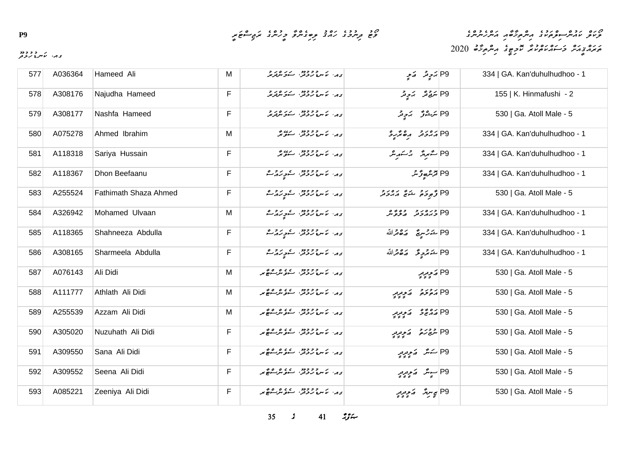*sCw7q7s5w7m< o<n9nOoAw7o< sCq;mAwBoEw7q<m; wBm;vB* م من المسجد المسجد المسجد المسجد المسجد العام 2020<br>مسجد المسجد المسجد المسجد المسجد المسجد المسجد المسجد المسجد ال

| 577 | A036364 | Hameed Ali            | M           | ى دارىس مەرجى ئەرگەر ئەرگەر ئەرگەر ئەرگەر ئەرگەر ئەرگەر ئەرگەر ئەرگەر ئەرگەر ئەرگەر ئەرگەر ئەرگەر ئە | P9 ټوپټر <b>چې</b>                   | 334   GA. Kan'duhulhudhoo - 1 |
|-----|---------|-----------------------|-------------|------------------------------------------------------------------------------------------------------|--------------------------------------|-------------------------------|
| 578 | A308176 | Najudha Hameed        | F           | ى دارىس مەرجى ئەرگەر ئەرگەر ئەرگەر ئەرگەر ئەرگەر ئەرگەر ئەرگەر ئەرگەر ئەرگەر ئەرگەر ئەرگەر ئەرگەر ئە | P9 ىك <sub>ى</sub> قى كەرىگە         | 155   K. Hinmafushi - 2       |
| 579 | A308177 | Nashfa Hameed         | F           | ى دار با ئىس 2999 كەن ئەس بولىرىنى ئىس بولىرىنى ئىس بولىرىنى ئىس 2013 كىل بولىرىنى ئىس 2014 كىل بول  | P9 يَرَڪْرُ گَرِيْرُ                 | 530   Ga. Atoll Male - 5      |
| 580 | A075278 | Ahmed Ibrahim         | M           | بر در ۱۶۶۶ در در ۱۶۵۷<br>بر کامل مرکزانی استوکر                                                      | P9 <i>ב جو حق م</i> قتر ج            | 334   GA. Kan'duhulhudhoo - 1 |
| 581 | A118318 | Sariya Hussain        | F           | وړ که د ووود درې د                                                                                   | P9 گے پر پٹر کرکے ہر بنگ             | 334   GA. Kan'duhulhudhoo - 1 |
| 582 | A118367 | Dhon Beefaanu         | $\mathsf F$ | ور شروع دوه کوروگ                                                                                    | P9 ترىمبورَ تىر                      | 334   GA. Kan'duhulhudhoo - 1 |
| 583 | A255524 | Fathimath Shaza Ahmed | F           | در کاملائروں گے مرد ق                                                                                | P9 وَجِعِدَمْ شَيَّ مَدَّدَمْ        | 530   Ga. Atoll Male - 5      |
| 584 | A326942 | Mohamed Ulvaan        | M           | ور، ئەسەرەرە ئەرزەت                                                                                  | P9 دېرمار ده وه شر                   | 334   GA. Kan'duhulhudhoo - 1 |
| 585 | A118365 | Shahneeza Abdulla     | F           | ور شرورود عوروف                                                                                      | P9 خەرسىتى كەھەتراللە                | 334   GA. Kan'duhulhudhoo - 1 |
| 586 | A308165 | Sharmeela Abdulla     | F           | ور شروع رود کے مرد ق                                                                                 | P9 خەترى <sub>چ</sub> ىۋ كەھ تىراللە | 334   GA. Kan'duhulhudhoo - 1 |
| 587 | A076143 | Ali Didi              | M           | ى مەسىر ئەرەدە بەي ئەھەر                                                                             | P9  ک <sup>ے</sup> مومومو            | 530   Ga. Atoll Male - 5      |
| 588 | A111777 | Athlath Ali Didi      | M           | ى مەسىر ئەرەدە سىرە ئەرەپ كەن ئوققا بىر                                                              | P9 كەنزىقى كەيرىرىر                  | 530   Ga. Atoll Male - 5      |
| 589 | A255539 | Azzam Ali Didi        | M           |                                                                                                      | P9 <i>ړه ۶ وي په پ</i> وټر پر        | 530   Ga. Atoll Male - 5      |
| 590 | A305020 | Nuzuhath Ali Didi     | F           | ى دىستەرەپەر ئەن ئەھرىرى ئەھمىر                                                                      | P9 يتر <i>ج كيم في مك</i> وميدير     | 530   Ga. Atoll Male - 5      |
| 591 | A309550 | Sana Ali Didi         | F           | ى مەسىر ئەرەپ ئەرەك ئەرەك ئەر                                                                        | P9 ڪنگر ڪيوبيريد                     | 530   Ga. Atoll Male - 5      |
| 592 | A309552 | Seena Ali Didi        | F           | ى مەس ئەر ئۇتىر، سىرە ئەر ئۇي ئىر                                                                    | P9 سينگر كەمچە دىرىر                 | 530   Ga. Atoll Male - 5      |
| 593 | A085221 | Zeeniya Ali Didi      | F           | ى مەسىرى ئەتەرەپ كەن ئەت ھەس                                                                         | P9 <sub>مج</sub> سرد کروپور          | 530   Ga. Atoll Male - 5      |

*r@q:q5qF7m; .<C*

**35** *s* **41** *n***<sub>y</sub> <b>***n*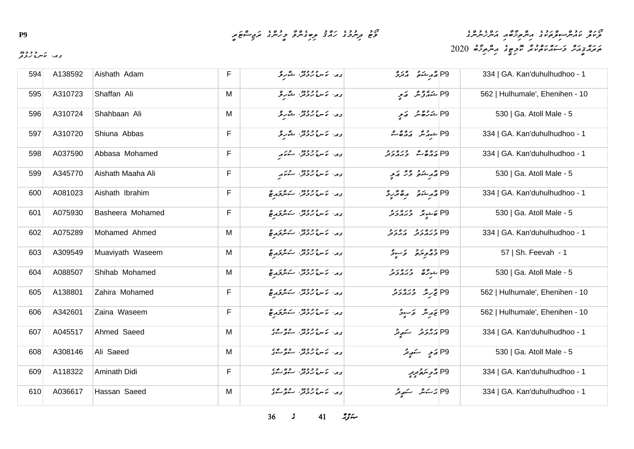*sCw7q7s5w7m< o<n9nOoAw7o< sCq;mAwBoEw7q<m; wBm;vB* م من المسجد المسجد المسجد المسجد المسجد العام 2020<br>مسجد المسجد المسجد المسجد المسجد المسجد المسجد المسجد المسجد ال

| 594 | A138592 | Aishath Adam      | F           | ىد. ئەس ئەقرىق ھەر ئە                                                                                          | P9  مَ <i>َّم</i> ِ مَـُمَرَّ مَ <i>َّمَرَّد</i> َ | 334   GA. Kan'duhulhudhoo - 1   |
|-----|---------|-------------------|-------------|----------------------------------------------------------------------------------------------------------------|----------------------------------------------------|---------------------------------|
| 595 | A310723 | Shaffan Ali       | M           | ىم ، ئاس كرىرى ئىگرىگى                                                                                         | P9 خەرمە تەر كەم                                   | 562   Hulhumale', Ehenihen - 10 |
| 596 | A310724 | Shahbaan Ali      | M           | ى مەسىم ئىردىن ئىش بۇ                                                                                          | P9  شتر <i>دة متر مت</i> و                         | 530   Ga. Atoll Male - 5        |
| 597 | A310720 | Shiuna Abbas      | $\mathsf F$ | ى مەسىم ئىروم ئىگرىمى                                                                                          | $2.525$ $2.59$ $-9$                                | 334   GA. Kan'duhulhudhoo - 1   |
| 598 | A037590 | Abbasa Mohamed    | F           | ورساس مرود ود و در منظمه                                                                                       | $72012 - 2824$ P9                                  | 334   GA. Kan'duhulhudhoo - 1   |
| 599 | A345770 | Aishath Maaha Ali | $\mathsf F$ | ى مەسى ئىق ئىس ئىس                                                                                             | P9 م <i>ۇم شەمۇ</i> ك <sup>ى</sup> ر كەير          | 530   Ga. Atoll Male - 5        |
| 600 | A081023 | Aishath Ibrahim   | $\mathsf F$ | ى مەسىر دەھەر كەھەر ھ                                                                                          | P9 مُمبِّسَمَ مِهْتَرِدْ                           | 334   GA. Kan'duhulhudhoo - 1   |
| 601 | A075930 | Basheera Mohamed  | $\mathsf F$ | ودا الأس وودود الكرورة                                                                                         | P9 ھَشِيمٌ وَيَرْمُونَرُ                           | 530   Ga. Atoll Male - 5        |
| 602 | A075289 | Mohamed Ahmed     | M           | ورسكس وودد كالكروح                                                                                             | P9 ورەرو رەرو                                      | 334   GA. Kan'duhulhudhoo - 1   |
| 603 | A309549 | Muaviyath Waseem  | M           | ودا الأس ووده المسكورة                                                                                         | P9 <i>وَمُّوِمَرَةُ</i> وَسِوْدُ                   | 57   Sh. Feevah - 1             |
| 604 | A088507 | Shihab Mohamed    | M           | ووسكس وودد سكسر وره و                                                                                          | P9 خو <i>رًة ويم</i> وتر                           | 530   Ga. Atoll Male - 5        |
| 605 | A138801 | Zahira Mohamed    | $\mathsf F$ | ورسكس وودده كالمرورة                                                                                           | P9 تجربتر ف <i>رزود و</i>                          | 562   Hulhumale', Ehenihen - 10 |
| 606 | A342601 | Zaina Waseem      | F           | ورسكس وودده كالمرورة                                                                                           | P9 يَجمه مَدْ عَصِيحْ                              | 562   Hulhumale', Ehenihen - 10 |
| 607 | A045517 | Ahmed Saeed       | M           | ى دىن سىس دەھەر بەر ئەرەپ كەتتى ب                                                                              | P9   پروژو که درگ                                  | 334   GA. Kan'duhulhudhoo - 1   |
| 608 | A308146 | Ali Saeed         | M           | ى دىسى دەپەر ئەرەپىرى ئەرەپ ئەرەپ ئەرەپ كەرىپ كەرىپ كەرەپ كەرەپ كەرەپ كەرەپ كەرەپ كەرەپ كەرەپ كەرەپ كەرەپ كەرە | P9 کی پی سکھیٹر                                    | 530   Ga. Atoll Male - 5        |
| 609 | A118322 | Aminath Didi      | F           | ى پەر ئەس بەرەدە بەر ئەش ئەي                                                                                   | P9 مُ تَرِيبُو تَرْتَدِيبُ                         | 334   GA. Kan'duhulhudhoo - 1   |
| 610 | A036617 | Hassan Saeed      | M           | ى دىسى دەپەر بەل ئەن                                                                                           | P9 بَرَسَسْ سَمِيقَر                               | 334   GA. Kan'duhulhudhoo - 1   |

 $36$  *s* **41** *n***<sub>s</sub>**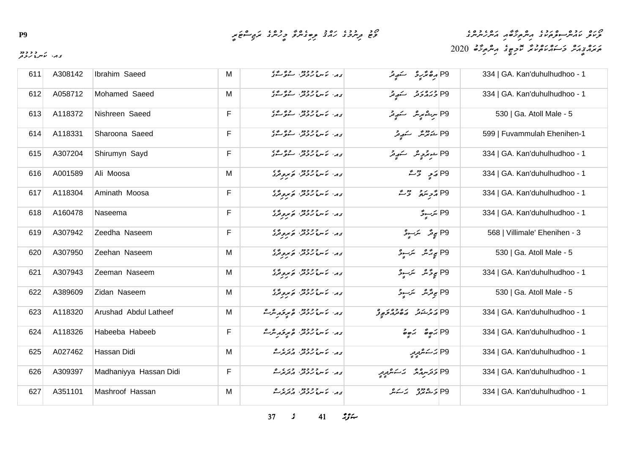*sCw7q7s5w7m< o<n9nOoAw7o< sCq;mAwBoEw7q<m; wBm;vB* م من المسجد المسجد المسجد المسجد المسجد العام 2020<br>مسجد المسجد المسجد المسجد المسجد المسجد المسجد المسجد المسجد ال

| 611 | A308142 | Ibrahim Saeed          | M | ى دەستەر دەھەر ئەھەر ئەرەپ كەر                               | P9 م <i>وھنڑروٹ سکھ</i> یٹر                                                                                                                                                                                                                                                                           | 334   GA. Kan'duhulhudhoo - 1 |
|-----|---------|------------------------|---|--------------------------------------------------------------|-------------------------------------------------------------------------------------------------------------------------------------------------------------------------------------------------------------------------------------------------------------------------------------------------------|-------------------------------|
| 612 | A058712 | Mohamed Saeed          | M | ى د. ، ئەس 255 د. بەر ئەش ئەي                                | P9 <i>ۋىزۇدۇ سەمبەت</i> ر                                                                                                                                                                                                                                                                             | 334   GA. Kan'duhulhudhoo - 1 |
| 613 | A118372 | Nishreen Saeed         | F | ى د. ، ئەس 255 د. بەر ئەش ئەي                                | P9 سرڪومري <i>گر ڪوپ</i> وگر                                                                                                                                                                                                                                                                          | 530   Ga. Atoll Male - 5      |
| 614 | A118331 | Sharoona Saeed         | F | ى دىسى دەپەر بەل ئەن                                         | P9 شترشر س <i>تمہ</i> ر                                                                                                                                                                                                                                                                               | 599   Fuvammulah Ehenihen-1   |
| 615 | A307204 | Shirumyn Sayd          | F | ى دىسى دەپەر بەلەر ئەيدىنى ئەن                               | P9 جو پڙو پڙ ڪوپوٽر                                                                                                                                                                                                                                                                                   | 334   GA. Kan'duhulhudhoo - 1 |
| 616 | A001589 | Ali Moosa              | M | ى مەس ئەرەپ ئەرەپىرە ئەرە                                    | P9 كەبە بىخەشە                                                                                                                                                                                                                                                                                        | 334   GA. Kan'duhulhudhoo - 1 |
| 617 | A118304 | Aminath Moosa          | F |                                                              | P9 مُجِسَعَةٍ وَمَسَّمَّ                                                                                                                                                                                                                                                                              | 334   GA. Kan'duhulhudhoo - 1 |
| 618 | A160478 | Naseema                | F | ود . كاس وودو .<br>ود . كاس روفر . تومره فرو                 | P9 يترسوپڅ                                                                                                                                                                                                                                                                                            | 334   GA. Kan'duhulhudhoo - 1 |
| 619 | A307942 | Zeedha Naseem          | F |                                                              | P9  ي <sub>م</sub> ونژ پر پرو                                                                                                                                                                                                                                                                         | 568   Villimale' Ehenihen - 3 |
| 620 | A307950 | Zeehan Naseem          | M | ى دار مەس دەپەر ئەس ئەرەبىرى                                 | P9 <sub>مح</sub> رمجنگر - مترسومی                                                                                                                                                                                                                                                                     | 530   Ga. Atoll Male - 5      |
| 621 | A307943 | Zeeman Naseem          | M | ى دىن ئەس دودو.<br>ئەرەب ئەس ئەس ئەس ئەس ئەس                 | P9 <sub>مح</sub> وثر م <i>ترج</i> و                                                                                                                                                                                                                                                                   | 334   GA. Kan'duhulhudhoo - 1 |
| 622 | A389609 | Zidan Naseem           | M | در که دوده کرده و                                            | P9 ب <sub>ح</sub> مَدُس سَرَسِرت <u>ح</u>                                                                                                                                                                                                                                                             | 530   Ga. Atoll Male - 5      |
| 623 | A118320 | Arushad Abdul Latheef  | M | ورسا سود و دود و مرتز مرس                                    | P9 كەيمەشىق كەھەركە <i>مەھەر ئۇ</i>                                                                                                                                                                                                                                                                   | 334   GA. Kan'duhulhudhoo - 1 |
| 624 | A118326 | Habeeba Habeeb         | F | ورسا سود و دود و مرکز مرک                                    | $\frac{2}{3}$ $\frac{2}{3}$ $\frac{2}{3}$ $\frac{2}{3}$ $\frac{2}{3}$ $\frac{2}{3}$ $\frac{2}{3}$ $\frac{2}{3}$ $\frac{2}{3}$ $\frac{2}{3}$ $\frac{2}{3}$ $\frac{2}{3}$ $\frac{2}{3}$ $\frac{2}{3}$ $\frac{2}{3}$ $\frac{2}{3}$ $\frac{2}{3}$ $\frac{2}{3}$ $\frac{2}{3}$ $\frac{2}{3}$ $\frac{2}{3}$ | 334   GA. Kan'duhulhudhoo - 1 |
| 625 | A027462 | Hassan Didi            | M | ى د. كەس دودە بەر ئەرگ                                       | P9 كەسكەتلەرىر                                                                                                                                                                                                                                                                                        | 334   GA. Kan'duhulhudhoo - 1 |
| 626 | A309397 | Madhaniyya Hassan Didi | F | و در ۱۶ میلی در در ۱۵ ور در ۱۵<br>داد ۱۰ میلی مرفوف اولوموسو | P9 كەترىپرى <i>مىڭ بەسەھىرى</i> ر                                                                                                                                                                                                                                                                     | 334   GA. Kan'duhulhudhoo - 1 |
| 627 | A351101 | Mashroof Hassan        | M | ى دا الله دودو المحدد بروز ك                                 | P9 كەشى <i>دۇ بى</i> كەنگە                                                                                                                                                                                                                                                                            | 334   GA. Kan'duhulhudhoo - 1 |

*37 sC 41 nNw?mS*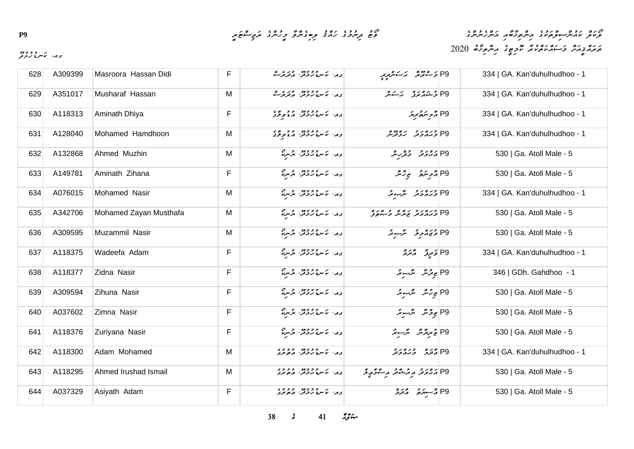*sCw7q7s5w7m< o<n9nOoAw7o< sCq;mAwBoEw7q<m; wBm;vB* م من المسجد المسجد المسجد المسجد المسجد العام 2020<br>مسجد المسجد المسجد المسجد المسجد المسجد المسجد المسجد المسجد ال

| 628 | A309399 | Masroora Hassan Didi   | F           | ی در که سره سره در در در ه              | P9  كەسەر كەرگە كەشكە <i>بەر بىر</i>   | 334   GA. Kan'duhulhudhoo - 1 |
|-----|---------|------------------------|-------------|-----------------------------------------|----------------------------------------|-------------------------------|
| 629 | A351017 | Musharaf Hassan        | M           | ى دا سىس دودو بەر ئەرگى                 | P9 ۇيئە <i>م بىرى بىر ئىگەنل</i>       | 334   GA. Kan'duhulhudhoo - 1 |
| 630 | A118313 | Aminath Dhiya          | $\mathsf F$ | ى دى. ئەس دوۋە دە دە ئ                  | P9 مُ <i>جِ سَمَعُ مِدِيرَ</i>         | 334   GA. Kan'duhulhudhoo - 1 |
| 631 | A128040 | Mohamed Hamdhoon       | M           | د در سامس دو دور و د ور ده د            | P9 در در در دورو<br>P9 در در در روبر   | 334   GA. Kan'duhulhudhoo - 1 |
| 632 | A132868 | Ahmed Muzhin           | M           | ובו מייעו ליבור הייתו                   | P9   <i>مەمۇمۇ</i> مۇرىيە              | 530   Ga. Atoll Male - 5      |
| 633 | A149781 | Aminath Zihana         | $\mathsf F$ | זו אי ישי הפריד כי הייתוא               | P9 مَّ حِ سَمَّةٌ مَ سِمَّةٌ مَ        | 530   Ga. Atoll Male - 5      |
| 634 | A076015 | Mohamed Nasir          | M           | ו מי מייעו ציבעי ו <i>תייטו</i>         | P9 دېم دې مگر بېرند                    | 334   GA. Kan'duhulhudhoo - 1 |
| 635 | A342706 | Mohamed Zayan Musthafa | M           | در ۱۰ سره روبر اور مرس                  | P9 دېرورو برورو د مبروتو               | 530   Ga. Atoll Male - 5      |
| 636 | A309595 | Muzammil Nasir         | M           | זו אייער לעל תייטו                      | P9 دُيَمَ دُودِ دَ سَرَجِيرَ           | 530   Ga. Atoll Male - 5      |
| 637 | A118375 | Wadeefa Adam           | F           | זו אי ישי הרבית ואיינטי                 | P9   قامرِوٌ = مُرَّمَرُو              | 334   GA. Kan'duhulhudhoo - 1 |
| 638 | A118377 | Zidna Nasir            | $\mathsf F$ | צון ואייעל הרבה - ראשונו                | P9  ي <sub>ج</sub> ترىنگر    مگرسونگر  | 346   GDh. Gahdhoo - 1        |
| 639 | A309594 | Zihuna Nasir           | F           | ו מי מייעו ליביעי ולייטו                | P9 ى <sub>ج</sub> رتىگە گەسبەتمە       | 530   Ga. Atoll Male - 5      |
| 640 | A037602 | Zimna Nasir            | $\mathsf F$ | זו אייער לעל תייטו                      | P9 ى <sub>ج</sub> ۇنىگە ئىگە بىرىگە    | 530   Ga. Atoll Male - 5      |
| 641 | A118376 | Zuriyana Nasir         | $\mathsf F$ | ו מי מייש לי בידי המיישי                | P9  ج مری <i>ر مگر مگر سوم</i> ر       | 530   Ga. Atoll Male - 5      |
| 642 | A118300 | Adam Mohamed           | M           |                                         | P9 كەتىر <i>ە بەرە ب</i> ەر            | 334   GA. Kan'duhulhudhoo - 1 |
| 643 | A118295 | Ahmed Irushad Ismail   | M           |                                         | P9 كەبرى قر مەرگە ئىگەن بول ئوگۇر ئىگە | 530   Ga. Atoll Male - 5      |
| 644 | A037329 | Asiyath Adam           | F           | د در سرگرده در در در<br>در سرگردار موند | P9 م <i>ەسىمدە مەمدە</i>               | 530   Ga. Atoll Male - 5      |

**38** *s* **41** *n***<sub>y</sub> <b>***s*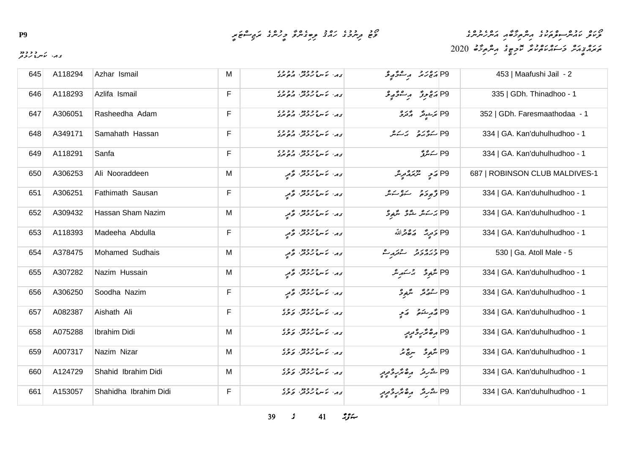*sCw7q7s5w7m< o<n9nOoAw7o< sCq;mAwBoEw7q<m; wBm;vB* م من المرة المرة المرة المرجع المرجع في المركبة 2020<br>مجم*د المريض المربوط المربع المرجع في المراجع المركبة* 

| 645 | A118294 | Azhar Ismail          | M            | د در سر دورو دوره<br>د در سر درون موس                                                                                                                                                                                           | P9 كەيجەنىق بەستەدىھىتى                     | 453   Maafushi Jail - 2        |
|-----|---------|-----------------------|--------------|---------------------------------------------------------------------------------------------------------------------------------------------------------------------------------------------------------------------------------|---------------------------------------------|--------------------------------|
| 646 | A118293 | Azlifa Ismail         | F            | د در سکس د د ده د د د د د<br>د در سکس د د در                                                                                                                                                                                    | P9  رَجْعِودٌ مِرْ مُحَمَّدٍ وَ             | 335   GDh. Thinadhoo - 1       |
| 647 | A306051 | Rasheedha Adam        | F            |                                                                                                                                                                                                                                 | P9 بَرَحْدٍ مَّرَ الْمُحَرَّدُ الْمُحَرَّدُ | 352   GDh. Faresmaathodaa - 1  |
| 648 | A349171 | Samahath Hassan       | $\mathsf{F}$ | גורי מייעד הכרידה ברבידיה<br>המרי מייעד ההבלידי והפייעב                                                                                                                                                                         | P9 جۇڭ ئەسكەش                               | 334   GA. Kan'duhulhudhoo - 1  |
| 649 | A118291 | Sanfa                 | $\mathsf{F}$ | د در ۱۶۶۶ و د د د د د د د<br>د د کامل رونل اړه د د                                                                                                                                                                              | P9 سەرىق                                    | 334   GA. Kan'duhulhudhoo - 1  |
| 650 | A306253 | Ali Nooraddeen        | M            | ى پەر شەھىرى بەر ئەير                                                                                                                                                                                                           | P9 <i>مَجِ شَهْرَهُ مِ</i> رِسُ             | 687   ROBINSON CLUB MALDIVES-1 |
| 651 | A306251 | Fathimath Sausan      | F            | ا د مرکب کا مرکب گرفته به این مرکب در این مرکب در این مرکب در این کاربر به این کاربر به این کاربر کاربر کاربر<br>مرکب این کاربر کاربر کاربر کاربر کاربر کاربر کاربر کاربر کاربر کاربر کاربر کاربر کاربر کاربر کاربر کاربر کاربر | P9 <i>وَّەوِجَاھْ سَوْسَ</i> مَى <i>رْ</i>  | 334   GA. Kan'duhulhudhoo - 1  |
| 652 | A309432 | Hassan Sham Nazim     | M            | ى مەسىم ئەرەپ ئەس                                                                                                                                                                                                               | P9 ئەسەمگە ئىگە ئىگەنچ                      | 334   GA. Kan'duhulhudhoo - 1  |
| 653 | A118393 | Madeeha Abdulla       | F            | ى مەسىم ئەرەپ ئەس                                                                                                                                                                                                               | P9 دَمَّرِيَّ   رَصُوَّرَاللَّه             | 334   GA. Kan'duhulhudhoo - 1  |
| 654 | A378475 | Mohamed Sudhais       | M            | ى مەسىم سىرىمەت ھەير                                                                                                                                                                                                            | P9 دېم ده ده مقرم شور شو                    | 530   Ga. Atoll Male - 5       |
| 655 | A307282 | Nazim Hussain         | M            | ى مەسىم سىرىمەتتە بەھەر                                                                                                                                                                                                         | P9 سَّمَعٍ حَسَبِ مِسَمَّرٍ سَمَّرٍ مِسَ    | 334   GA. Kan'duhulhudhoo - 1  |
| 656 | A306250 | Soodha Nazim          | F            | ى مەسىم سىم ئەرەپ ھەمبە                                                                                                                                                                                                         | P9 كەرمەتتىر س <i>گەنى</i> ئ                | 334   GA. Kan'duhulhudhoo - 1  |
| 657 | A082387 | Aishath Ali           | $\mathsf F$  | وړ که سرگرون د وه<br>وړ که سرگرونز و ور                                                                                                                                                                                         | P9 مُگهرڪو کو                               | 334   GA. Kan'duhulhudhoo - 1  |
| 658 | A075288 | Ibrahim Didi          | M            | ړ د کاس د ووه د ده.<br>د د کاس رلونل لومړی                                                                                                                                                                                      | P9 <sub>مر</sub> ھ تژر د ورمړ               | 334   GA. Kan'duhulhudhoo - 1  |
| 659 | A007317 | Nazim Nizar           | M            | د د. اما سور دور در داد داد.<br>د د. اما سور کردند الوحرد                                                                                                                                                                       | P9 سَّمَٰءٍ حَمَّ سِيَّ سَ                  | 334   GA. Kan'duhulhudhoo - 1  |
| 660 | A124729 | Shahid Ibrahim Didi   | M            | ړه ۱۰ کملندي دي.<br>ده امکس کرونس ولوی                                                                                                                                                                                          | P9 شرىر مەھەر ئويور                         | 334   GA. Kan'duhulhudhoo - 1  |
| 661 | A153057 | Shahidha Ibrahim Didi | F            | ړ د ۱۳۶۶ ورو د ده<br>د د کماس کرونس کالمون                                                                                                                                                                                      | P9 ڪريگر بر <i>ھنگر و</i> ٽيوبر             | 334   GA. Kan'duhulhudhoo - 1  |

*r@q:q5qF7m; .<C*

**39** *s* **41** *if***<sub>x</sub>**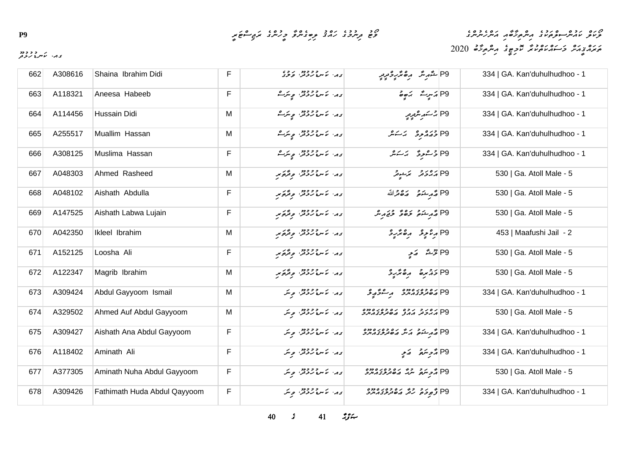*sCw7q7s5w7m< o<n9nOoAw7o< sCq;mAwBoEw7q<m; wBm;vB* م من المسجد المسجد المسجد المسجد المسجد العام 2020<br>مسجد المسجد المسجد المسجد المسجد المسجد المسجد المسجد المسجد ال

| A308616 | Shaina Ibrahim Didi          | F | د د. که سره دره دره در دره<br>د د. که سره سرفر و فرو      | P9 ڪمرنگر مر <i>ھنگرد</i> ونږيو      | 334   GA. Kan'duhulhudhoo - 1 |
|---------|------------------------------|---|-----------------------------------------------------------|--------------------------------------|-------------------------------|
| A118321 | Aneesa Habeeb                | F | ىمە ئەس ئەرەپ ئەتەب                                       | P9 كەسپەستە بەھ <i>ھ</i>             | 334   GA. Kan'duhulhudhoo - 1 |
| A114456 | Hussain Didi                 | M | ىمە ئەس 255% ئۇنىڭ                                        | P9 كەسكەر يۇيوپەر                    | 334   GA. Kan'duhulhudhoo - 1 |
| A255517 | Muallim Hassan               | M | ىمە ئەس 322 ئۇس بەرگ                                      | P9 ج <i>ج چ چې چې</i> محمد           | 334   GA. Kan'duhulhudhoo - 1 |
| A308125 | Muslima Hassan               | F | ىمە ئەس 222 ئۇس بەرگ                                      | P9 ۇرمى <sub>ج</sub> ۇ كەسكەر        | 334   GA. Kan'duhulhudhoo - 1 |
| A048303 | Ahmed Rasheed                | M | ى مەس ئەرج دورە بەلگەنگىزىدە                              | P9   پرچوبخر    پژخوبژ               | 530   Ga. Atoll Male - 5      |
| A048102 | Aishath Abdulla              | F | ى مەس ئەر ئۇقرا ئۆتۈمىيە                                  | P9 مَّ مِ شَمَّع مَرَّكَ مَدَّاللَّه | 530   Ga. Atoll Male - 5      |
| A147525 | Aishath Labwa Lujain         | F | ى مەسىم ئىرىمى ئەرەپىر                                    | P9 مەم شەم ئۇھۇ ئۇت <sub>ە</sub> م ش | 530   Ga. Atoll Male - 5      |
| A042350 | Ikleel Ibrahim               | M | ى مەس ئەر ئەرەپ ئەر ئەر ئىر                               | P9 مرعوٍ و مستقريرة الس              | 453   Maafushi Jail - 2       |
| A152125 | Loosha Ali                   | F | ى مەس ئەرج دورە بەلگەنگىزىدە                              | P9 فخرشہ کہ م                        | 530   Ga. Atoll Male - 5      |
| A122347 | Magrib Ibrahim               | M | ىە ، ئاس 22% ، ئەقەم                                      | P9 دَرْمِهُ مِهْمَرِدْ               | 530   Ga. Atoll Male - 5      |
| A309424 | Abdul Gayyoom Ismail         | м | ا د مار ما مساء <sup>399</sup> مرد میکرد. اما کلید از مسک | P9 رە دەرەمدە مەر مەر بولى           | 334   GA. Kan'duhulhudhoo - 1 |
| A329502 | Ahmed Auf Abdul Gayyoom      | M | ا د مار مسرح در در در مسر<br>استاد مسرح کرونس او مگر      | P9 גם גם גם גם כסגם כם               | 530   Ga. Atoll Male - 5      |
| A309427 | Aishath Ana Abdul Gayyoom    | F | د ۱۰ م سوځ رووړ کو سک                                     | P9 مجمد شروح مرتکز مرده وده دره دوه  | 334   GA. Kan'duhulhudhoo - 1 |
| A118402 | Aminath Ali                  | F | ى پەر سەسى ئەرقىر، بويتۇ                                  | P9 مَّحِسَمَۃُ صَعِ                  | 334   GA. Kan'duhulhudhoo - 1 |
| A377305 | Aminath Nuha Abdul Gayyoom   | F | دە بە ئەس <sup>ە</sup> <i>جەنگە</i> بەيتكە                | P9 گر برد وی بره وه بره دوه          | 530   Ga. Atoll Male - 5      |
| A309426 | Fathimath Huda Abdul Qayyoom | F | ى مەسىم ئىق ئەرەپ بىر                                     | P9 ژُهِ دَ و و و و و و و و و و و و   | 334   GA. Kan'duhulhudhoo - 1 |
|         |                              |   |                                                           |                                      |                               |

*r@q:q5qF7m; .<C*

*40 sC 41 nNw?mS*